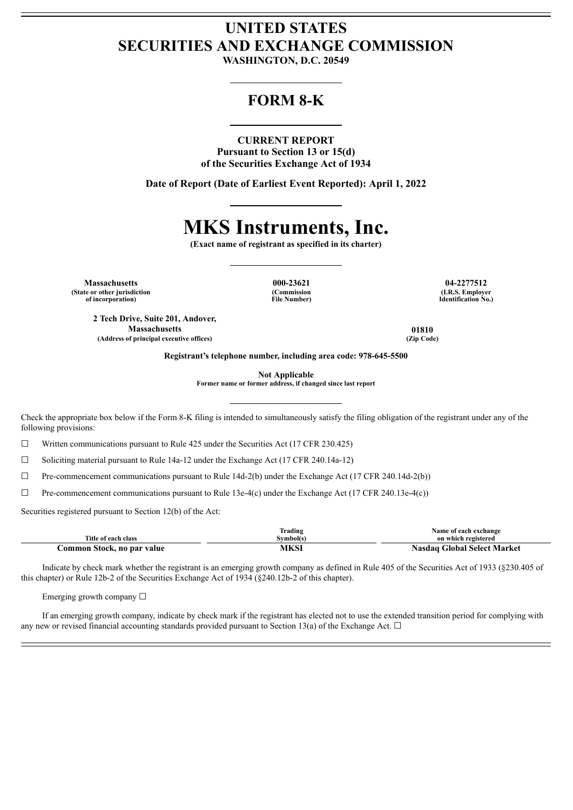### **UNITED STATES SECURITIES AND EXCHANGE COMMISSION**

**WASHINGTON, D.C. 20549**

### **FORM 8-K**

#### **CURRENT REPORT**

**Pursuant to Section 13 or 15(d) of the Securities Exchange Act of 1934**

**Date of Report (Date of Earliest Event Reported): April 1, 2022**

## **MKS Instruments, Inc.**

**(Exact name of registrant as specified in its charter)**

**Massachusetts 000-23621 04-2277512 (State or other jurisdiction of incorporation)**

**2 Tech Drive, Suite 201, Andover,**

**(Commission File Number)**

**(I.R.S. Employer Identification No.)**

**Massachusetts 01810 (Address of principal executive offices) (Zip Code)**

**Registrant's telephone number, including area code: 978-645-5500**

**Not Applicable**

**Former name or former address, if changed since last report**

Check the appropriate box below if the Form 8-K filing is intended to simultaneously satisfy the filing obligation of the registrant under any of the following provisions:

 $\Box$  Written communications pursuant to Rule 425 under the Securities Act (17 CFR 230.425)

☐ Soliciting material pursuant to Rule 14a-12 under the Exchange Act (17 CFR 240.14a-12)

 $\Box$  Pre-commencement communications pursuant to Rule 14d-2(b) under the Exchange Act (17 CFR 240.14d-2(b))

 $\Box$  Pre-commencement communications pursuant to Rule 13e-4(c) under the Exchange Act (17 CFR 240.13e-4(c))

Securities registered pursuant to Section 12(b) of the Act:

|                            | Frading   | <b>Name of each exchange</b>          |
|----------------------------|-----------|---------------------------------------|
| Title of each class        | Symbol(s) | on which registered                   |
| Common Stock, no par value | MKSI      | <b>Global Select Market</b><br>Nasdaɑ |

Indicate by check mark whether the registrant is an emerging growth company as defined in Rule 405 of the Securities Act of 1933 (§230.405 of this chapter) or Rule 12b-2 of the Securities Exchange Act of 1934 (§240.12b-2 of this chapter).

Emerging growth company  $\Box$ 

If an emerging growth company, indicate by check mark if the registrant has elected not to use the extended transition period for complying with any new or revised financial accounting standards provided pursuant to Section 13(a) of the Exchange Act.  $\Box$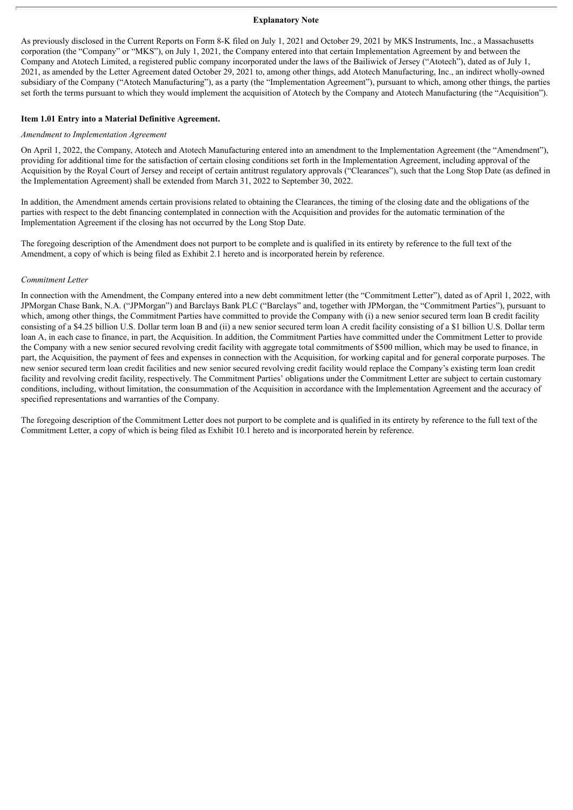#### **Explanatory Note**

As previously disclosed in the Current Reports on Form 8-K filed on July 1, 2021 and October 29, 2021 by MKS Instruments, Inc., a Massachusetts corporation (the "Company" or "MKS"), on July 1, 2021, the Company entered into that certain Implementation Agreement by and between the Company and Atotech Limited, a registered public company incorporated under the laws of the Bailiwick of Jersey ("Atotech"), dated as of July 1, 2021, as amended by the Letter Agreement dated October 29, 2021 to, among other things, add Atotech Manufacturing, Inc., an indirect wholly-owned subsidiary of the Company ("Atotech Manufacturing"), as a party (the "Implementation Agreement"), pursuant to which, among other things, the parties set forth the terms pursuant to which they would implement the acquisition of Atotech by the Company and Atotech Manufacturing (the "Acquisition").

#### **Item 1.01 Entry into a Material Definitive Agreement.**

#### *Amendment to Implementation Agreement*

On April 1, 2022, the Company, Atotech and Atotech Manufacturing entered into an amendment to the Implementation Agreement (the "Amendment"), providing for additional time for the satisfaction of certain closing conditions set forth in the Implementation Agreement, including approval of the Acquisition by the Royal Court of Jersey and receipt of certain antitrust regulatory approvals ("Clearances"), such that the Long Stop Date (as defined in the Implementation Agreement) shall be extended from March 31, 2022 to September 30, 2022.

In addition, the Amendment amends certain provisions related to obtaining the Clearances, the timing of the closing date and the obligations of the parties with respect to the debt financing contemplated in connection with the Acquisition and provides for the automatic termination of the Implementation Agreement if the closing has not occurred by the Long Stop Date.

The foregoing description of the Amendment does not purport to be complete and is qualified in its entirety by reference to the full text of the Amendment, a copy of which is being filed as Exhibit 2.1 hereto and is incorporated herein by reference.

#### *Commitment Letter*

In connection with the Amendment, the Company entered into a new debt commitment letter (the "Commitment Letter"), dated as of April 1, 2022, with JPMorgan Chase Bank, N.A. ("JPMorgan") and Barclays Bank PLC ("Barclays" and, together with JPMorgan, the "Commitment Parties"), pursuant to which, among other things, the Commitment Parties have committed to provide the Company with (i) a new senior secured term loan B credit facility consisting of a \$4.25 billion U.S. Dollar term loan B and (ii) a new senior secured term loan A credit facility consisting of a \$1 billion U.S. Dollar term loan A, in each case to finance, in part, the Acquisition. In addition, the Commitment Parties have committed under the Commitment Letter to provide the Company with a new senior secured revolving credit facility with aggregate total commitments of \$500 million, which may be used to finance, in part, the Acquisition, the payment of fees and expenses in connection with the Acquisition, for working capital and for general corporate purposes. The new senior secured term loan credit facilities and new senior secured revolving credit facility would replace the Company's existing term loan credit facility and revolving credit facility, respectively. The Commitment Parties' obligations under the Commitment Letter are subject to certain customary conditions, including, without limitation, the consummation of the Acquisition in accordance with the Implementation Agreement and the accuracy of specified representations and warranties of the Company.

The foregoing description of the Commitment Letter does not purport to be complete and is qualified in its entirety by reference to the full text of the Commitment Letter, a copy of which is being filed as Exhibit 10.1 hereto and is incorporated herein by reference.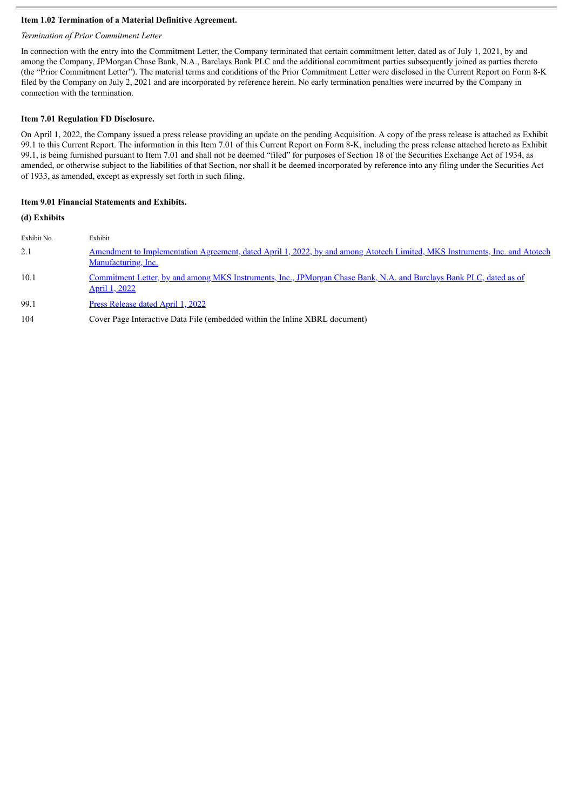#### **Item 1.02 Termination of a Material Definitive Agreement.**

#### *Termination of Prior Commitment Letter*

In connection with the entry into the Commitment Letter, the Company terminated that certain commitment letter, dated as of July 1, 2021, by and among the Company, JPMorgan Chase Bank, N.A., Barclays Bank PLC and the additional commitment parties subsequently joined as parties thereto (the "Prior Commitment Letter"). The material terms and conditions of the Prior Commitment Letter were disclosed in the Current Report on Form 8-K filed by the Company on July 2, 2021 and are incorporated by reference herein. No early termination penalties were incurred by the Company in connection with the termination.

#### **Item 7.01 Regulation FD Disclosure.**

On April 1, 2022, the Company issued a press release providing an update on the pending Acquisition. A copy of the press release is attached as Exhibit 99.1 to this Current Report. The information in this Item 7.01 of this Current Report on Form 8-K, including the press release attached hereto as Exhibit 99.1, is being furnished pursuant to Item 7.01 and shall not be deemed "filed" for purposes of Section 18 of the Securities Exchange Act of 1934, as amended, or otherwise subject to the liabilities of that Section, nor shall it be deemed incorporated by reference into any filing under the Securities Act of 1933, as amended, except as expressly set forth in such filing.

#### **Item 9.01 Financial Statements and Exhibits.**

#### **(d) Exhibits**

| Exhibit No. | Exhibit                                                                                                                                            |
|-------------|----------------------------------------------------------------------------------------------------------------------------------------------------|
| 2.1         | Amendment to Implementation Agreement, dated April 1, 2022, by and among Atotech Limited, MKS Instruments, Inc. and Atotech<br>Manufacturing, Inc. |
| 10.1        | Commitment Letter, by and among MKS Instruments, Inc., JPMorgan Chase Bank, N.A. and Barclays Bank PLC, dated as of<br>April 1, 2022               |
| 99.1        | <u>Press Release dated April 1, 2022</u>                                                                                                           |
| 104         | Cover Page Interactive Data File (embedded within the Inline XBRL document)                                                                        |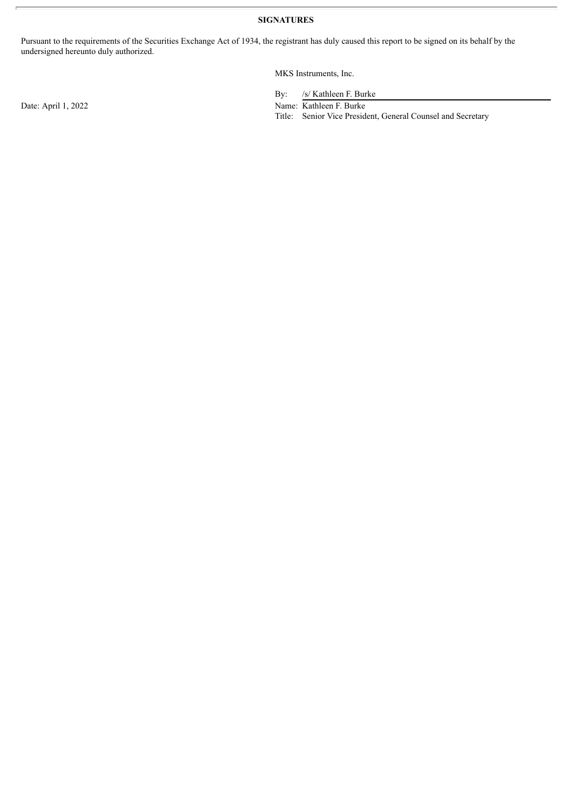**SIGNATURES**

Pursuant to the requirements of the Securities Exchange Act of 1934, the registrant has duly caused this report to be signed on its behalf by the undersigned hereunto duly authorized.

MKS Instruments, Inc.

By: /s/ Kathleen F. Burke

Date: April 1, 2022 Name: Kathleen F. Burke

Title: Senior Vice President, General Counsel and Secretary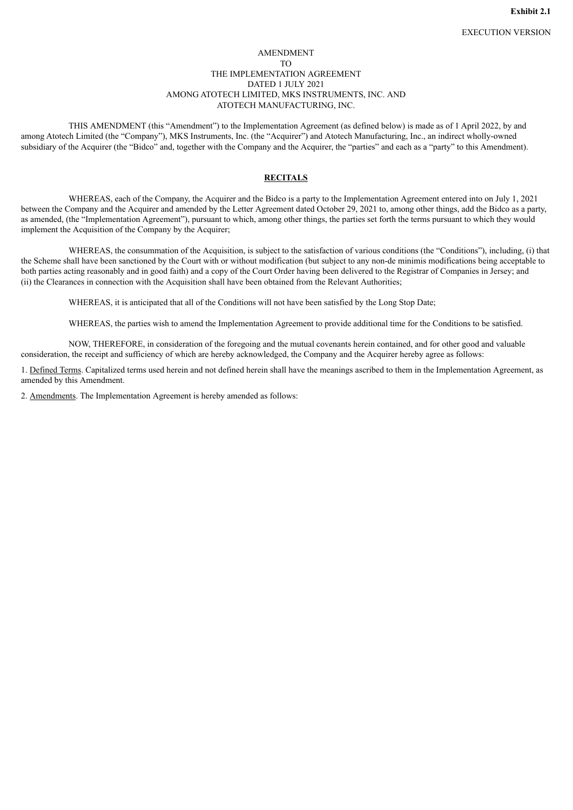#### AMENDMENT TO THE IMPLEMENTATION AGREEMENT DATED 1 JULY 2021 AMONG ATOTECH LIMITED, MKS INSTRUMENTS, INC. AND ATOTECH MANUFACTURING, INC.

<span id="page-4-0"></span>THIS AMENDMENT (this "Amendment") to the Implementation Agreement (as defined below) is made as of 1 April 2022, by and among Atotech Limited (the "Company"), MKS Instruments, Inc. (the "Acquirer") and Atotech Manufacturing, Inc., an indirect wholly-owned subsidiary of the Acquirer (the "Bidco" and, together with the Company and the Acquirer, the "parties" and each as a "party" to this Amendment).

#### **RECITALS**

WHEREAS, each of the Company, the Acquirer and the Bidco is a party to the Implementation Agreement entered into on July 1, 2021 between the Company and the Acquirer and amended by the Letter Agreement dated October 29, 2021 to, among other things, add the Bidco as a party, as amended, (the "Implementation Agreement"), pursuant to which, among other things, the parties set forth the terms pursuant to which they would implement the Acquisition of the Company by the Acquirer;

WHEREAS, the consummation of the Acquisition, is subject to the satisfaction of various conditions (the "Conditions"), including, (i) that the Scheme shall have been sanctioned by the Court with or without modification (but subject to any non-de minimis modifications being acceptable to both parties acting reasonably and in good faith) and a copy of the Court Order having been delivered to the Registrar of Companies in Jersey; and (ii) the Clearances in connection with the Acquisition shall have been obtained from the Relevant Authorities;

WHEREAS, it is anticipated that all of the Conditions will not have been satisfied by the Long Stop Date;

WHEREAS, the parties wish to amend the Implementation Agreement to provide additional time for the Conditions to be satisfied.

NOW, THEREFORE, in consideration of the foregoing and the mutual covenants herein contained, and for other good and valuable consideration, the receipt and sufficiency of which are hereby acknowledged, the Company and the Acquirer hereby agree as follows:

1. Defined Terms. Capitalized terms used herein and not defined herein shall have the meanings ascribed to them in the Implementation Agreement, as amended by this Amendment.

2. Amendments. The Implementation Agreement is hereby amended as follows: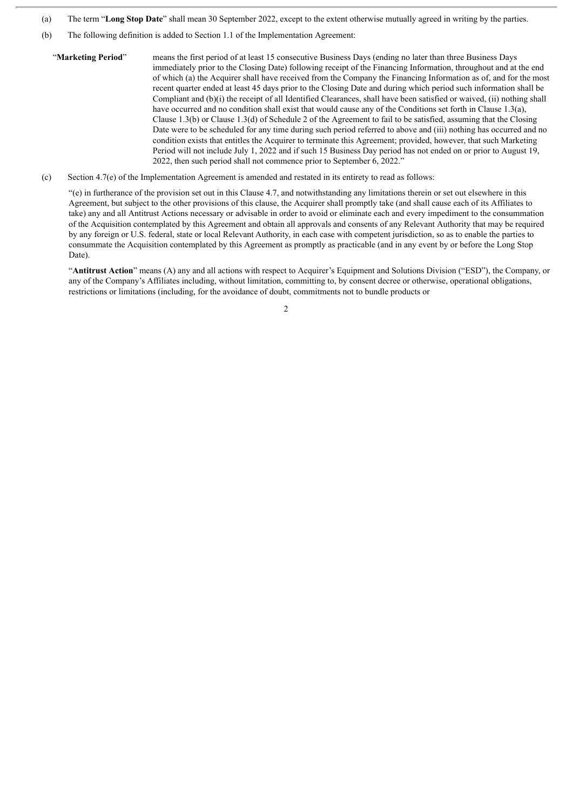- (a) The term "**Long Stop Date**" shall mean 30 September 2022, except to the extent otherwise mutually agreed in writing by the parties.
- (b) The following definition is added to Section 1.1 of the Implementation Agreement:
	- "**Marketing Period**" means the first period of at least 15 consecutive Business Days (ending no later than three Business Days immediately prior to the Closing Date) following receipt of the Financing Information, throughout and at the end of which (a) the Acquirer shall have received from the Company the Financing Information as of, and for the most recent quarter ended at least 45 days prior to the Closing Date and during which period such information shall be Compliant and (b)(i) the receipt of all Identified Clearances, shall have been satisfied or waived, (ii) nothing shall have occurred and no condition shall exist that would cause any of the Conditions set forth in Clause 1.3(a), Clause 1.3(b) or Clause 1.3(d) of Schedule 2 of the Agreement to fail to be satisfied, assuming that the Closing Date were to be scheduled for any time during such period referred to above and (iii) nothing has occurred and no condition exists that entitles the Acquirer to terminate this Agreement; provided, however, that such Marketing Period will not include July 1, 2022 and if such 15 Business Day period has not ended on or prior to August 19, 2022, then such period shall not commence prior to September 6, 2022."
- (c) Section 4.7(e) of the Implementation Agreement is amended and restated in its entirety to read as follows:

"(e) in furtherance of the provision set out in this Clause 4.7, and notwithstanding any limitations therein or set out elsewhere in this Agreement, but subject to the other provisions of this clause, the Acquirer shall promptly take (and shall cause each of its Affiliates to take) any and all Antitrust Actions necessary or advisable in order to avoid or eliminate each and every impediment to the consummation of the Acquisition contemplated by this Agreement and obtain all approvals and consents of any Relevant Authority that may be required by any foreign or U.S. federal, state or local Relevant Authority, in each case with competent jurisdiction, so as to enable the parties to consummate the Acquisition contemplated by this Agreement as promptly as practicable (and in any event by or before the Long Stop Date).

"**Antitrust Action**" means (A) any and all actions with respect to Acquirer's Equipment and Solutions Division ("ESD"), the Company, or any of the Company's Affiliates including, without limitation, committing to, by consent decree or otherwise, operational obligations, restrictions or limitations (including, for the avoidance of doubt, commitments not to bundle products or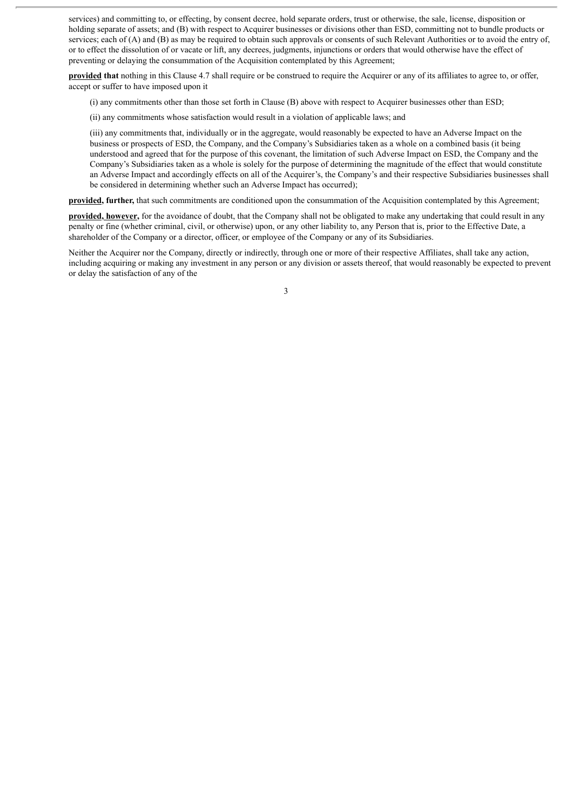services) and committing to, or effecting, by consent decree, hold separate orders, trust or otherwise, the sale, license, disposition or holding separate of assets; and (B) with respect to Acquirer businesses or divisions other than ESD, committing not to bundle products or services; each of (A) and (B) as may be required to obtain such approvals or consents of such Relevant Authorities or to avoid the entry of, or to effect the dissolution of or vacate or lift, any decrees, judgments, injunctions or orders that would otherwise have the effect of preventing or delaying the consummation of the Acquisition contemplated by this Agreement;

**provided that** nothing in this Clause 4.7 shall require or be construed to require the Acquirer or any of its affiliates to agree to, or offer, accept or suffer to have imposed upon it

(i) any commitments other than those set forth in Clause (B) above with respect to Acquirer businesses other than ESD;

(ii) any commitments whose satisfaction would result in a violation of applicable laws; and

(iii) any commitments that, individually or in the aggregate, would reasonably be expected to have an Adverse Impact on the business or prospects of ESD, the Company, and the Company's Subsidiaries taken as a whole on a combined basis (it being understood and agreed that for the purpose of this covenant, the limitation of such Adverse Impact on ESD, the Company and the Company's Subsidiaries taken as a whole is solely for the purpose of determining the magnitude of the effect that would constitute an Adverse Impact and accordingly effects on all of the Acquirer's, the Company's and their respective Subsidiaries businesses shall be considered in determining whether such an Adverse Impact has occurred);

**provided, further,** that such commitments are conditioned upon the consummation of the Acquisition contemplated by this Agreement;

**provided, however**, for the avoidance of doubt, that the Company shall not be obligated to make any undertaking that could result in any penalty or fine (whether criminal, civil, or otherwise) upon, or any other liability to, any Person that is, prior to the Effective Date, a shareholder of the Company or a director, officer, or employee of the Company or any of its Subsidiaries.

Neither the Acquirer nor the Company, directly or indirectly, through one or more of their respective Affiliates, shall take any action, including acquiring or making any investment in any person or any division or assets thereof, that would reasonably be expected to prevent or delay the satisfaction of any of the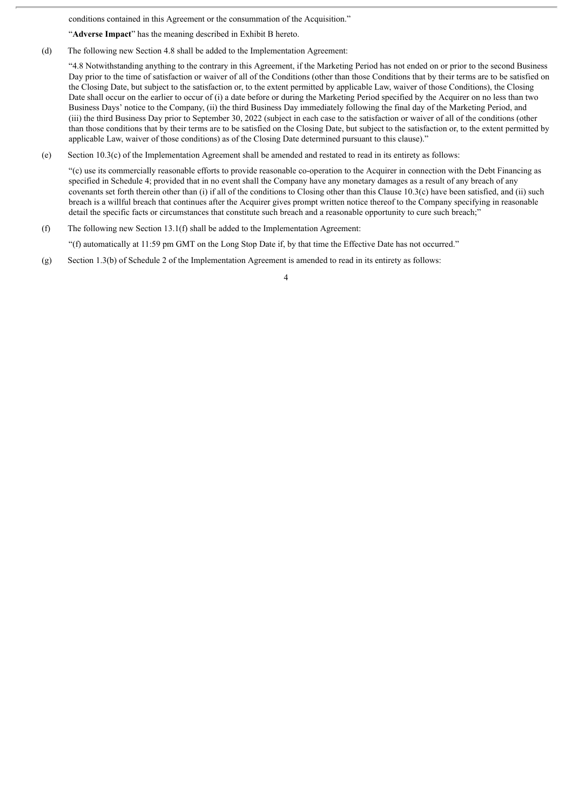conditions contained in this Agreement or the consummation of the Acquisition."

"**Adverse Impact**" has the meaning described in Exhibit B hereto.

(d) The following new Section 4.8 shall be added to the Implementation Agreement:

"4.8 Notwithstanding anything to the contrary in this Agreement, if the Marketing Period has not ended on or prior to the second Business Day prior to the time of satisfaction or waiver of all of the Conditions (other than those Conditions that by their terms are to be satisfied on the Closing Date, but subject to the satisfaction or, to the extent permitted by applicable Law, waiver of those Conditions), the Closing Date shall occur on the earlier to occur of (i) a date before or during the Marketing Period specified by the Acquirer on no less than two Business Days' notice to the Company, (ii) the third Business Day immediately following the final day of the Marketing Period, and (iii) the third Business Day prior to September 30, 2022 (subject in each case to the satisfaction or waiver of all of the conditions (other than those conditions that by their terms are to be satisfied on the Closing Date, but subject to the satisfaction or, to the extent permitted by applicable Law, waiver of those conditions) as of the Closing Date determined pursuant to this clause)."

(e) Section 10.3(c) of the Implementation Agreement shall be amended and restated to read in its entirety as follows:

"(c) use its commercially reasonable efforts to provide reasonable co-operation to the Acquirer in connection with the Debt Financing as specified in Schedule 4; provided that in no event shall the Company have any monetary damages as a result of any breach of any covenants set forth therein other than (i) if all of the conditions to Closing other than this Clause 10.3(c) have been satisfied, and (ii) such breach is a willful breach that continues after the Acquirer gives prompt written notice thereof to the Company specifying in reasonable detail the specific facts or circumstances that constitute such breach and a reasonable opportunity to cure such breach;"

(f) The following new Section 13.1(f) shall be added to the Implementation Agreement:

"(f) automatically at 11:59 pm GMT on the Long Stop Date if, by that time the Effective Date has not occurred."

(g) Section 1.3(b) of Schedule 2 of the Implementation Agreement is amended to read in its entirety as follows: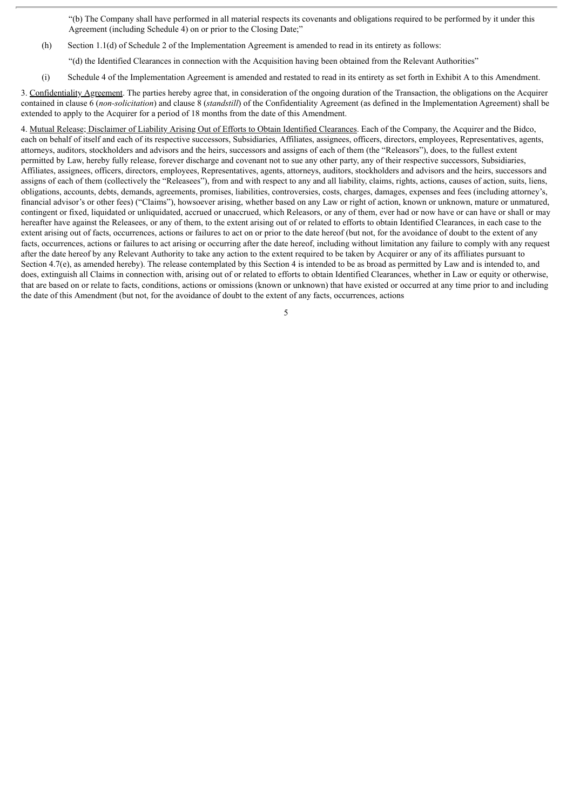"(b) The Company shall have performed in all material respects its covenants and obligations required to be performed by it under this Agreement (including Schedule 4) on or prior to the Closing Date;"

- (h) Section 1.1(d) of Schedule 2 of the Implementation Agreement is amended to read in its entirety as follows:
	- "(d) the Identified Clearances in connection with the Acquisition having been obtained from the Relevant Authorities"
- (i) Schedule 4 of the Implementation Agreement is amended and restated to read in its entirety as set forth in Exhibit A to this Amendment.

3. Confidentiality Agreement. The parties hereby agree that, in consideration of the ongoing duration of the Transaction, the obligations on the Acquirer contained in clause 6 (*non-solicitation*) and clause 8 (*standstill*) of the Confidentiality Agreement (as defined in the Implementation Agreement) shall be extended to apply to the Acquirer for a period of 18 months from the date of this Amendment.

4. Mutual Release; Disclaimer of Liability Arising Out of Efforts to Obtain Identified Clearances. Each of the Company, the Acquirer and the Bidco, each on behalf of itself and each of its respective successors, Subsidiaries, Affiliates, assignees, officers, directors, employees, Representatives, agents, attorneys, auditors, stockholders and advisors and the heirs, successors and assigns of each of them (the "Releasors"), does, to the fullest extent permitted by Law, hereby fully release, forever discharge and covenant not to sue any other party, any of their respective successors, Subsidiaries, Affiliates, assignees, officers, directors, employees, Representatives, agents, attorneys, auditors, stockholders and advisors and the heirs, successors and assigns of each of them (collectively the "Releasees"), from and with respect to any and all liability, claims, rights, actions, causes of action, suits, liens, obligations, accounts, debts, demands, agreements, promises, liabilities, controversies, costs, charges, damages, expenses and fees (including attorney's, financial advisor's or other fees) ("Claims"), howsoever arising, whether based on any Law or right of action, known or unknown, mature or unmatured, contingent or fixed, liquidated or unliquidated, accrued or unaccrued, which Releasors, or any of them, ever had or now have or can have or shall or may hereafter have against the Releasees, or any of them, to the extent arising out of or related to efforts to obtain Identified Clearances, in each case to the extent arising out of facts, occurrences, actions or failures to act on or prior to the date hereof (but not, for the avoidance of doubt to the extent of any facts, occurrences, actions or failures to act arising or occurring after the date hereof, including without limitation any failure to comply with any request after the date hereof by any Relevant Authority to take any action to the extent required to be taken by Acquirer or any of its affiliates pursuant to Section 4.7(e), as amended hereby). The release contemplated by this Section 4 is intended to be as broad as permitted by Law and is intended to, and does, extinguish all Claims in connection with, arising out of or related to efforts to obtain Identified Clearances, whether in Law or equity or otherwise, that are based on or relate to facts, conditions, actions or omissions (known or unknown) that have existed or occurred at any time prior to and including the date of this Amendment (but not, for the avoidance of doubt to the extent of any facts, occurrences, actions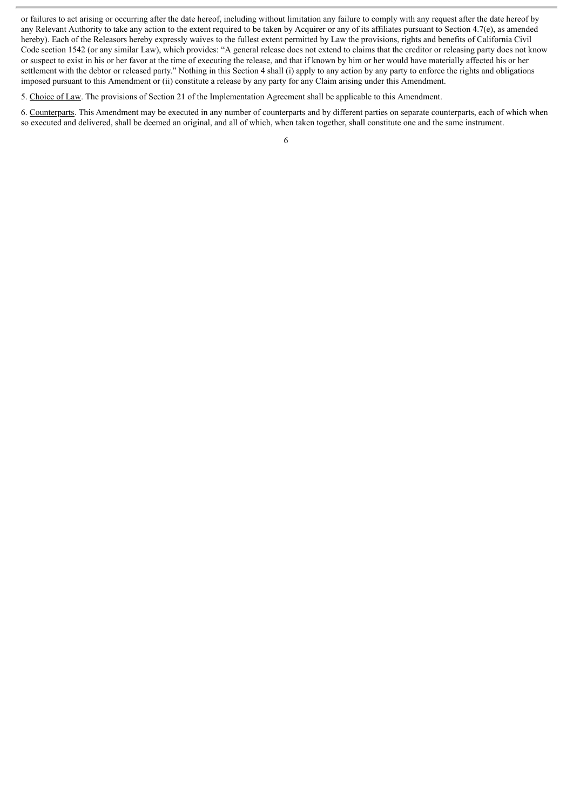or failures to act arising or occurring after the date hereof, including without limitation any failure to comply with any request after the date hereof by any Relevant Authority to take any action to the extent required to be taken by Acquirer or any of its affiliates pursuant to Section  $4.7(e)$ , as amended hereby). Each of the Releasors hereby expressly waives to the fullest extent permitted by Law the provisions, rights and benefits of California Civil Code section 1542 (or any similar Law), which provides: "A general release does not extend to claims that the creditor or releasing party does not know or suspect to exist in his or her favor at the time of executing the release, and that if known by him or her would have materially affected his or her settlement with the debtor or released party." Nothing in this Section 4 shall (i) apply to any action by any party to enforce the rights and obligations imposed pursuant to this Amendment or (ii) constitute a release by any party for any Claim arising under this Amendment.

5. Choice of Law. The provisions of Section 21 of the Implementation Agreement shall be applicable to this Amendment.

6. Counterparts. This Amendment may be executed in any number of counterparts and by different parties on separate counterparts, each of which when so executed and delivered, shall be deemed an original, and all of which, when taken together, shall constitute one and the same instrument.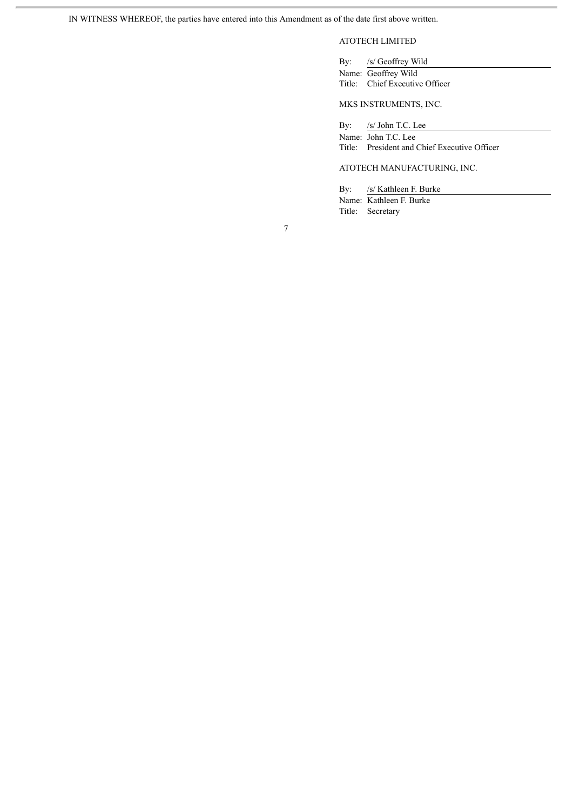IN WITNESS WHEREOF, the parties have entered into this Amendment as of the date first above written.

#### ATOTECH LIMITED

By: /s/ Geoffrey Wild

Name: Geoffrey Wild Title: Chief Executive Officer

MKS INSTRUMENTS, INC.

By: /s/ John T.C. Lee Name: John T.C. Lee Title: President and Chief Executive Officer

ATOTECH MANUFACTURING, INC.

By: /s/ Kathleen F. Burke Name: Kathleen F. Burke Title: Secretary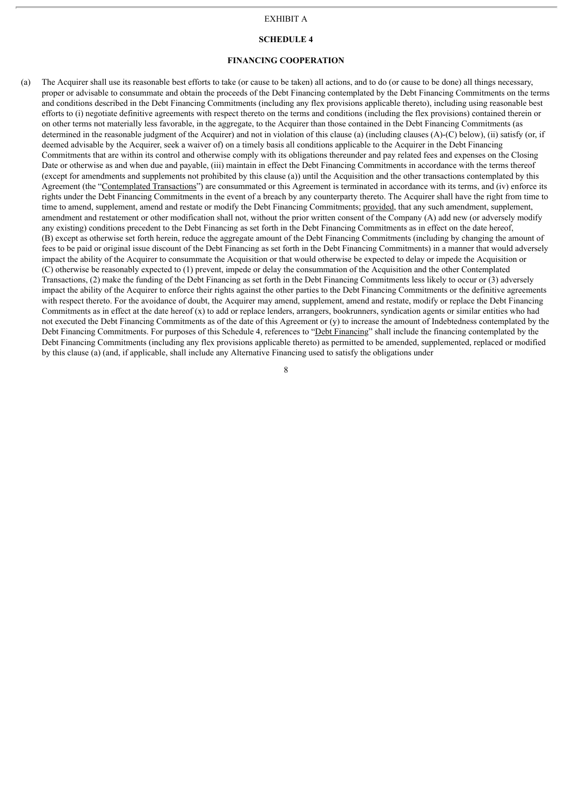#### EXHIBIT A

#### **SCHEDULE 4**

#### **FINANCING COOPERATION**

(a) The Acquirer shall use its reasonable best efforts to take (or cause to be taken) all actions, and to do (or cause to be done) all things necessary, proper or advisable to consummate and obtain the proceeds of the Debt Financing contemplated by the Debt Financing Commitments on the terms and conditions described in the Debt Financing Commitments (including any flex provisions applicable thereto), including using reasonable best efforts to (i) negotiate definitive agreements with respect thereto on the terms and conditions (including the flex provisions) contained therein or on other terms not materially less favorable, in the aggregate, to the Acquirer than those contained in the Debt Financing Commitments (as determined in the reasonable judgment of the Acquirer) and not in violation of this clause (a) (including clauses (A)-(C) below), (ii) satisfy (or, if deemed advisable by the Acquirer, seek a waiver of) on a timely basis all conditions applicable to the Acquirer in the Debt Financing Commitments that are within its control and otherwise comply with its obligations thereunder and pay related fees and expenses on the Closing Date or otherwise as and when due and payable, (iii) maintain in effect the Debt Financing Commitments in accordance with the terms thereof (except for amendments and supplements not prohibited by this clause (a)) until the Acquisition and the other transactions contemplated by this Agreement (the "Contemplated Transactions") are consummated or this Agreement is terminated in accordance with its terms, and (iv) enforce its rights under the Debt Financing Commitments in the event of a breach by any counterparty thereto. The Acquirer shall have the right from time to time to amend, supplement, amend and restate or modify the Debt Financing Commitments; provided, that any such amendment, supplement, amendment and restatement or other modification shall not, without the prior written consent of the Company (A) add new (or adversely modify any existing) conditions precedent to the Debt Financing as set forth in the Debt Financing Commitments as in effect on the date hereof, (B) except as otherwise set forth herein, reduce the aggregate amount of the Debt Financing Commitments (including by changing the amount of fees to be paid or original issue discount of the Debt Financing as set forth in the Debt Financing Commitments) in a manner that would adversely impact the ability of the Acquirer to consummate the Acquisition or that would otherwise be expected to delay or impede the Acquisition or (C) otherwise be reasonably expected to (1) prevent, impede or delay the consummation of the Acquisition and the other Contemplated Transactions, (2) make the funding of the Debt Financing as set forth in the Debt Financing Commitments less likely to occur or (3) adversely impact the ability of the Acquirer to enforce their rights against the other parties to the Debt Financing Commitments or the definitive agreements with respect thereto. For the avoidance of doubt, the Acquirer may amend, supplement, amend and restate, modify or replace the Debt Financing Commitments as in effect at the date hereof (x) to add or replace lenders, arrangers, bookrunners, syndication agents or similar entities who had not executed the Debt Financing Commitments as of the date of this Agreement or (y) to increase the amount of Indebtedness contemplated by the Debt Financing Commitments. For purposes of this Schedule 4, references to "Debt Financing" shall include the financing contemplated by the Debt Financing Commitments (including any flex provisions applicable thereto) as permitted to be amended, supplemented, replaced or modified by this clause (a) (and, if applicable, shall include any Alternative Financing used to satisfy the obligations under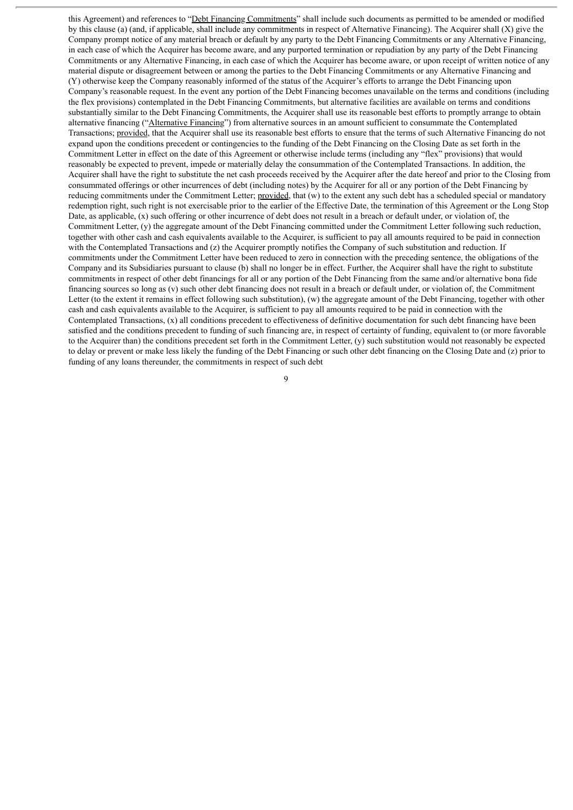this Agreement) and references to "Debt Financing Commitments" shall include such documents as permitted to be amended or modified by this clause (a) (and, if applicable, shall include any commitments in respect of Alternative Financing). The Acquirer shall (X) give the Company prompt notice of any material breach or default by any party to the Debt Financing Commitments or any Alternative Financing, in each case of which the Acquirer has become aware, and any purported termination or repudiation by any party of the Debt Financing Commitments or any Alternative Financing, in each case of which the Acquirer has become aware, or upon receipt of written notice of any material dispute or disagreement between or among the parties to the Debt Financing Commitments or any Alternative Financing and (Y) otherwise keep the Company reasonably informed of the status of the Acquirer's efforts to arrange the Debt Financing upon Company's reasonable request. In the event any portion of the Debt Financing becomes unavailable on the terms and conditions (including the flex provisions) contemplated in the Debt Financing Commitments, but alternative facilities are available on terms and conditions substantially similar to the Debt Financing Commitments, the Acquirer shall use its reasonable best efforts to promptly arrange to obtain alternative financing ("Alternative Financing") from alternative sources in an amount sufficient to consummate the Contemplated Transactions; provided, that the Acquirer shall use its reasonable best efforts to ensure that the terms of such Alternative Financing do not expand upon the conditions precedent or contingencies to the funding of the Debt Financing on the Closing Date as set forth in the Commitment Letter in effect on the date of this Agreement or otherwise include terms (including any "flex" provisions) that would reasonably be expected to prevent, impede or materially delay the consummation of the Contemplated Transactions. In addition, the Acquirer shall have the right to substitute the net cash proceeds received by the Acquirer after the date hereof and prior to the Closing from consummated offerings or other incurrences of debt (including notes) by the Acquirer for all or any portion of the Debt Financing by reducing commitments under the Commitment Letter; provided, that (w) to the extent any such debt has a scheduled special or mandatory redemption right, such right is not exercisable prior to the earlier of the Effective Date, the termination of this Agreement or the Long Stop Date, as applicable, (x) such offering or other incurrence of debt does not result in a breach or default under, or violation of, the Commitment Letter, (y) the aggregate amount of the Debt Financing committed under the Commitment Letter following such reduction, together with other cash and cash equivalents available to the Acquirer, is sufficient to pay all amounts required to be paid in connection with the Contemplated Transactions and (z) the Acquirer promptly notifies the Company of such substitution and reduction. If commitments under the Commitment Letter have been reduced to zero in connection with the preceding sentence, the obligations of the Company and its Subsidiaries pursuant to clause (b) shall no longer be in effect. Further, the Acquirer shall have the right to substitute commitments in respect of other debt financings for all or any portion of the Debt Financing from the same and/or alternative bona fide financing sources so long as (v) such other debt financing does not result in a breach or default under, or violation of, the Commitment Letter (to the extent it remains in effect following such substitution), (w) the aggregate amount of the Debt Financing, together with other cash and cash equivalents available to the Acquirer, is sufficient to pay all amounts required to be paid in connection with the Contemplated Transactions, (x) all conditions precedent to effectiveness of definitive documentation for such debt financing have been satisfied and the conditions precedent to funding of such financing are, in respect of certainty of funding, equivalent to (or more favorable to the Acquirer than) the conditions precedent set forth in the Commitment Letter, (y) such substitution would not reasonably be expected to delay or prevent or make less likely the funding of the Debt Financing or such other debt financing on the Closing Date and (z) prior to funding of any loans thereunder, the commitments in respect of such debt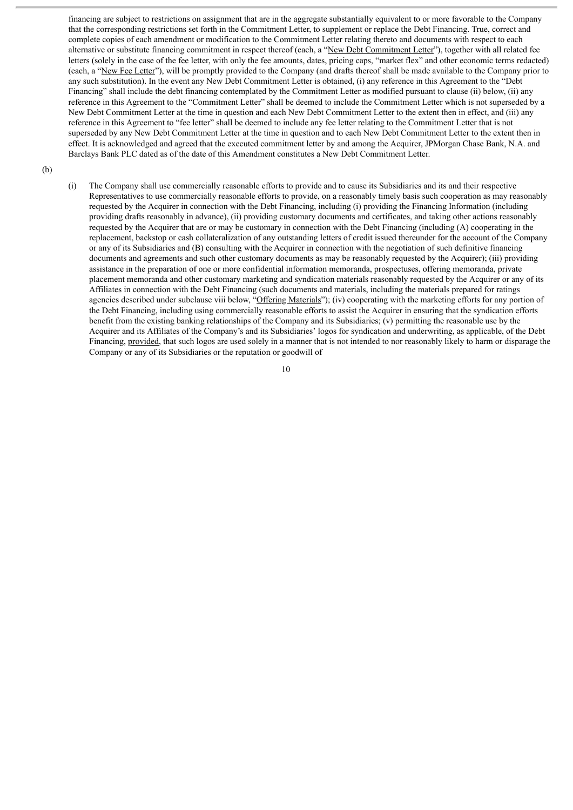financing are subject to restrictions on assignment that are in the aggregate substantially equivalent to or more favorable to the Company that the corresponding restrictions set forth in the Commitment Letter, to supplement or replace the Debt Financing. True, correct and complete copies of each amendment or modification to the Commitment Letter relating thereto and documents with respect to each alternative or substitute financing commitment in respect thereof (each, a "New Debt Commitment Letter"), together with all related fee letters (solely in the case of the fee letter, with only the fee amounts, dates, pricing caps, "market flex" and other economic terms redacted) (each, a "New Fee Letter"), will be promptly provided to the Company (and drafts thereof shall be made available to the Company prior to any such substitution). In the event any New Debt Commitment Letter is obtained, (i) any reference in this Agreement to the "Debt Financing" shall include the debt financing contemplated by the Commitment Letter as modified pursuant to clause (ii) below, (ii) any reference in this Agreement to the "Commitment Letter" shall be deemed to include the Commitment Letter which is not superseded by a New Debt Commitment Letter at the time in question and each New Debt Commitment Letter to the extent then in effect, and (iii) any reference in this Agreement to "fee letter" shall be deemed to include any fee letter relating to the Commitment Letter that is not superseded by any New Debt Commitment Letter at the time in question and to each New Debt Commitment Letter to the extent then in effect. It is acknowledged and agreed that the executed commitment letter by and among the Acquirer, JPMorgan Chase Bank, N.A. and Barclays Bank PLC dated as of the date of this Amendment constitutes a New Debt Commitment Letter.

(b)

(i) The Company shall use commercially reasonable efforts to provide and to cause its Subsidiaries and its and their respective Representatives to use commercially reasonable efforts to provide, on a reasonably timely basis such cooperation as may reasonably requested by the Acquirer in connection with the Debt Financing, including (i) providing the Financing Information (including providing drafts reasonably in advance), (ii) providing customary documents and certificates, and taking other actions reasonably requested by the Acquirer that are or may be customary in connection with the Debt Financing (including (A) cooperating in the replacement, backstop or cash collateralization of any outstanding letters of credit issued thereunder for the account of the Company or any of its Subsidiaries and (B) consulting with the Acquirer in connection with the negotiation of such definitive financing documents and agreements and such other customary documents as may be reasonably requested by the Acquirer); (iii) providing assistance in the preparation of one or more confidential information memoranda, prospectuses, offering memoranda, private placement memoranda and other customary marketing and syndication materials reasonably requested by the Acquirer or any of its Affiliates in connection with the Debt Financing (such documents and materials, including the materials prepared for ratings agencies described under subclause viii below, "Offering Materials"); (iv) cooperating with the marketing efforts for any portion of the Debt Financing, including using commercially reasonable efforts to assist the Acquirer in ensuring that the syndication efforts benefit from the existing banking relationships of the Company and its Subsidiaries; (v) permitting the reasonable use by the Acquirer and its Affiliates of the Company's and its Subsidiaries' logos for syndication and underwriting, as applicable, of the Debt Financing, provided, that such logos are used solely in a manner that is not intended to nor reasonably likely to harm or disparage the Company or any of its Subsidiaries or the reputation or goodwill of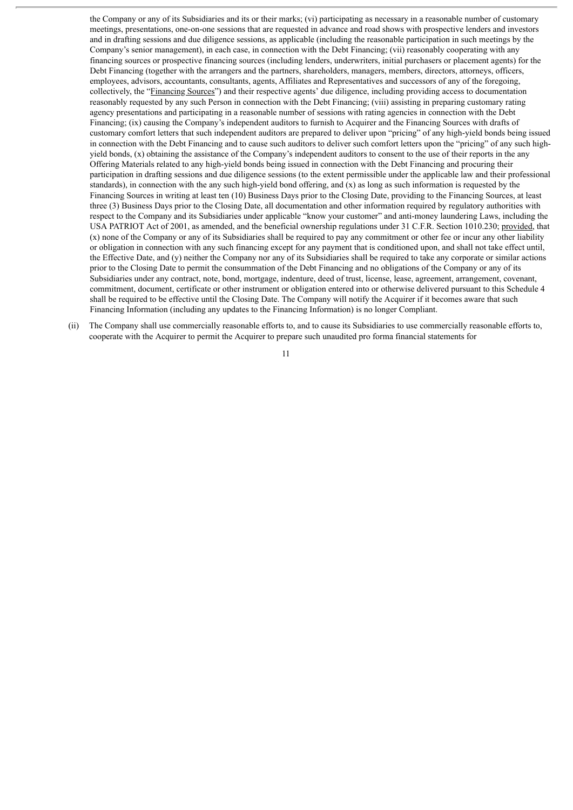the Company or any of its Subsidiaries and its or their marks; (vi) participating as necessary in a reasonable number of customary meetings, presentations, one-on-one sessions that are requested in advance and road shows with prospective lenders and investors and in drafting sessions and due diligence sessions, as applicable (including the reasonable participation in such meetings by the Company's senior management), in each case, in connection with the Debt Financing; (vii) reasonably cooperating with any financing sources or prospective financing sources (including lenders, underwriters, initial purchasers or placement agents) for the Debt Financing (together with the arrangers and the partners, shareholders, managers, members, directors, attorneys, officers, employees, advisors, accountants, consultants, agents, Affiliates and Representatives and successors of any of the foregoing, collectively, the "Financing Sources") and their respective agents' due diligence, including providing access to documentation reasonably requested by any such Person in connection with the Debt Financing; (viii) assisting in preparing customary rating agency presentations and participating in a reasonable number of sessions with rating agencies in connection with the Debt Financing; (ix) causing the Company's independent auditors to furnish to Acquirer and the Financing Sources with drafts of customary comfort letters that such independent auditors are prepared to deliver upon "pricing" of any high-yield bonds being issued in connection with the Debt Financing and to cause such auditors to deliver such comfort letters upon the "pricing" of any such highyield bonds, (x) obtaining the assistance of the Company's independent auditors to consent to the use of their reports in the any Offering Materials related to any high-yield bonds being issued in connection with the Debt Financing and procuring their participation in drafting sessions and due diligence sessions (to the extent permissible under the applicable law and their professional standards), in connection with the any such high-yield bond offering, and (x) as long as such information is requested by the Financing Sources in writing at least ten (10) Business Days prior to the Closing Date, providing to the Financing Sources, at least three (3) Business Days prior to the Closing Date, all documentation and other information required by regulatory authorities with respect to the Company and its Subsidiaries under applicable "know your customer" and anti-money laundering Laws, including the USA PATRIOT Act of 2001, as amended, and the beneficial ownership regulations under 31 C.F.R. Section 1010.230; provided, that (x) none of the Company or any of its Subsidiaries shall be required to pay any commitment or other fee or incur any other liability or obligation in connection with any such financing except for any payment that is conditioned upon, and shall not take effect until, the Effective Date, and (y) neither the Company nor any of its Subsidiaries shall be required to take any corporate or similar actions prior to the Closing Date to permit the consummation of the Debt Financing and no obligations of the Company or any of its Subsidiaries under any contract, note, bond, mortgage, indenture, deed of trust, license, lease, agreement, arrangement, covenant, commitment, document, certificate or other instrument or obligation entered into or otherwise delivered pursuant to this Schedule 4 shall be required to be effective until the Closing Date. The Company will notify the Acquirer if it becomes aware that such Financing Information (including any updates to the Financing Information) is no longer Compliant.

(ii) The Company shall use commercially reasonable efforts to, and to cause its Subsidiaries to use commercially reasonable efforts to, cooperate with the Acquirer to permit the Acquirer to prepare such unaudited pro forma financial statements for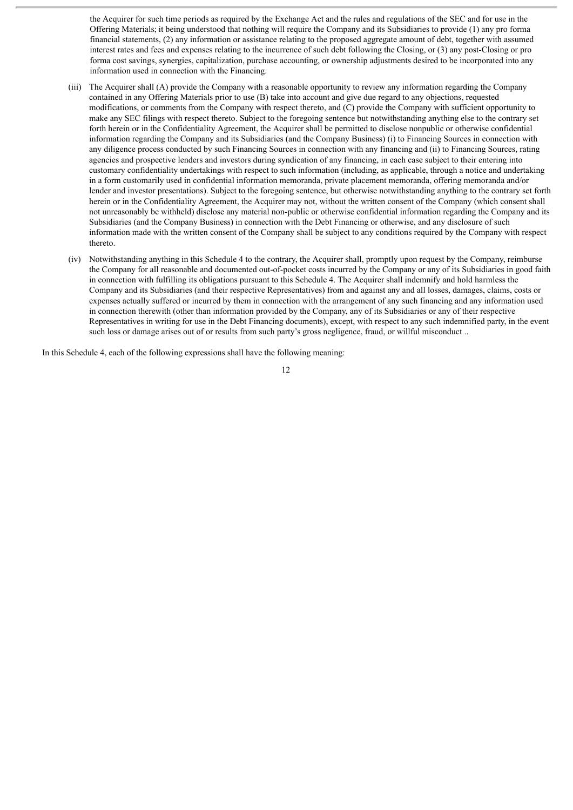the Acquirer for such time periods as required by the Exchange Act and the rules and regulations of the SEC and for use in the Offering Materials; it being understood that nothing will require the Company and its Subsidiaries to provide (1) any pro forma financial statements, (2) any information or assistance relating to the proposed aggregate amount of debt, together with assumed interest rates and fees and expenses relating to the incurrence of such debt following the Closing, or (3) any post-Closing or pro forma cost savings, synergies, capitalization, purchase accounting, or ownership adjustments desired to be incorporated into any information used in connection with the Financing.

- (iii) The Acquirer shall (A) provide the Company with a reasonable opportunity to review any information regarding the Company contained in any Offering Materials prior to use (B) take into account and give due regard to any objections, requested modifications, or comments from the Company with respect thereto, and (C) provide the Company with sufficient opportunity to make any SEC filings with respect thereto. Subject to the foregoing sentence but notwithstanding anything else to the contrary set forth herein or in the Confidentiality Agreement, the Acquirer shall be permitted to disclose nonpublic or otherwise confidential information regarding the Company and its Subsidiaries (and the Company Business) (i) to Financing Sources in connection with any diligence process conducted by such Financing Sources in connection with any financing and (ii) to Financing Sources, rating agencies and prospective lenders and investors during syndication of any financing, in each case subject to their entering into customary confidentiality undertakings with respect to such information (including, as applicable, through a notice and undertaking in a form customarily used in confidential information memoranda, private placement memoranda, offering memoranda and/or lender and investor presentations). Subject to the foregoing sentence, but otherwise notwithstanding anything to the contrary set forth herein or in the Confidentiality Agreement, the Acquirer may not, without the written consent of the Company (which consent shall not unreasonably be withheld) disclose any material non-public or otherwise confidential information regarding the Company and its Subsidiaries (and the Company Business) in connection with the Debt Financing or otherwise, and any disclosure of such information made with the written consent of the Company shall be subject to any conditions required by the Company with respect thereto.
- (iv) Notwithstanding anything in this Schedule 4 to the contrary, the Acquirer shall, promptly upon request by the Company, reimburse the Company for all reasonable and documented out-of-pocket costs incurred by the Company or any of its Subsidiaries in good faith in connection with fulfilling its obligations pursuant to this Schedule 4. The Acquirer shall indemnify and hold harmless the Company and its Subsidiaries (and their respective Representatives) from and against any and all losses, damages, claims, costs or expenses actually suffered or incurred by them in connection with the arrangement of any such financing and any information used in connection therewith (other than information provided by the Company, any of its Subsidiaries or any of their respective Representatives in writing for use in the Debt Financing documents), except, with respect to any such indemnified party, in the event such loss or damage arises out of or results from such party's gross negligence, fraud, or willful misconduct ..

In this Schedule 4, each of the following expressions shall have the following meaning: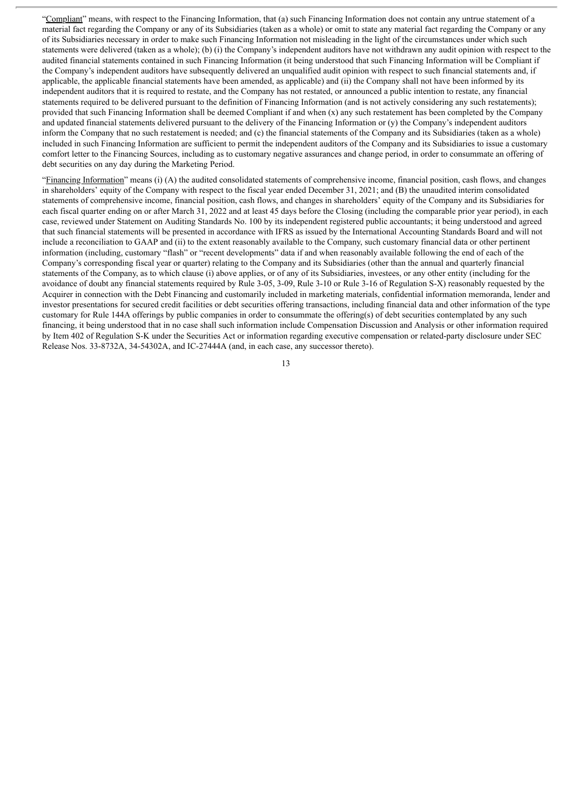"Compliant" means, with respect to the Financing Information, that (a) such Financing Information does not contain any untrue statement of a material fact regarding the Company or any of its Subsidiaries (taken as a whole) or omit to state any material fact regarding the Company or any of its Subsidiaries necessary in order to make such Financing Information not misleading in the light of the circumstances under which such statements were delivered (taken as a whole); (b) (i) the Company's independent auditors have not withdrawn any audit opinion with respect to the audited financial statements contained in such Financing Information (it being understood that such Financing Information will be Compliant if the Company's independent auditors have subsequently delivered an unqualified audit opinion with respect to such financial statements and, if applicable, the applicable financial statements have been amended, as applicable) and (ii) the Company shall not have been informed by its independent auditors that it is required to restate, and the Company has not restated, or announced a public intention to restate, any financial statements required to be delivered pursuant to the definition of Financing Information (and is not actively considering any such restatements); provided that such Financing Information shall be deemed Compliant if and when (x) any such restatement has been completed by the Company and updated financial statements delivered pursuant to the delivery of the Financing Information or (y) the Company's independent auditors inform the Company that no such restatement is needed; and (c) the financial statements of the Company and its Subsidiaries (taken as a whole) included in such Financing Information are sufficient to permit the independent auditors of the Company and its Subsidiaries to issue a customary comfort letter to the Financing Sources, including as to customary negative assurances and change period, in order to consummate an offering of debt securities on any day during the Marketing Period.

"Financing Information" means (i) (A) the audited consolidated statements of comprehensive income, financial position, cash flows, and changes in shareholders' equity of the Company with respect to the fiscal year ended December 31, 2021; and (B) the unaudited interim consolidated statements of comprehensive income, financial position, cash flows, and changes in shareholders' equity of the Company and its Subsidiaries for each fiscal quarter ending on or after March 31, 2022 and at least 45 days before the Closing (including the comparable prior year period), in each case, reviewed under Statement on Auditing Standards No. 100 by its independent registered public accountants; it being understood and agreed that such financial statements will be presented in accordance with IFRS as issued by the International Accounting Standards Board and will not include a reconciliation to GAAP and (ii) to the extent reasonably available to the Company, such customary financial data or other pertinent information (including, customary "flash" or "recent developments" data if and when reasonably available following the end of each of the Company's corresponding fiscal year or quarter) relating to the Company and its Subsidiaries (other than the annual and quarterly financial statements of the Company, as to which clause (i) above applies, or of any of its Subsidiaries, investees, or any other entity (including for the avoidance of doubt any financial statements required by Rule 3-05, 3-09, Rule 3-10 or Rule 3-16 of Regulation S-X) reasonably requested by the Acquirer in connection with the Debt Financing and customarily included in marketing materials, confidential information memoranda, lender and investor presentations for secured credit facilities or debt securities offering transactions, including financial data and other information of the type customary for Rule 144A offerings by public companies in order to consummate the offering(s) of debt securities contemplated by any such financing, it being understood that in no case shall such information include Compensation Discussion and Analysis or other information required by Item 402 of Regulation S-K under the Securities Act or information regarding executive compensation or related-party disclosure under SEC Release Nos. 33-8732A, 34-54302A, and IC-27444A (and, in each case, any successor thereto).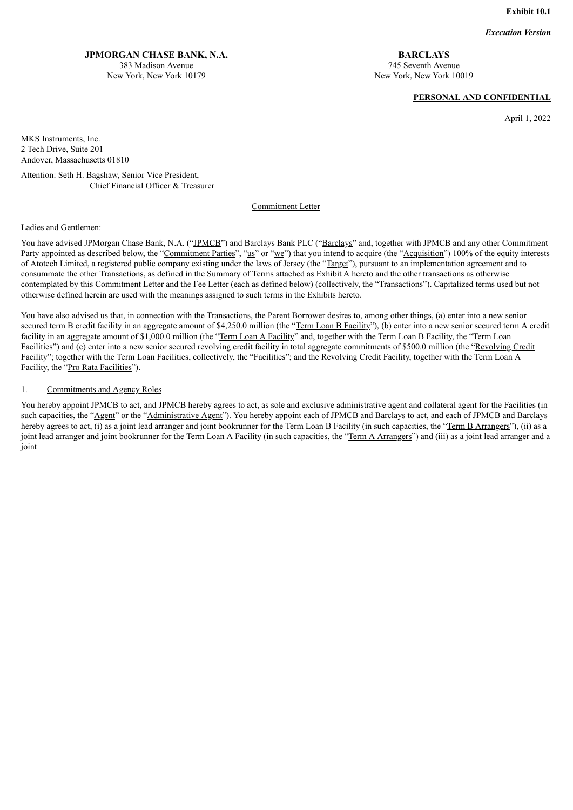**Exhibit 10.1**

*Execution Version*

#### <span id="page-17-0"></span>**JPMORGAN CHASE BANK, N.A.**

383 Madison Avenue New York, New York 10179

**BARCLAYS** 745 Seventh Avenue New York, New York 10019

#### **PERSONAL AND CONFIDENTIAL**

April 1, 2022

MKS Instruments, Inc. 2 Tech Drive, Suite 201 Andover, Massachusetts 01810

Attention: Seth H. Bagshaw, Senior Vice President, Chief Financial Officer & Treasurer

Commitment Letter

Ladies and Gentlemen:

You have advised JPMorgan Chase Bank, N.A. ("JPMCB") and Barclays Bank PLC ("Barclays" and, together with JPMCB and any other Commitment Party appointed as described below, the "Commitment Parties", "us" or "we") that you intend to acquire (the "Acquisition") 100% of the equity interests of Atotech Limited, a registered public company existing under the laws of Jersey (the "Target"), pursuant to an implementation agreement and to consummate the other Transactions, as defined in the Summary of Terms attached as Exhibit A hereto and the other transactions as otherwise contemplated by this Commitment Letter and the Fee Letter (each as defined below) (collectively, the "Transactions"). Capitalized terms used but not otherwise defined herein are used with the meanings assigned to such terms in the Exhibits hereto.

You have also advised us that, in connection with the Transactions, the Parent Borrower desires to, among other things, (a) enter into a new senior secured term B credit facility in an aggregate amount of \$4,250.0 million (the "Term Loan B Facility"), (b) enter into a new senior secured term A credit facility in an aggregate amount of \$1,000.0 million (the "Term Loan A Facility" and, together with the Term Loan B Facility, the "Term Loan Facilities") and (c) enter into a new senior secured revolving credit facility in total aggregate commitments of \$500.0 million (the "Revolving Credit Facility"; together with the Term Loan Facilities, collectively, the "Facilities"; and the Revolving Credit Facility, together with the Term Loan A Facility, the "Pro Rata Facilities").

#### 1. Commitments and Agency Roles

You hereby appoint JPMCB to act, and JPMCB hereby agrees to act, as sole and exclusive administrative agent and collateral agent for the Facilities (in such capacities, the "Agent" or the "Administrative Agent"). You hereby appoint each of JPMCB and Barclays to act, and each of JPMCB and Barclays hereby agrees to act, (i) as a joint lead arranger and joint bookrunner for the Term Loan B Facility (in such capacities, the "Term B Arrangers"), (ii) as a joint lead arranger and joint bookrunner for the Term Loan A Facility (in such capacities, the "Term A Arrangers") and (iii) as a joint lead arranger and a joint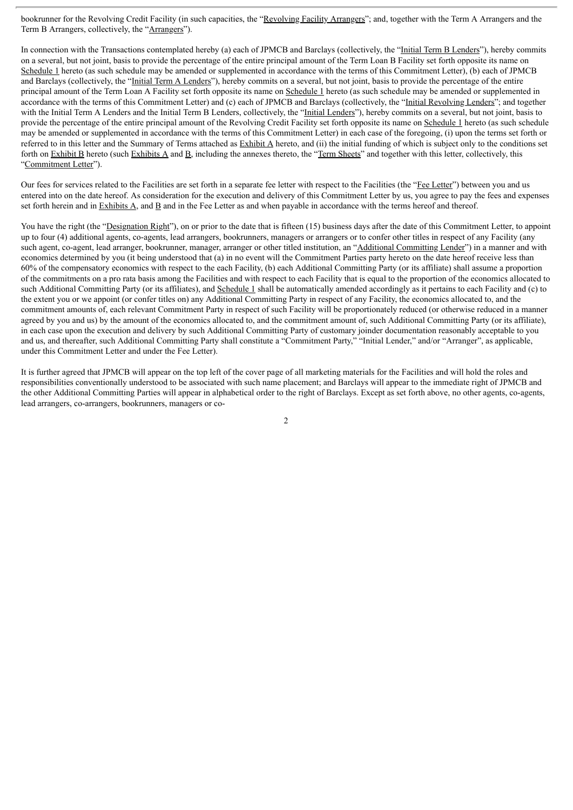bookrunner for the Revolving Credit Facility (in such capacities, the "Revolving Facility Arrangers"; and, together with the Term A Arrangers and the Term B Arrangers, collectively, the "Arrangers").

In connection with the Transactions contemplated hereby (a) each of JPMCB and Barclays (collectively, the "Initial Term B Lenders"), hereby commits on a several, but not joint, basis to provide the percentage of the entire principal amount of the Term Loan B Facility set forth opposite its name on Schedule 1 hereto (as such schedule may be amended or supplemented in accordance with the terms of this Commitment Letter), (b) each of JPMCB and Barclays (collectively, the "Initial Term A Lenders"), hereby commits on a several, but not joint, basis to provide the percentage of the entire principal amount of the Term Loan A Facility set forth opposite its name on Schedule 1 hereto (as such schedule may be amended or supplemented in accordance with the terms of this Commitment Letter) and (c) each of JPMCB and Barclays (collectively, the "Initial Revolving Lenders"; and together with the Initial Term A Lenders and the Initial Term B Lenders, collectively, the "Initial Lenders"), hereby commits on a several, but not joint, basis to provide the percentage of the entire principal amount of the Revolving Credit Facility set forth opposite its name on Schedule 1 hereto (as such schedule may be amended or supplemented in accordance with the terms of this Commitment Letter) in each case of the foregoing, (i) upon the terms set forth or referred to in this letter and the Summary of Terms attached as Exhibit A hereto, and (ii) the initial funding of which is subject only to the conditions set forth on Exhibit B hereto (such Exhibits A and B, including the annexes thereto, the "Term Sheets" and together with this letter, collectively, this "Commitment Letter").

Our fees for services related to the Facilities are set forth in a separate fee letter with respect to the Facilities (the "Fee Letter") between you and us entered into on the date hereof. As consideration for the execution and delivery of this Commitment Letter by us, you agree to pay the fees and expenses set forth herein and in Exhibits A, and B and in the Fee Letter as and when payable in accordance with the terms hereof and thereof.

You have the right (the "Designation Right"), on or prior to the date that is fifteen (15) business days after the date of this Commitment Letter, to appoint up to four (4) additional agents, co-agents, lead arrangers, bookrunners, managers or arrangers or to confer other titles in respect of any Facility (any such agent, co-agent, lead arranger, bookrunner, manager, arranger or other titled institution, an "Additional Committing Lender") in a manner and with economics determined by you (it being understood that (a) in no event will the Commitment Parties party hereto on the date hereof receive less than 60% of the compensatory economics with respect to the each Facility, (b) each Additional Committing Party (or its affiliate) shall assume a proportion of the commitments on a pro rata basis among the Facilities and with respect to each Facility that is equal to the proportion of the economics allocated to such Additional Committing Party (or its affiliates), and Schedule 1 shall be automatically amended accordingly as it pertains to each Facility and (c) to the extent you or we appoint (or confer titles on) any Additional Committing Party in respect of any Facility, the economics allocated to, and the commitment amounts of, each relevant Commitment Party in respect of such Facility will be proportionately reduced (or otherwise reduced in a manner agreed by you and us) by the amount of the economics allocated to, and the commitment amount of, such Additional Committing Party (or its affiliate), in each case upon the execution and delivery by such Additional Committing Party of customary joinder documentation reasonably acceptable to you and us, and thereafter, such Additional Committing Party shall constitute a "Commitment Party," "Initial Lender," and/or "Arranger", as applicable, under this Commitment Letter and under the Fee Letter).

It is further agreed that JPMCB will appear on the top left of the cover page of all marketing materials for the Facilities and will hold the roles and responsibilities conventionally understood to be associated with such name placement; and Barclays will appear to the immediate right of JPMCB and the other Additional Committing Parties will appear in alphabetical order to the right of Barclays. Except as set forth above, no other agents, co-agents, lead arrangers, co-arrangers, bookrunners, managers or co-

 $\overline{2}$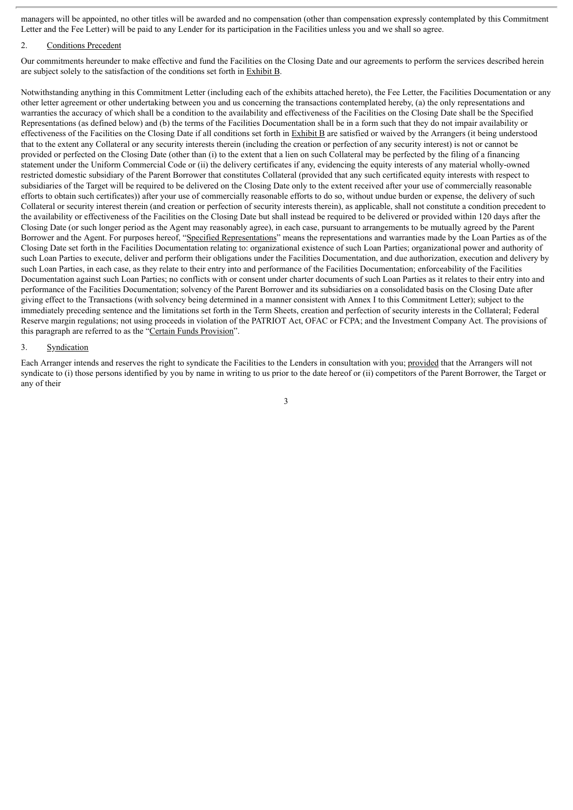managers will be appointed, no other titles will be awarded and no compensation (other than compensation expressly contemplated by this Commitment Letter and the Fee Letter) will be paid to any Lender for its participation in the Facilities unless you and we shall so agree.

#### 2. Conditions Precedent

Our commitments hereunder to make effective and fund the Facilities on the Closing Date and our agreements to perform the services described herein are subject solely to the satisfaction of the conditions set forth in Exhibit B.

Notwithstanding anything in this Commitment Letter (including each of the exhibits attached hereto), the Fee Letter, the Facilities Documentation or any other letter agreement or other undertaking between you and us concerning the transactions contemplated hereby, (a) the only representations and warranties the accuracy of which shall be a condition to the availability and effectiveness of the Facilities on the Closing Date shall be the Specified Representations (as defined below) and (b) the terms of the Facilities Documentation shall be in a form such that they do not impair availability or effectiveness of the Facilities on the Closing Date if all conditions set forth in Exhibit B are satisfied or waived by the Arrangers (it being understood that to the extent any Collateral or any security interests therein (including the creation or perfection of any security interest) is not or cannot be provided or perfected on the Closing Date (other than (i) to the extent that a lien on such Collateral may be perfected by the filing of a financing statement under the Uniform Commercial Code or (ii) the delivery certificates if any, evidencing the equity interests of any material wholly-owned restricted domestic subsidiary of the Parent Borrower that constitutes Collateral (provided that any such certificated equity interests with respect to subsidiaries of the Target will be required to be delivered on the Closing Date only to the extent received after your use of commercially reasonable efforts to obtain such certificates)) after your use of commercially reasonable efforts to do so, without undue burden or expense, the delivery of such Collateral or security interest therein (and creation or perfection of security interests therein), as applicable, shall not constitute a condition precedent to the availability or effectiveness of the Facilities on the Closing Date but shall instead be required to be delivered or provided within 120 days after the Closing Date (or such longer period as the Agent may reasonably agree), in each case, pursuant to arrangements to be mutually agreed by the Parent Borrower and the Agent. For purposes hereof, "Specified Representations" means the representations and warranties made by the Loan Parties as of the Closing Date set forth in the Facilities Documentation relating to: organizational existence of such Loan Parties; organizational power and authority of such Loan Parties to execute, deliver and perform their obligations under the Facilities Documentation, and due authorization, execution and delivery by such Loan Parties, in each case, as they relate to their entry into and performance of the Facilities Documentation; enforceability of the Facilities Documentation against such Loan Parties; no conflicts with or consent under charter documents of such Loan Parties as it relates to their entry into and performance of the Facilities Documentation; solvency of the Parent Borrower and its subsidiaries on a consolidated basis on the Closing Date after giving effect to the Transactions (with solvency being determined in a manner consistent with Annex I to this Commitment Letter); subject to the immediately preceding sentence and the limitations set forth in the Term Sheets, creation and perfection of security interests in the Collateral; Federal Reserve margin regulations; not using proceeds in violation of the PATRIOT Act, OFAC or FCPA; and the Investment Company Act. The provisions of this paragraph are referred to as the "Certain Funds Provision".

#### 3. Syndication

Each Arranger intends and reserves the right to syndicate the Facilities to the Lenders in consultation with you; provided that the Arrangers will not syndicate to (i) those persons identified by you by name in writing to us prior to the date hereof or (ii) competitors of the Parent Borrower, the Target or any of their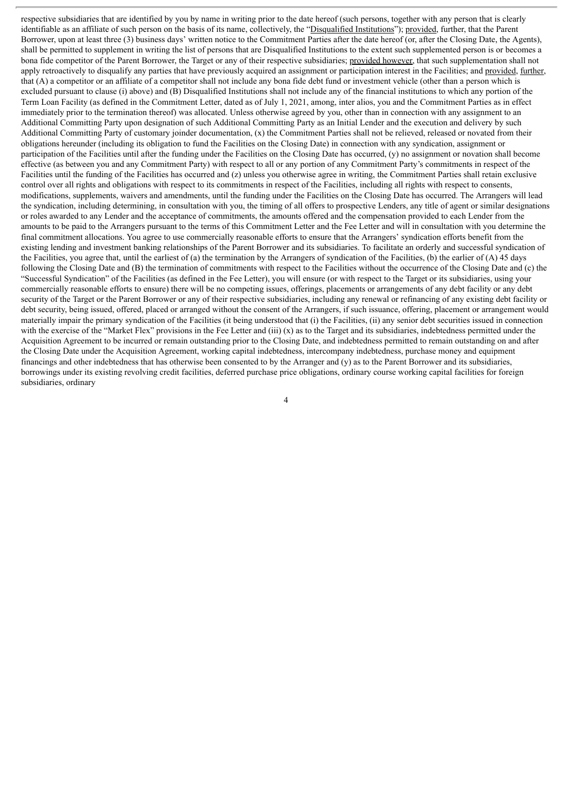respective subsidiaries that are identified by you by name in writing prior to the date hereof (such persons, together with any person that is clearly identifiable as an affiliate of such person on the basis of its name, collectively, the "Disqualified Institutions"); provided, further, that the Parent Borrower, upon at least three (3) business days' written notice to the Commitment Parties after the date hereof (or, after the Closing Date, the Agents), shall be permitted to supplement in writing the list of persons that are Disqualified Institutions to the extent such supplemented person is or becomes a bona fide competitor of the Parent Borrower, the Target or any of their respective subsidiaries; provided however, that such supplementation shall not apply retroactively to disqualify any parties that have previously acquired an assignment or participation interest in the Facilities; and provided, further, that (A) a competitor or an affiliate of a competitor shall not include any bona fide debt fund or investment vehicle (other than a person which is excluded pursuant to clause (i) above) and (B) Disqualified Institutions shall not include any of the financial institutions to which any portion of the Term Loan Facility (as defined in the Commitment Letter, dated as of July 1, 2021, among, inter alios, you and the Commitment Parties as in effect immediately prior to the termination thereof) was allocated. Unless otherwise agreed by you, other than in connection with any assignment to an Additional Committing Party upon designation of such Additional Committing Party as an Initial Lender and the execution and delivery by such Additional Committing Party of customary joinder documentation, (x) the Commitment Parties shall not be relieved, released or novated from their obligations hereunder (including its obligation to fund the Facilities on the Closing Date) in connection with any syndication, assignment or participation of the Facilities until after the funding under the Facilities on the Closing Date has occurred, (y) no assignment or novation shall become effective (as between you and any Commitment Party) with respect to all or any portion of any Commitment Party's commitments in respect of the Facilities until the funding of the Facilities has occurred and (z) unless you otherwise agree in writing, the Commitment Parties shall retain exclusive control over all rights and obligations with respect to its commitments in respect of the Facilities, including all rights with respect to consents, modifications, supplements, waivers and amendments, until the funding under the Facilities on the Closing Date has occurred. The Arrangers will lead the syndication, including determining, in consultation with you, the timing of all offers to prospective Lenders, any title of agent or similar designations or roles awarded to any Lender and the acceptance of commitments, the amounts offered and the compensation provided to each Lender from the amounts to be paid to the Arrangers pursuant to the terms of this Commitment Letter and the Fee Letter and will in consultation with you determine the final commitment allocations. You agree to use commercially reasonable efforts to ensure that the Arrangers' syndication efforts benefit from the existing lending and investment banking relationships of the Parent Borrower and its subsidiaries. To facilitate an orderly and successful syndication of the Facilities, you agree that, until the earliest of (a) the termination by the Arrangers of syndication of the Facilities, (b) the earlier of (A) 45 days following the Closing Date and (B) the termination of commitments with respect to the Facilities without the occurrence of the Closing Date and (c) the "Successful Syndication" of the Facilities (as defined in the Fee Letter), you will ensure (or with respect to the Target or its subsidiaries, using your commercially reasonable efforts to ensure) there will be no competing issues, offerings, placements or arrangements of any debt facility or any debt security of the Target or the Parent Borrower or any of their respective subsidiaries, including any renewal or refinancing of any existing debt facility or debt security, being issued, offered, placed or arranged without the consent of the Arrangers, if such issuance, offering, placement or arrangement would materially impair the primary syndication of the Facilities (it being understood that (i) the Facilities, (ii) any senior debt securities issued in connection with the exercise of the "Market Flex" provisions in the Fee Letter and (iii) (x) as to the Target and its subsidiaries, indebtedness permitted under the Acquisition Agreement to be incurred or remain outstanding prior to the Closing Date, and indebtedness permitted to remain outstanding on and after the Closing Date under the Acquisition Agreement, working capital indebtedness, intercompany indebtedness, purchase money and equipment financings and other indebtedness that has otherwise been consented to by the Arranger and  $(y)$  as to the Parent Borrower and its subsidiaries, borrowings under its existing revolving credit facilities, deferred purchase price obligations, ordinary course working capital facilities for foreign subsidiaries, ordinary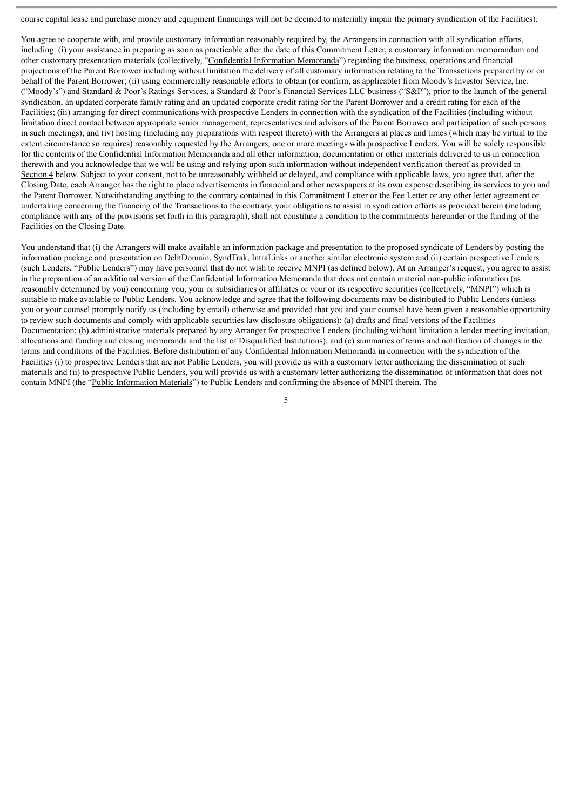course capital lease and purchase money and equipment financings will not be deemed to materially impair the primary syndication of the Facilities).

You agree to cooperate with, and provide customary information reasonably required by, the Arrangers in connection with all syndication efforts, including: (i) your assistance in preparing as soon as practicable after the date of this Commitment Letter, a customary information memorandum and other customary presentation materials (collectively, "Confidential Information Memoranda") regarding the business, operations and financial projections of the Parent Borrower including without limitation the delivery of all customary information relating to the Transactions prepared by or on behalf of the Parent Borrower; (ii) using commercially reasonable efforts to obtain (or confirm, as applicable) from Moody's Investor Service, Inc. ("Moody's") and Standard & Poor's Ratings Services, a Standard & Poor's Financial Services LLC business ("S&P"), prior to the launch of the general syndication, an updated corporate family rating and an updated corporate credit rating for the Parent Borrower and a credit rating for each of the Facilities; (iii) arranging for direct communications with prospective Lenders in connection with the syndication of the Facilities (including without limitation direct contact between appropriate senior management, representatives and advisors of the Parent Borrower and participation of such persons in such meetings); and (iv) hosting (including any preparations with respect thereto) with the Arrangers at places and times (which may be virtual to the extent circumstance so requires) reasonably requested by the Arrangers, one or more meetings with prospective Lenders. You will be solely responsible for the contents of the Confidential Information Memoranda and all other information, documentation or other materials delivered to us in connection therewith and you acknowledge that we will be using and relying upon such information without independent verification thereof as provided in Section 4 below. Subject to your consent, not to be unreasonably withheld or delayed, and compliance with applicable laws, you agree that, after the Closing Date, each Arranger has the right to place advertisements in financial and other newspapers at its own expense describing its services to you and the Parent Borrower. Notwithstanding anything to the contrary contained in this Commitment Letter or the Fee Letter or any other letter agreement or undertaking concerning the financing of the Transactions to the contrary, your obligations to assist in syndication efforts as provided herein (including compliance with any of the provisions set forth in this paragraph), shall not constitute a condition to the commitments hereunder or the funding of the Facilities on the Closing Date.

You understand that (i) the Arrangers will make available an information package and presentation to the proposed syndicate of Lenders by posting the information package and presentation on DebtDomain, SyndTrak, IntraLinks or another similar electronic system and (ii) certain prospective Lenders (such Lenders, "Public Lenders") may have personnel that do not wish to receive MNPI (as defined below). At an Arranger's request, you agree to assist in the preparation of an additional version of the Confidential Information Memoranda that does not contain material non-public information (as reasonably determined by you) concerning you, your or subsidiaries or affiliates or your or its respective securities (collectively, "MNPI") which is suitable to make available to Public Lenders. You acknowledge and agree that the following documents may be distributed to Public Lenders (unless you or your counsel promptly notify us (including by email) otherwise and provided that you and your counsel have been given a reasonable opportunity to review such documents and comply with applicable securities law disclosure obligations): (a) drafts and final versions of the Facilities Documentation; (b) administrative materials prepared by any Arranger for prospective Lenders (including without limitation a lender meeting invitation, allocations and funding and closing memoranda and the list of Disqualified Institutions); and (c) summaries of terms and notification of changes in the terms and conditions of the Facilities. Before distribution of any Confidential Information Memoranda in connection with the syndication of the Facilities (i) to prospective Lenders that are not Public Lenders, you will provide us with a customary letter authorizing the dissemination of such materials and (ii) to prospective Public Lenders, you will provide us with a customary letter authorizing the dissemination of information that does not contain MNPI (the "Public Information Materials") to Public Lenders and confirming the absence of MNPI therein. The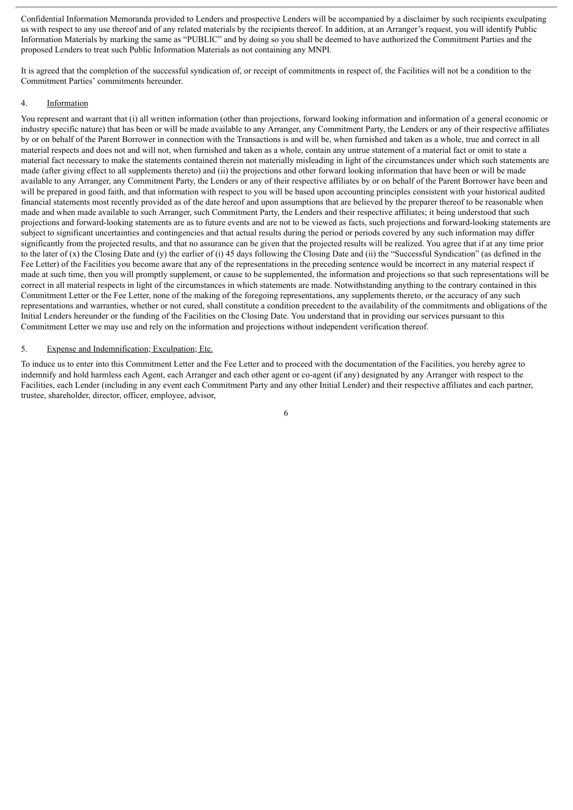Confidential Information Memoranda provided to Lenders and prospective Lenders will be accompanied by a disclaimer by such recipients exculpating us with respect to any use thereof and of any related materials by the recipients thereof. In addition, at an Arranger's request, you will identify Public Information Materials by marking the same as "PUBLIC" and by doing so you shall be deemed to have authorized the Commitment Parties and the proposed Lenders to treat such Public Information Materials as not containing any MNPI.

It is agreed that the completion of the successful syndication of, or receipt of commitments in respect of, the Facilities will not be a condition to the Commitment Parties' commitments hereunder.

#### 4. Information

You represent and warrant that (i) all written information (other than projections, forward looking information and information of a general economic or industry specific nature) that has been or will be made available to any Arranger, any Commitment Party, the Lenders or any of their respective affiliates by or on behalf of the Parent Borrower in connection with the Transactions is and will be, when furnished and taken as a whole, true and correct in all material respects and does not and will not, when furnished and taken as a whole, contain any untrue statement of a material fact or omit to state a material fact necessary to make the statements contained therein not materially misleading in light of the circumstances under which such statements are made (after giving effect to all supplements thereto) and (ii) the projections and other forward looking information that have been or will be made available to any Arranger, any Commitment Party, the Lenders or any of their respective affiliates by or on behalf of the Parent Borrower have been and will be prepared in good faith, and that information with respect to you will be based upon accounting principles consistent with your historical audited financial statements most recently provided as of the date hereof and upon assumptions that are believed by the preparer thereof to be reasonable when made and when made available to such Arranger, such Commitment Party, the Lenders and their respective affiliates; it being understood that such projections and forward-looking statements are as to future events and are not to be viewed as facts, such projections and forward-looking statements are subject to significant uncertainties and contingencies and that actual results during the period or periods covered by any such information may differ significantly from the projected results, and that no assurance can be given that the projected results will be realized. You agree that if at any time prior to the later of  $(x)$  the Closing Date and  $(y)$  the earlier of (i) 45 days following the Closing Date and (ii) the "Successful Syndication" (as defined in the Fee Letter) of the Facilities you become aware that any of the representations in the preceding sentence would be incorrect in any material respect if made at such time, then you will promptly supplement, or cause to be supplemented, the information and projections so that such representations will be correct in all material respects in light of the circumstances in which statements are made. Notwithstanding anything to the contrary contained in this Commitment Letter or the Fee Letter, none of the making of the foregoing representations, any supplements thereto, or the accuracy of any such representations and warranties, whether or not cured, shall constitute a condition precedent to the availability of the commitments and obligations of the Initial Lenders hereunder or the funding of the Facilities on the Closing Date. You understand that in providing our services pursuant to this Commitment Letter we may use and rely on the information and projections without independent verification thereof.

#### 5. Expense and Indemnification; Exculpation; Etc.

To induce us to enter into this Commitment Letter and the Fee Letter and to proceed with the documentation of the Facilities, you hereby agree to indemnify and hold harmless each Agent, each Arranger and each other agent or co-agent (if any) designated by any Arranger with respect to the Facilities, each Lender (including in any event each Commitment Party and any other Initial Lender) and their respective affiliates and each partner, trustee, shareholder, director, officer, employee, advisor,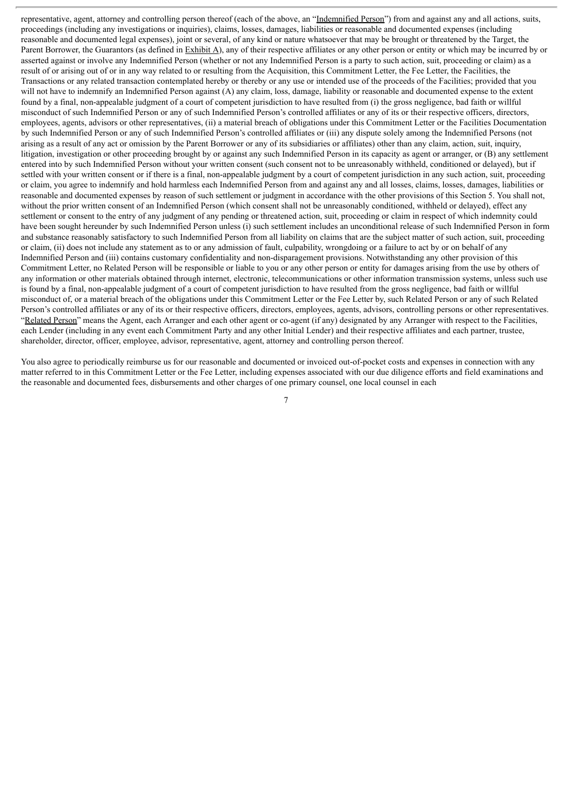representative, agent, attorney and controlling person thereof (each of the above, an "Indemnified Person") from and against any and all actions, suits, proceedings (including any investigations or inquiries), claims, losses, damages, liabilities or reasonable and documented expenses (including reasonable and documented legal expenses), joint or several, of any kind or nature whatsoever that may be brought or threatened by the Target, the Parent Borrower, the Guarantors (as defined in Exhibit A), any of their respective affiliates or any other person or entity or which may be incurred by or asserted against or involve any Indemnified Person (whether or not any Indemnified Person is a party to such action, suit, proceeding or claim) as a result of or arising out of or in any way related to or resulting from the Acquisition, this Commitment Letter, the Fee Letter, the Facilities, the Transactions or any related transaction contemplated hereby or thereby or any use or intended use of the proceeds of the Facilities; provided that you will not have to indemnify an Indemnified Person against (A) any claim, loss, damage, liability or reasonable and documented expense to the extent found by a final, non-appealable judgment of a court of competent jurisdiction to have resulted from (i) the gross negligence, bad faith or willful misconduct of such Indemnified Person or any of such Indemnified Person's controlled affiliates or any of its or their respective officers, directors, employees, agents, advisors or other representatives, (ii) a material breach of obligations under this Commitment Letter or the Facilities Documentation by such Indemnified Person or any of such Indemnified Person's controlled affiliates or (iii) any dispute solely among the Indemnified Persons (not arising as a result of any act or omission by the Parent Borrower or any of its subsidiaries or affiliates) other than any claim, action, suit, inquiry, litigation, investigation or other proceeding brought by or against any such Indemnified Person in its capacity as agent or arranger, or (B) any settlement entered into by such Indemnified Person without your written consent (such consent not to be unreasonably withheld, conditioned or delayed), but if settled with your written consent or if there is a final, non-appealable judgment by a court of competent jurisdiction in any such action, suit, proceeding or claim, you agree to indemnify and hold harmless each Indemnified Person from and against any and all losses, claims, losses, damages, liabilities or reasonable and documented expenses by reason of such settlement or judgment in accordance with the other provisions of this Section 5. You shall not, without the prior written consent of an Indemnified Person (which consent shall not be unreasonably conditioned, withheld or delayed), effect any settlement or consent to the entry of any judgment of any pending or threatened action, suit, proceeding or claim in respect of which indemnity could have been sought hereunder by such Indemnified Person unless (i) such settlement includes an unconditional release of such Indemnified Person in form and substance reasonably satisfactory to such Indemnified Person from all liability on claims that are the subject matter of such action, suit, proceeding or claim, (ii) does not include any statement as to or any admission of fault, culpability, wrongdoing or a failure to act by or on behalf of any Indemnified Person and (iii) contains customary confidentiality and non-disparagement provisions. Notwithstanding any other provision of this Commitment Letter, no Related Person will be responsible or liable to you or any other person or entity for damages arising from the use by others of any information or other materials obtained through internet, electronic, telecommunications or other information transmission systems, unless such use is found by a final, non-appealable judgment of a court of competent jurisdiction to have resulted from the gross negligence, bad faith or willful misconduct of, or a material breach of the obligations under this Commitment Letter or the Fee Letter by, such Related Person or any of such Related Person's controlled affiliates or any of its or their respective officers, directors, employees, agents, advisors, controlling persons or other representatives. "Related Person" means the Agent, each Arranger and each other agent or co-agent (if any) designated by any Arranger with respect to the Facilities, each Lender (including in any event each Commitment Party and any other Initial Lender) and their respective affiliates and each partner, trustee, shareholder, director, officer, employee, advisor, representative, agent, attorney and controlling person thereof.

You also agree to periodically reimburse us for our reasonable and documented or invoiced out-of-pocket costs and expenses in connection with any matter referred to in this Commitment Letter or the Fee Letter, including expenses associated with our due diligence efforts and field examinations and the reasonable and documented fees, disbursements and other charges of one primary counsel, one local counsel in each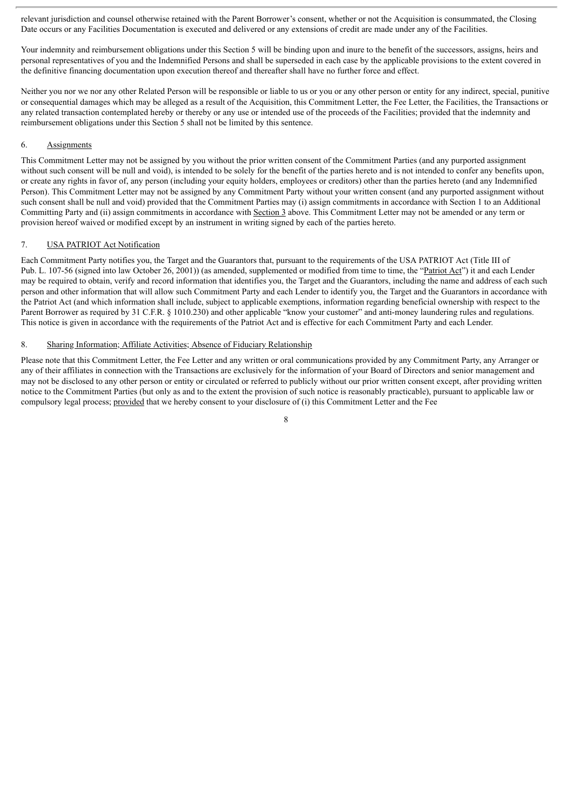relevant jurisdiction and counsel otherwise retained with the Parent Borrower's consent, whether or not the Acquisition is consummated, the Closing Date occurs or any Facilities Documentation is executed and delivered or any extensions of credit are made under any of the Facilities.

Your indemnity and reimbursement obligations under this Section 5 will be binding upon and inure to the benefit of the successors, assigns, heirs and personal representatives of you and the Indemnified Persons and shall be superseded in each case by the applicable provisions to the extent covered in the definitive financing documentation upon execution thereof and thereafter shall have no further force and effect.

Neither you nor we nor any other Related Person will be responsible or liable to us or you or any other person or entity for any indirect, special, punitive or consequential damages which may be alleged as a result of the Acquisition, this Commitment Letter, the Fee Letter, the Facilities, the Transactions or any related transaction contemplated hereby or thereby or any use or intended use of the proceeds of the Facilities; provided that the indemnity and reimbursement obligations under this Section 5 shall not be limited by this sentence.

#### 6. Assignments

This Commitment Letter may not be assigned by you without the prior written consent of the Commitment Parties (and any purported assignment without such consent will be null and void), is intended to be solely for the benefit of the parties hereto and is not intended to confer any benefits upon, or create any rights in favor of, any person (including your equity holders, employees or creditors) other than the parties hereto (and any Indemnified Person). This Commitment Letter may not be assigned by any Commitment Party without your written consent (and any purported assignment without such consent shall be null and void) provided that the Commitment Parties may (i) assign commitments in accordance with Section 1 to an Additional Committing Party and (ii) assign commitments in accordance with Section 3 above. This Commitment Letter may not be amended or any term or provision hereof waived or modified except by an instrument in writing signed by each of the parties hereto.

#### 7. USA PATRIOT Act Notification

Each Commitment Party notifies you, the Target and the Guarantors that, pursuant to the requirements of the USA PATRIOT Act (Title III of Pub. L. 107-56 (signed into law October 26, 2001)) (as amended, supplemented or modified from time to time, the "Patriot Act") it and each Lender may be required to obtain, verify and record information that identifies you, the Target and the Guarantors, including the name and address of each such person and other information that will allow such Commitment Party and each Lender to identify you, the Target and the Guarantors in accordance with the Patriot Act (and which information shall include, subject to applicable exemptions, information regarding beneficial ownership with respect to the Parent Borrower as required by 31 C.F.R. § 1010.230) and other applicable "know your customer" and anti-money laundering rules and regulations. This notice is given in accordance with the requirements of the Patriot Act and is effective for each Commitment Party and each Lender.

#### 8. Sharing Information; Affiliate Activities; Absence of Fiduciary Relationship

Please note that this Commitment Letter, the Fee Letter and any written or oral communications provided by any Commitment Party, any Arranger or any of their affiliates in connection with the Transactions are exclusively for the information of your Board of Directors and senior management and may not be disclosed to any other person or entity or circulated or referred to publicly without our prior written consent except, after providing written notice to the Commitment Parties (but only as and to the extent the provision of such notice is reasonably practicable), pursuant to applicable law or compulsory legal process; provided that we hereby consent to your disclosure of (i) this Commitment Letter and the Fee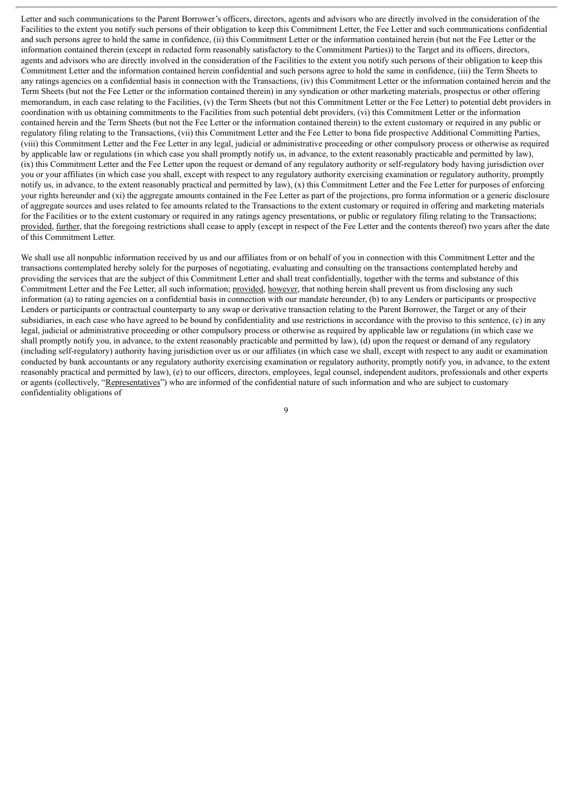Letter and such communications to the Parent Borrower's officers, directors, agents and advisors who are directly involved in the consideration of the Facilities to the extent you notify such persons of their obligation to keep this Commitment Letter, the Fee Letter and such communications confidential and such persons agree to hold the same in confidence, (ii) this Commitment Letter or the information contained herein (but not the Fee Letter or the information contained therein (except in redacted form reasonably satisfactory to the Commitment Parties)) to the Target and its officers, directors, agents and advisors who are directly involved in the consideration of the Facilities to the extent you notify such persons of their obligation to keep this Commitment Letter and the information contained herein confidential and such persons agree to hold the same in confidence, (iii) the Term Sheets to any ratings agencies on a confidential basis in connection with the Transactions, (iv) this Commitment Letter or the information contained herein and the Term Sheets (but not the Fee Letter or the information contained therein) in any syndication or other marketing materials, prospectus or other offering memorandum, in each case relating to the Facilities, (v) the Term Sheets (but not this Commitment Letter or the Fee Letter) to potential debt providers in coordination with us obtaining commitments to the Facilities from such potential debt providers, (vi) this Commitment Letter or the information contained herein and the Term Sheets (but not the Fee Letter or the information contained therein) to the extent customary or required in any public or regulatory filing relating to the Transactions, (vii) this Commitment Letter and the Fee Letter to bona fide prospective Additional Committing Parties, (viii) this Commitment Letter and the Fee Letter in any legal, judicial or administrative proceeding or other compulsory process or otherwise as required by applicable law or regulations (in which case you shall promptly notify us, in advance, to the extent reasonably practicable and permitted by law), (ix) this Commitment Letter and the Fee Letter upon the request or demand of any regulatory authority or self-regulatory body having jurisdiction over you or your affiliates (in which case you shall, except with respect to any regulatory authority exercising examination or regulatory authority, promptly notify us, in advance, to the extent reasonably practical and permitted by law), (x) this Commitment Letter and the Fee Letter for purposes of enforcing your rights hereunder and (xi) the aggregate amounts contained in the Fee Letter as part of the projections, pro forma information or a generic disclosure of aggregate sources and uses related to fee amounts related to the Transactions to the extent customary or required in offering and marketing materials for the Facilities or to the extent customary or required in any ratings agency presentations, or public or regulatory filing relating to the Transactions; provided, further, that the foregoing restrictions shall cease to apply (except in respect of the Fee Letter and the contents thereof) two years after the date of this Commitment Letter.

We shall use all nonpublic information received by us and our affiliates from or on behalf of you in connection with this Commitment Letter and the transactions contemplated hereby solely for the purposes of negotiating, evaluating and consulting on the transactions contemplated hereby and providing the services that are the subject of this Commitment Letter and shall treat confidentially, together with the terms and substance of this Commitment Letter and the Fee Letter, all such information; provided, however, that nothing herein shall prevent us from disclosing any such information (a) to rating agencies on a confidential basis in connection with our mandate hereunder, (b) to any Lenders or participants or prospective Lenders or participants or contractual counterparty to any swap or derivative transaction relating to the Parent Borrower, the Target or any of their subsidiaries, in each case who have agreed to be bound by confidentiality and use restrictions in accordance with the proviso to this sentence, (c) in any legal, judicial or administrative proceeding or other compulsory process or otherwise as required by applicable law or regulations (in which case we shall promptly notify you, in advance, to the extent reasonably practicable and permitted by law), (d) upon the request or demand of any regulatory (including self-regulatory) authority having jurisdiction over us or our affiliates (in which case we shall, except with respect to any audit or examination conducted by bank accountants or any regulatory authority exercising examination or regulatory authority, promptly notify you, in advance, to the extent reasonably practical and permitted by law), (e) to our officers, directors, employees, legal counsel, independent auditors, professionals and other experts or agents (collectively, "Representatives") who are informed of the confidential nature of such information and who are subject to customary confidentiality obligations of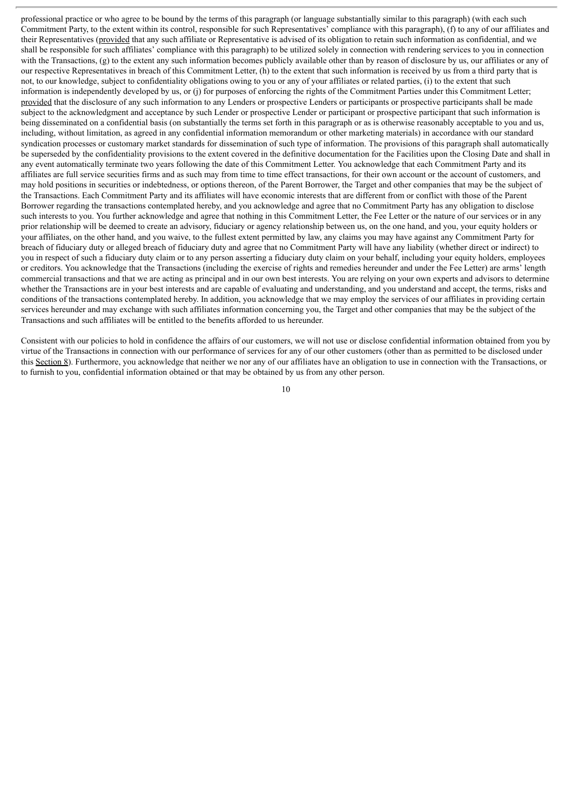professional practice or who agree to be bound by the terms of this paragraph (or language substantially similar to this paragraph) (with each such Commitment Party, to the extent within its control, responsible for such Representatives' compliance with this paragraph), (f) to any of our affiliates and their Representatives (provided that any such affiliate or Representative is advised of its obligation to retain such information as confidential, and we shall be responsible for such affiliates' compliance with this paragraph) to be utilized solely in connection with rendering services to you in connection with the Transactions, (g) to the extent any such information becomes publicly available other than by reason of disclosure by us, our affiliates or any of our respective Representatives in breach of this Commitment Letter, (h) to the extent that such information is received by us from a third party that is not, to our knowledge, subject to confidentiality obligations owing to you or any of your affiliates or related parties, (i) to the extent that such information is independently developed by us, or (j) for purposes of enforcing the rights of the Commitment Parties under this Commitment Letter; provided that the disclosure of any such information to any Lenders or prospective Lenders or participants or prospective participants shall be made subject to the acknowledgment and acceptance by such Lender or prospective Lender or participant or prospective participant that such information is being disseminated on a confidential basis (on substantially the terms set forth in this paragraph or as is otherwise reasonably acceptable to you and us, including, without limitation, as agreed in any confidential information memorandum or other marketing materials) in accordance with our standard syndication processes or customary market standards for dissemination of such type of information. The provisions of this paragraph shall automatically be superseded by the confidentiality provisions to the extent covered in the definitive documentation for the Facilities upon the Closing Date and shall in any event automatically terminate two years following the date of this Commitment Letter. You acknowledge that each Commitment Party and its affiliates are full service securities firms and as such may from time to time effect transactions, for their own account or the account of customers, and may hold positions in securities or indebtedness, or options thereon, of the Parent Borrower, the Target and other companies that may be the subject of the Transactions. Each Commitment Party and its affiliates will have economic interests that are different from or conflict with those of the Parent Borrower regarding the transactions contemplated hereby, and you acknowledge and agree that no Commitment Party has any obligation to disclose such interests to you. You further acknowledge and agree that nothing in this Commitment Letter, the Fee Letter or the nature of our services or in any prior relationship will be deemed to create an advisory, fiduciary or agency relationship between us, on the one hand, and you, your equity holders or your affiliates, on the other hand, and you waive, to the fullest extent permitted by law, any claims you may have against any Commitment Party for breach of fiduciary duty or alleged breach of fiduciary duty and agree that no Commitment Party will have any liability (whether direct or indirect) to you in respect of such a fiduciary duty claim or to any person asserting a fiduciary duty claim on your behalf, including your equity holders, employees or creditors. You acknowledge that the Transactions (including the exercise of rights and remedies hereunder and under the Fee Letter) are arms' length commercial transactions and that we are acting as principal and in our own best interests. You are relying on your own experts and advisors to determine whether the Transactions are in your best interests and are capable of evaluating and understanding, and you understand and accept, the terms, risks and conditions of the transactions contemplated hereby. In addition, you acknowledge that we may employ the services of our affiliates in providing certain services hereunder and may exchange with such affiliates information concerning you, the Target and other companies that may be the subject of the Transactions and such affiliates will be entitled to the benefits afforded to us hereunder.

Consistent with our policies to hold in confidence the affairs of our customers, we will not use or disclose confidential information obtained from you by virtue of the Transactions in connection with our performance of services for any of our other customers (other than as permitted to be disclosed under this Section 8). Furthermore, you acknowledge that neither we nor any of our affiliates have an obligation to use in connection with the Transactions, or to furnish to you, confidential information obtained or that may be obtained by us from any other person.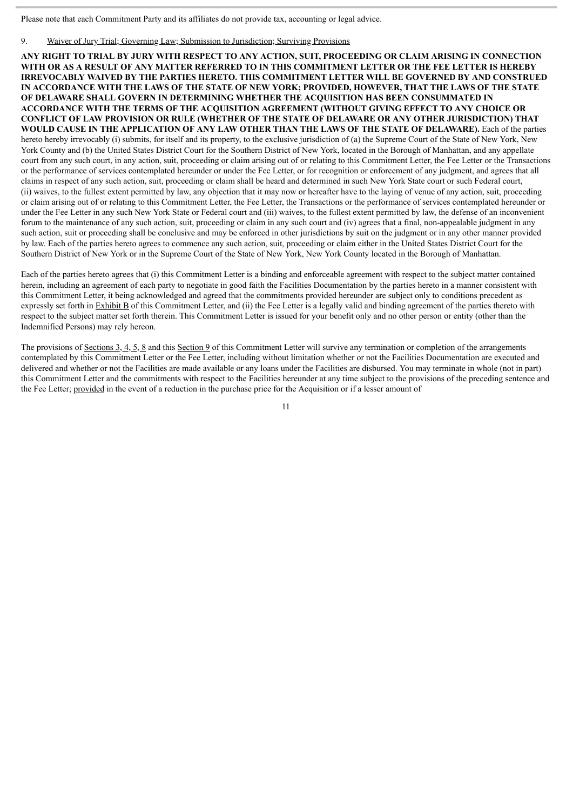Please note that each Commitment Party and its affiliates do not provide tax, accounting or legal advice.

#### 9. Waiver of Jury Trial; Governing Law; Submission to Jurisdiction; Surviving Provisions

ANY RIGHT TO TRIAL BY JURY WITH RESPECT TO ANY ACTION. SUIT. PROCEEDING OR CLAIM ARISING IN CONNECTION WITH OR AS A RESULT OF ANY MATTER REFERRED TO IN THIS COMMITMENT LETTER OR THE FEE LETTER IS HEREBY **IRREVOCABLY WAIVED BY THE PARTIES HERETO. THIS COMMITMENT LETTER WILL BE GOVERNED BY AND CONSTRUED** IN ACCORDANCE WITH THE LAWS OF THE STATE OF NEW YORK; PROVIDED, HOWEVER, THAT THE LAWS OF THE STATE **OF DELAWARE SHALL GOVERN IN DETERMINING WHETHER THE ACQUISITION HAS BEEN CONSUMMATED IN ACCORDANCE WITH THE TERMS OF THE ACQUISITION AGREEMENT (WITHOUT GIVING EFFECT TO ANY CHOICE OR CONFLICT OF LAW PROVISION OR RULE (WHETHER OF THE STATE OF DELAWARE OR ANY OTHER JURISDICTION) THAT** WOULD CAUSE IN THE APPLICATION OF ANY LAW OTHER THAN THE LAWS OF THE STATE OF DELAWARE). Each of the parties hereto hereby irrevocably (i) submits, for itself and its property, to the exclusive jurisdiction of (a) the Supreme Court of the State of New York, New York County and (b) the United States District Court for the Southern District of New York, located in the Borough of Manhattan, and any appellate court from any such court, in any action, suit, proceeding or claim arising out of or relating to this Commitment Letter, the Fee Letter or the Transactions or the performance of services contemplated hereunder or under the Fee Letter, or for recognition or enforcement of any judgment, and agrees that all claims in respect of any such action, suit, proceeding or claim shall be heard and determined in such New York State court or such Federal court, (ii) waives, to the fullest extent permitted by law, any objection that it may now or hereafter have to the laying of venue of any action, suit, proceeding or claim arising out of or relating to this Commitment Letter, the Fee Letter, the Transactions or the performance of services contemplated hereunder or under the Fee Letter in any such New York State or Federal court and (iii) waives, to the fullest extent permitted by law, the defense of an inconvenient forum to the maintenance of any such action, suit, proceeding or claim in any such court and (iv) agrees that a final, non-appealable judgment in any such action, suit or proceeding shall be conclusive and may be enforced in other jurisdictions by suit on the judgment or in any other manner provided by law. Each of the parties hereto agrees to commence any such action, suit, proceeding or claim either in the United States District Court for the Southern District of New York or in the Supreme Court of the State of New York, New York County located in the Borough of Manhattan.

Each of the parties hereto agrees that (i) this Commitment Letter is a binding and enforceable agreement with respect to the subject matter contained herein, including an agreement of each party to negotiate in good faith the Facilities Documentation by the parties hereto in a manner consistent with this Commitment Letter, it being acknowledged and agreed that the commitments provided hereunder are subject only to conditions precedent as expressly set forth in Exhibit B of this Commitment Letter, and (ii) the Fee Letter is a legally valid and binding agreement of the parties thereto with respect to the subject matter set forth therein. This Commitment Letter is issued for your benefit only and no other person or entity (other than the Indemnified Persons) may rely hereon.

The provisions of <u>Sections 3, 4, 5, 8</u> and this Section 9 of this Commitment Letter will survive any termination or completion of the arrangements contemplated by this Commitment Letter or the Fee Letter, including without limitation whether or not the Facilities Documentation are executed and delivered and whether or not the Facilities are made available or any loans under the Facilities are disbursed. You may terminate in whole (not in part) this Commitment Letter and the commitments with respect to the Facilities hereunder at any time subject to the provisions of the preceding sentence and the Fee Letter; provided in the event of a reduction in the purchase price for the Acquisition or if a lesser amount of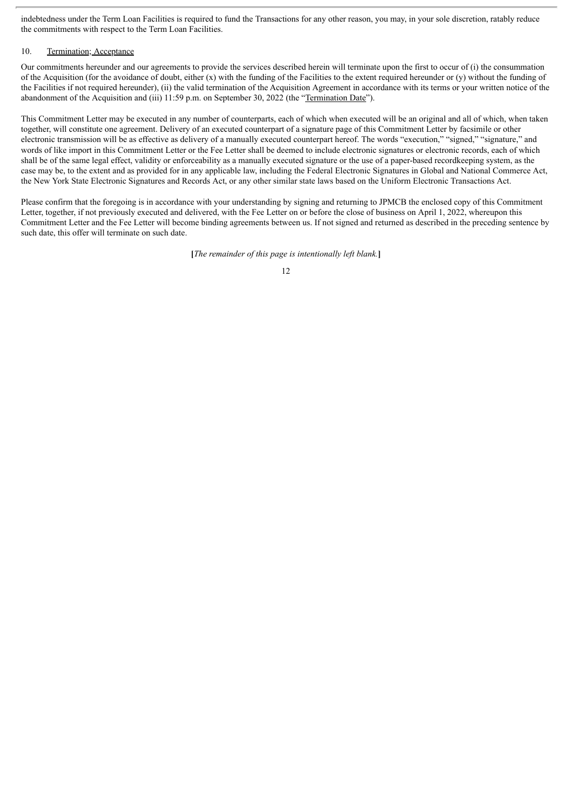indebtedness under the Term Loan Facilities is required to fund the Transactions for any other reason, you may, in your sole discretion, ratably reduce the commitments with respect to the Term Loan Facilities.

#### 10. Termination; Acceptance

Our commitments hereunder and our agreements to provide the services described herein will terminate upon the first to occur of (i) the consummation of the Acquisition (for the avoidance of doubt, either  $(x)$  with the funding of the Facilities to the extent required hereunder or  $(y)$  without the funding of the Facilities if not required hereunder), (ii) the valid termination of the Acquisition Agreement in accordance with its terms or your written notice of the abandonment of the Acquisition and (iii) 11:59 p.m. on September 30, 2022 (the "Termination Date").

This Commitment Letter may be executed in any number of counterparts, each of which when executed will be an original and all of which, when taken together, will constitute one agreement. Delivery of an executed counterpart of a signature page of this Commitment Letter by facsimile or other electronic transmission will be as effective as delivery of a manually executed counterpart hereof. The words "execution," "signed," "signature," and words of like import in this Commitment Letter or the Fee Letter shall be deemed to include electronic signatures or electronic records, each of which shall be of the same legal effect, validity or enforceability as a manually executed signature or the use of a paper-based recordkeeping system, as the case may be, to the extent and as provided for in any applicable law, including the Federal Electronic Signatures in Global and National Commerce Act, the New York State Electronic Signatures and Records Act, or any other similar state laws based on the Uniform Electronic Transactions Act.

Please confirm that the foregoing is in accordance with your understanding by signing and returning to JPMCB the enclosed copy of this Commitment Letter, together, if not previously executed and delivered, with the Fee Letter on or before the close of business on April 1, 2022, whereupon this Commitment Letter and the Fee Letter will become binding agreements between us. If not signed and returned as described in the preceding sentence by such date, this offer will terminate on such date.

**[***The remainder of this page is intentionally left blank.***]**

<sup>12</sup>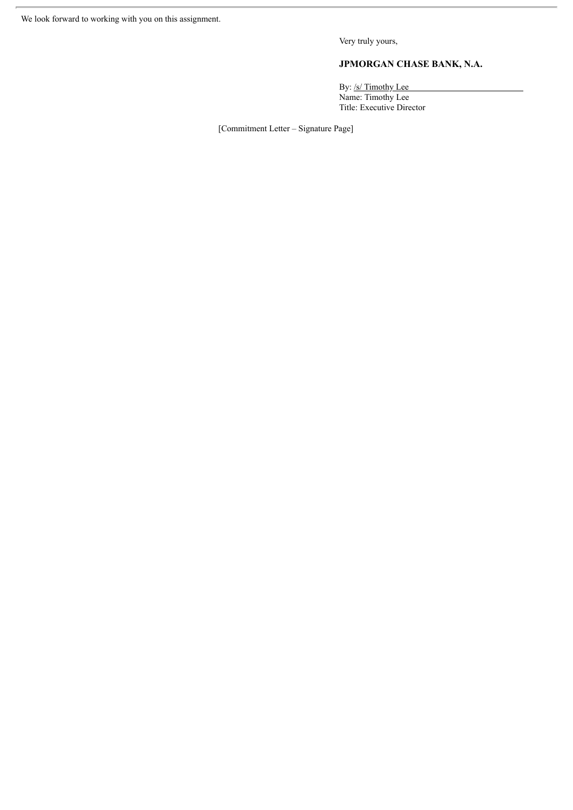We look forward to working with you on this assignment.

Very truly yours,

#### **JPMORGAN CHASE BANK, N.A.**

By: /s/ Timothy Lee Name: Timothy Lee Title: Executive Director

[Commitment Letter – Signature Page]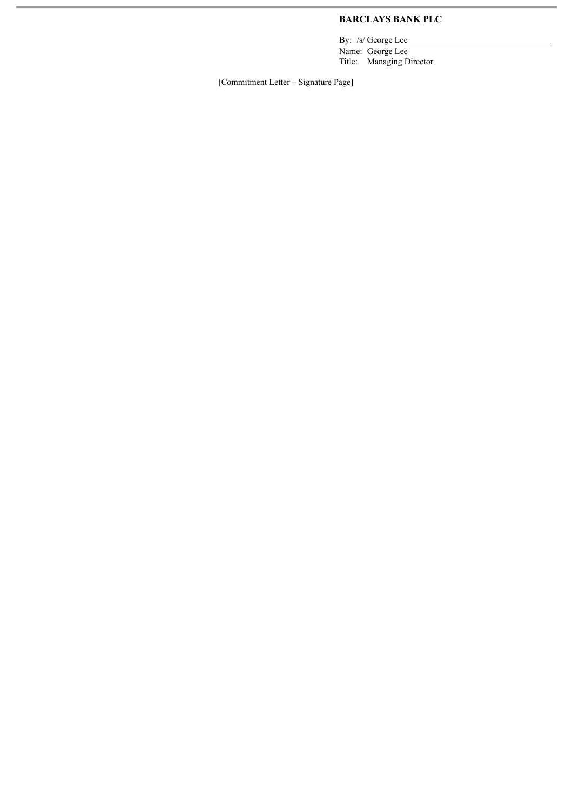#### **BARCLAYS BANK PLC**

By: /s/ George Lee Name: George Lee Title: Managing Director

[Commitment Letter – Signature Page]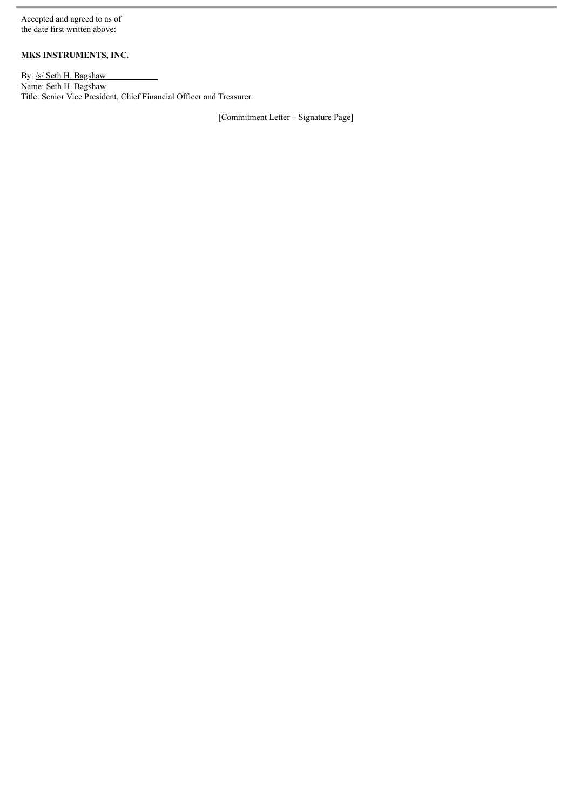Accepted and agreed to as of the date first written above:

#### **MKS INSTRUMENTS, INC.**

By: /s/ Seth H. Bagshaw Name: Seth H. Bagshaw Title: Senior Vice President, Chief Financial Officer and Treasurer

[Commitment Letter – Signature Page]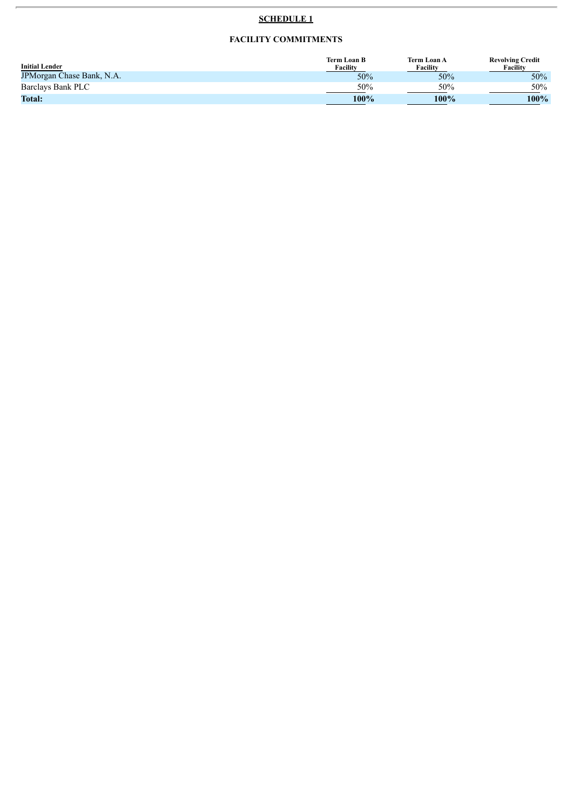#### **SCHEDULE 1**

 $\bar{r}$ 

#### **FACILITY COMMITMENTS**

| <b>Initial Lender</b>     | <b>Term Loan B</b><br>Facility | <b>Term Loan A</b><br>Facility | <b>Revolving Credit</b><br>Facility |
|---------------------------|--------------------------------|--------------------------------|-------------------------------------|
| JPMorgan Chase Bank, N.A. | 50%                            | 50%                            | 50%                                 |
| Barclays Bank PLC         | 50%                            | 50%                            | 50%                                 |
| <b>Total:</b>             | 100%                           | 100%                           | 100%                                |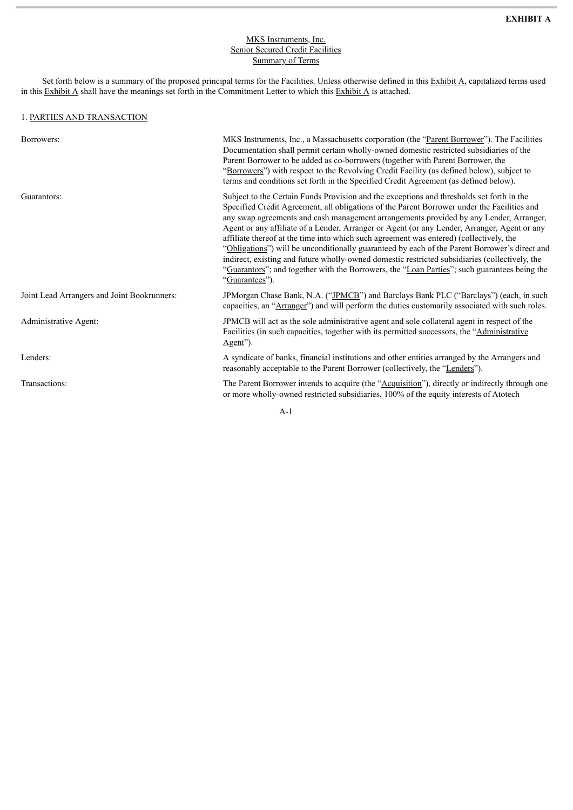#### MKS Instruments, Inc. Senior Secured Credit Facilities Summary of Terms

Set forth below is a summary of the proposed principal terms for the Facilities. Unless otherwise defined in this Exhibit A, capitalized terms used in this Exhibit A shall have the meanings set forth in the Commitment Letter to which this Exhibit A is attached.

#### 1. PARTIES AND TRANSACTION

| Borrowers:                                  | MKS Instruments, Inc., a Massachusetts corporation (the "Parent Borrower"). The Facilities<br>Documentation shall permit certain wholly-owned domestic restricted subsidiaries of the<br>Parent Borrower to be added as co-borrowers (together with Parent Borrower, the<br>"Borrowers") with respect to the Revolving Credit Facility (as defined below), subject to<br>terms and conditions set forth in the Specified Credit Agreement (as defined below).                                                                                                                                                                                                                                                                                                                                      |
|---------------------------------------------|----------------------------------------------------------------------------------------------------------------------------------------------------------------------------------------------------------------------------------------------------------------------------------------------------------------------------------------------------------------------------------------------------------------------------------------------------------------------------------------------------------------------------------------------------------------------------------------------------------------------------------------------------------------------------------------------------------------------------------------------------------------------------------------------------|
| Guarantors:                                 | Subject to the Certain Funds Provision and the exceptions and thresholds set forth in the<br>Specified Credit Agreement, all obligations of the Parent Borrower under the Facilities and<br>any swap agreements and cash management arrangements provided by any Lender, Arranger,<br>Agent or any affiliate of a Lender, Arranger or Agent (or any Lender, Arranger, Agent or any<br>affiliate thereof at the time into which such agreement was entered) (collectively, the<br>"Obligations") will be unconditionally guaranteed by each of the Parent Borrower's direct and<br>indirect, existing and future wholly-owned domestic restricted subsidiaries (collectively, the<br>"Guarantors"; and together with the Borrowers, the "Loan Parties"; such guarantees being the<br>"Guarantees"). |
| Joint Lead Arrangers and Joint Bookrunners: | JPMorgan Chase Bank, N.A. ("JPMCB") and Barclays Bank PLC ("Barclays") (each, in such<br>capacities, an "Arranger") and will perform the duties customarily associated with such roles.                                                                                                                                                                                                                                                                                                                                                                                                                                                                                                                                                                                                            |
| Administrative Agent:                       | JPMCB will act as the sole administrative agent and sole collateral agent in respect of the<br>Facilities (in such capacities, together with its permitted successors, the "Administrative"<br>$Again$ ").                                                                                                                                                                                                                                                                                                                                                                                                                                                                                                                                                                                         |
| Lenders:                                    | A syndicate of banks, financial institutions and other entities arranged by the Arrangers and<br>reasonably acceptable to the Parent Borrower (collectively, the "Lenders").                                                                                                                                                                                                                                                                                                                                                                                                                                                                                                                                                                                                                       |
| Transactions:                               | The Parent Borrower intends to acquire (the "Acquisition"), directly or indirectly through one<br>or more wholly-owned restricted subsidiaries, 100% of the equity interests of Atotech                                                                                                                                                                                                                                                                                                                                                                                                                                                                                                                                                                                                            |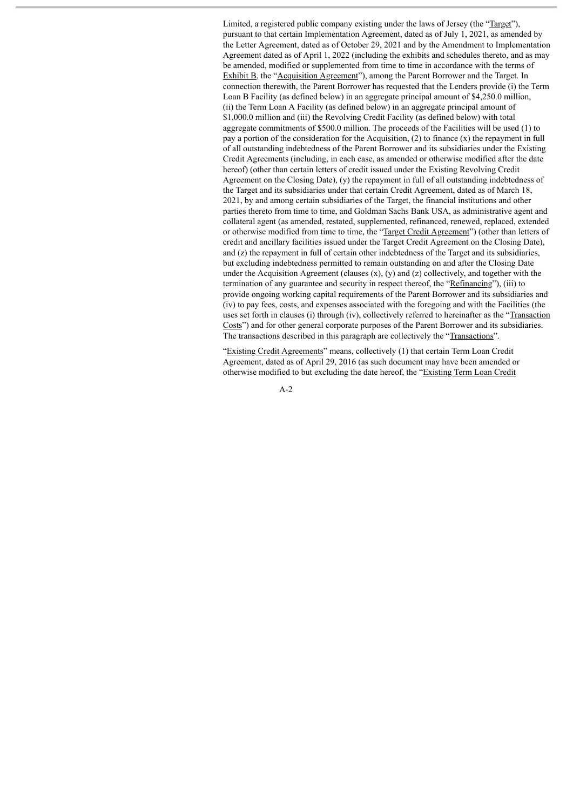Limited, a registered public company existing under the laws of Jersey (the "Target"), pursuant to that certain Implementation Agreement, dated as of July 1, 2021, as amended by the Letter Agreement, dated as of October 29, 2021 and by the Amendment to Implementation Agreement dated as of April 1, 2022 (including the exhibits and schedules thereto, and as may be amended, modified or supplemented from time to time in accordance with the terms of Exhibit B, the "Acquisition Agreement"), among the Parent Borrower and the Target. In connection therewith, the Parent Borrower has requested that the Lenders provide (i) the Term Loan B Facility (as defined below) in an aggregate principal amount of \$4,250.0 million, (ii) the Term Loan A Facility (as defined below) in an aggregate principal amount of \$1,000.0 million and (iii) the Revolving Credit Facility (as defined below) with total aggregate commitments of \$500.0 million. The proceeds of the Facilities will be used (1) to pay a portion of the consideration for the Acquisition, (2) to finance (x) the repayment in full of all outstanding indebtedness of the Parent Borrower and its subsidiaries under the Existing Credit Agreements (including, in each case, as amended or otherwise modified after the date hereof) (other than certain letters of credit issued under the Existing Revolving Credit Agreement on the Closing Date), (y) the repayment in full of all outstanding indebtedness of the Target and its subsidiaries under that certain Credit Agreement, dated as of March 18, 2021, by and among certain subsidiaries of the Target, the financial institutions and other parties thereto from time to time, and Goldman Sachs Bank USA, as administrative agent and collateral agent (as amended, restated, supplemented, refinanced, renewed, replaced, extended or otherwise modified from time to time, the "Target Credit Agreement") (other than letters of credit and ancillary facilities issued under the Target Credit Agreement on the Closing Date), and (z) the repayment in full of certain other indebtedness of the Target and its subsidiaries, but excluding indebtedness permitted to remain outstanding on and after the Closing Date under the Acquisition Agreement (clauses  $(x)$ ,  $(y)$  and  $(z)$  collectively, and together with the termination of any guarantee and security in respect thereof, the "Refinancing"), (iii) to provide ongoing working capital requirements of the Parent Borrower and its subsidiaries and (iv) to pay fees, costs, and expenses associated with the foregoing and with the Facilities (the uses set forth in clauses (i) through (iv), collectively referred to hereinafter as the "Transaction Costs") and for other general corporate purposes of the Parent Borrower and its subsidiaries. The transactions described in this paragraph are collectively the "Transactions".

"Existing Credit Agreements" means, collectively (1) that certain Term Loan Credit Agreement, dated as of April 29, 2016 (as such document may have been amended or otherwise modified to but excluding the date hereof, the "Existing Term Loan Credit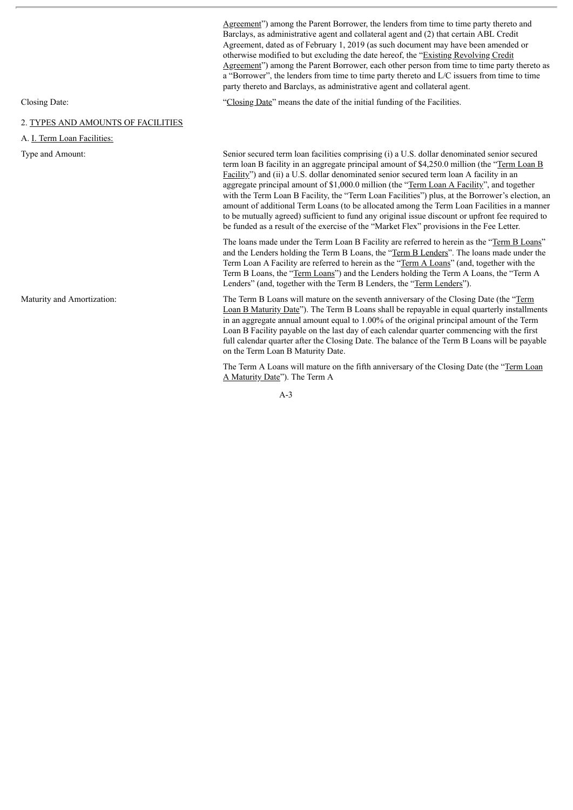Agreement") among the Parent Borrower, the lenders from time to time party thereto and Barclays, as administrative agent and collateral agent and (2) that certain ABL Credit Agreement, dated as of February 1, 2019 (as such document may have been amended or otherwise modified to but excluding the date hereof, the "Existing Revolving Credit Agreement") among the Parent Borrower, each other person from time to time party thereto as a "Borrower", the lenders from time to time party thereto and L/C issuers from time to time party thereto and Barclays, as administrative agent and collateral agent.

#### 2. TYPES AND AMOUNTS OF FACILITIES

A. I. Term Loan Facilities:

Closing Date: "Closing Date" means the date of the initial funding of the Facilities.

Type and Amount: Senior secured term loan facilities comprising (i) a U.S. dollar denominated senior secured term loan B facility in an aggregate principal amount of \$4,250.0 million (the "Term Loan B Facility") and (ii) a U.S. dollar denominated senior secured term loan A facility in an aggregate principal amount of \$1,000.0 million (the "Term Loan A Facility", and together with the Term Loan B Facility, the "Term Loan Facilities") plus, at the Borrower's election, an amount of additional Term Loans (to be allocated among the Term Loan Facilities in a manner to be mutually agreed) sufficient to fund any original issue discount or upfront fee required to be funded as a result of the exercise of the "Market Flex" provisions in the Fee Letter.

> The loans made under the Term Loan B Facility are referred to herein as the "Term B Loans" and the Lenders holding the Term B Loans, the "Term B Lenders". The loans made under the Term Loan A Facility are referred to herein as the "Term A Loans" (and, together with the Term B Loans, the "Term Loans") and the Lenders holding the Term A Loans, the "Term A Lenders" (and, together with the Term B Lenders, the "Term Lenders").

Maturity and Amortization: The Term B Loans will mature on the seventh anniversary of the Closing Date (the "Term Loan B Maturity Date"). The Term B Loans shall be repayable in equal quarterly installments in an aggregate annual amount equal to 1.00% of the original principal amount of the Term Loan B Facility payable on the last day of each calendar quarter commencing with the first full calendar quarter after the Closing Date. The balance of the Term B Loans will be payable on the Term Loan B Maturity Date.

> The Term A Loans will mature on the fifth anniversary of the Closing Date (the "Term Loan A Maturity Date"). The Term A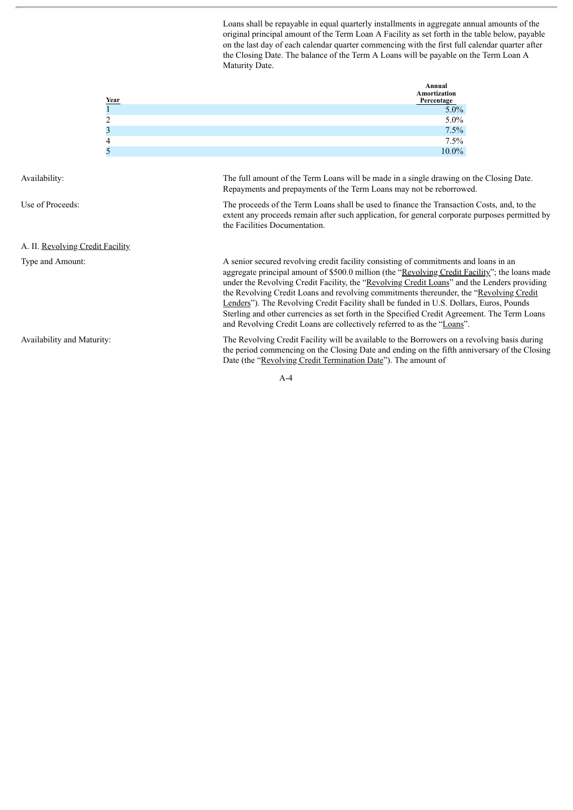Loans shall be repayable in equal quarterly installments in aggregate annual amounts of the original principal amount of the Term Loan A Facility as set forth in the table below, payable on the last day of each calendar quarter commencing with the first full calendar quarter after the Closing Date. The balance of the Term A Loans will be payable on the Term Loan A Maturity Date.

| $\frac{\text{Year}}{1}$ | Annual<br>Amortization<br>Percentage |
|-------------------------|--------------------------------------|
|                         | $5.0\%$                              |
| 2                       | $5.0\%$                              |
| 3                       | 7.5%                                 |
| $\overline{4}$          | 7.5%                                 |
| 5                       | 10.0%                                |

A. II. Revolving Credit Facility

Availability: The full amount of the Term Loans will be made in a single drawing on the Closing Date. Repayments and prepayments of the Term Loans may not be reborrowed.

Use of Proceeds: The proceeds of the Term Loans shall be used to finance the Transaction Costs, and, to the extent any proceeds remain after such application, for general corporate purposes permitted by the Facilities Documentation.

Type and Amount: A senior secured revolving credit facility consisting of commitments and loans in an aggregate principal amount of \$500.0 million (the "Revolving Credit Facility"; the loans made under the Revolving Credit Facility, the "Revolving Credit Loans" and the Lenders providing the Revolving Credit Loans and revolving commitments thereunder, the "Revolving Credit Lenders"). The Revolving Credit Facility shall be funded in U.S. Dollars, Euros, Pounds Sterling and other currencies as set forth in the Specified Credit Agreement. The Term Loans and Revolving Credit Loans are collectively referred to as the "Loans".

Availability and Maturity: The Revolving Credit Facility will be available to the Borrowers on a revolving basis during the period commencing on the Closing Date and ending on the fifth anniversary of the Closing Date (the "Revolving Credit Termination Date"). The amount of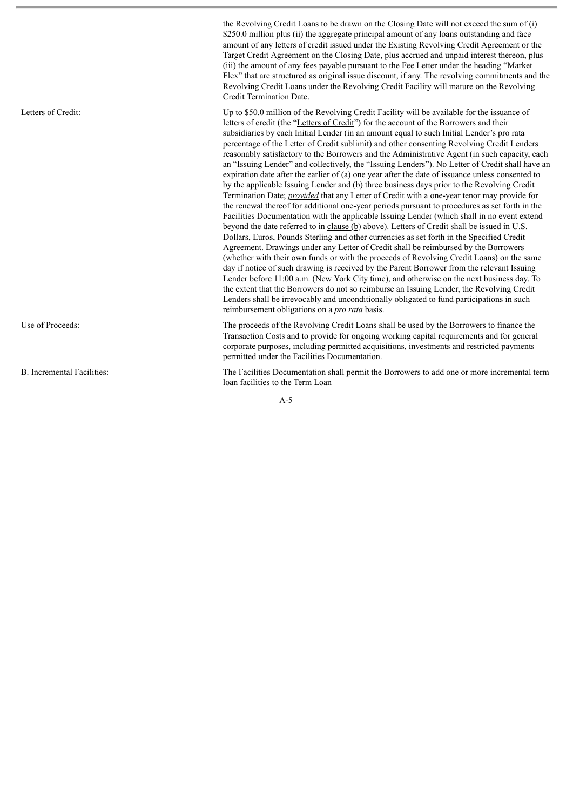the Revolving Credit Loans to be drawn on the Closing Date will not exceed the sum of (i) \$250.0 million plus (ii) the aggregate principal amount of any loans outstanding and face amount of any letters of credit issued under the Existing Revolving Credit Agreement or the Target Credit Agreement on the Closing Date, plus accrued and unpaid interest thereon, plus (iii) the amount of any fees payable pursuant to the Fee Letter under the heading "Market Flex" that are structured as original issue discount, if any. The revolving commitments and the Revolving Credit Loans under the Revolving Credit Facility will mature on the Revolving Credit Termination Date.

Letters of Credit: Up to \$50.0 million of the Revolving Credit Facility will be available for the issuance of letters of credit (the "Letters of Credit") for the account of the Borrowers and their subsidiaries by each Initial Lender (in an amount equal to such Initial Lender's pro rata percentage of the Letter of Credit sublimit) and other consenting Revolving Credit Lenders reasonably satisfactory to the Borrowers and the Administrative Agent (in such capacity, each an "Issuing Lender" and collectively, the "Issuing Lenders"). No Letter of Credit shall have an expiration date after the earlier of (a) one year after the date of issuance unless consented to by the applicable Issuing Lender and (b) three business days prior to the Revolving Credit Termination Date; *provided* that any Letter of Credit with a one-year tenor may provide for the renewal thereof for additional one-year periods pursuant to procedures as set forth in the Facilities Documentation with the applicable Issuing Lender (which shall in no event extend beyond the date referred to in clause (b) above). Letters of Credit shall be issued in U.S. Dollars, Euros, Pounds Sterling and other currencies as set forth in the Specified Credit Agreement. Drawings under any Letter of Credit shall be reimbursed by the Borrowers (whether with their own funds or with the proceeds of Revolving Credit Loans) on the same day if notice of such drawing is received by the Parent Borrower from the relevant Issuing Lender before 11:00 a.m. (New York City time), and otherwise on the next business day. To the extent that the Borrowers do not so reimburse an Issuing Lender, the Revolving Credit Lenders shall be irrevocably and unconditionally obligated to fund participations in such reimbursement obligations on a *pro rata* basis.

Use of Proceeds: The proceeds of the Revolving Credit Loans shall be used by the Borrowers to finance the Transaction Costs and to provide for ongoing working capital requirements and for general corporate purposes, including permitted acquisitions, investments and restricted payments permitted under the Facilities Documentation.

B. Incremental Facilities: The Facilities Documentation shall permit the Borrowers to add one or more incremental term loan facilities to the Term Loan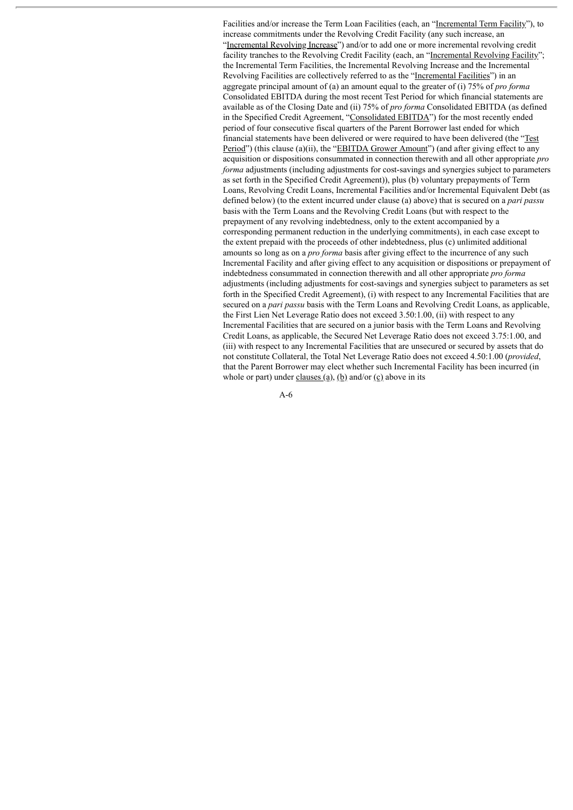Facilities and/or increase the Term Loan Facilities (each, an "Incremental Term Facility"), to increase commitments under the Revolving Credit Facility (any such increase, an "Incremental Revolving Increase") and/or to add one or more incremental revolving credit facility tranches to the Revolving Credit Facility (each, an "Incremental Revolving Facility"; the Incremental Term Facilities, the Incremental Revolving Increase and the Incremental Revolving Facilities are collectively referred to as the "Incremental Facilities") in an aggregate principal amount of (a) an amount equal to the greater of (i) 75% of *pro forma* Consolidated EBITDA during the most recent Test Period for which financial statements are available as of the Closing Date and (ii) 75% of *pro forma* Consolidated EBITDA (as defined in the Specified Credit Agreement, "Consolidated EBITDA") for the most recently ended period of four consecutive fiscal quarters of the Parent Borrower last ended for which financial statements have been delivered or were required to have been delivered (the "Test Period") (this clause (a)(ii), the "EBITDA Grower Amount") (and after giving effect to any acquisition or dispositions consummated in connection therewith and all other appropriate *pro forma* adjustments (including adjustments for cost-savings and synergies subject to parameters as set forth in the Specified Credit Agreement)), plus (b) voluntary prepayments of Term Loans, Revolving Credit Loans, Incremental Facilities and/or Incremental Equivalent Debt (as defined below) (to the extent incurred under clause (a) above) that is secured on a *pari passu* basis with the Term Loans and the Revolving Credit Loans (but with respect to the prepayment of any revolving indebtedness, only to the extent accompanied by a corresponding permanent reduction in the underlying commitments), in each case except to the extent prepaid with the proceeds of other indebtedness, plus (c) unlimited additional amounts so long as on a *pro forma* basis after giving effect to the incurrence of any such Incremental Facility and after giving effect to any acquisition or dispositions or prepayment of indebtedness consummated in connection therewith and all other appropriate *pro forma* adjustments (including adjustments for cost-savings and synergies subject to parameters as set forth in the Specified Credit Agreement), (i) with respect to any Incremental Facilities that are secured on a *pari passu* basis with the Term Loans and Revolving Credit Loans, as applicable, the First Lien Net Leverage Ratio does not exceed 3.50:1.00, (ii) with respect to any Incremental Facilities that are secured on a junior basis with the Term Loans and Revolving Credit Loans, as applicable, the Secured Net Leverage Ratio does not exceed 3.75:1.00, and (iii) with respect to any Incremental Facilities that are unsecured or secured by assets that do not constitute Collateral, the Total Net Leverage Ratio does not exceed 4.50:1.00 (*provided*, that the Parent Borrower may elect whether such Incremental Facility has been incurred (in whole or part) under clauses (a), (b) and/or (c) above in its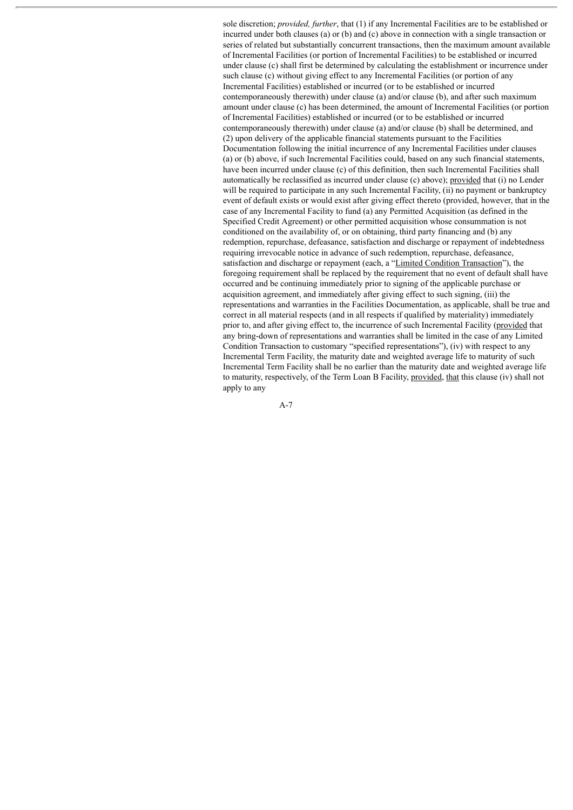sole discretion; *provided, further*, that (1) if any Incremental Facilities are to be established or incurred under both clauses (a) or (b) and (c) above in connection with a single transaction or series of related but substantially concurrent transactions, then the maximum amount available of Incremental Facilities (or portion of Incremental Facilities) to be established or incurred under clause (c) shall first be determined by calculating the establishment or incurrence under such clause (c) without giving effect to any Incremental Facilities (or portion of any Incremental Facilities) established or incurred (or to be established or incurred contemporaneously therewith) under clause (a) and/or clause (b), and after such maximum amount under clause (c) has been determined, the amount of Incremental Facilities (or portion of Incremental Facilities) established or incurred (or to be established or incurred contemporaneously therewith) under clause (a) and/or clause (b) shall be determined, and (2) upon delivery of the applicable financial statements pursuant to the Facilities Documentation following the initial incurrence of any Incremental Facilities under clauses (a) or (b) above, if such Incremental Facilities could, based on any such financial statements, have been incurred under clause (c) of this definition, then such Incremental Facilities shall automatically be reclassified as incurred under clause (c) above); provided that (i) no Lender will be required to participate in any such Incremental Facility, (ii) no payment or bankruptcy event of default exists or would exist after giving effect thereto (provided, however, that in the case of any Incremental Facility to fund (a) any Permitted Acquisition (as defined in the Specified Credit Agreement) or other permitted acquisition whose consummation is not conditioned on the availability of, or on obtaining, third party financing and (b) any redemption, repurchase, defeasance, satisfaction and discharge or repayment of indebtedness requiring irrevocable notice in advance of such redemption, repurchase, defeasance, satisfaction and discharge or repayment (each, a "Limited Condition Transaction"), the foregoing requirement shall be replaced by the requirement that no event of default shall have occurred and be continuing immediately prior to signing of the applicable purchase or acquisition agreement, and immediately after giving effect to such signing, (iii) the representations and warranties in the Facilities Documentation, as applicable, shall be true and correct in all material respects (and in all respects if qualified by materiality) immediately prior to, and after giving effect to, the incurrence of such Incremental Facility (provided that any bring-down of representations and warranties shall be limited in the case of any Limited Condition Transaction to customary "specified representations"), (iv) with respect to any Incremental Term Facility, the maturity date and weighted average life to maturity of such Incremental Term Facility shall be no earlier than the maturity date and weighted average life to maturity, respectively, of the Term Loan B Facility, provided, that this clause (iv) shall not apply to any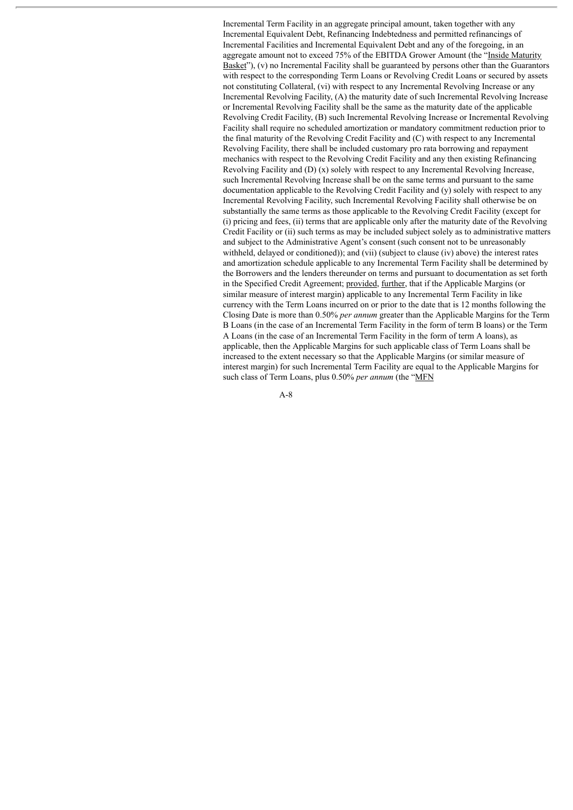Incremental Term Facility in an aggregate principal amount, taken together with any Incremental Equivalent Debt, Refinancing Indebtedness and permitted refinancings of Incremental Facilities and Incremental Equivalent Debt and any of the foregoing, in an aggregate amount not to exceed 75% of the EBITDA Grower Amount (the "Inside Maturity Basket"), (v) no Incremental Facility shall be guaranteed by persons other than the Guarantors with respect to the corresponding Term Loans or Revolving Credit Loans or secured by assets not constituting Collateral, (vi) with respect to any Incremental Revolving Increase or any Incremental Revolving Facility, (A) the maturity date of such Incremental Revolving Increase or Incremental Revolving Facility shall be the same as the maturity date of the applicable Revolving Credit Facility, (B) such Incremental Revolving Increase or Incremental Revolving Facility shall require no scheduled amortization or mandatory commitment reduction prior to the final maturity of the Revolving Credit Facility and (C) with respect to any Incremental Revolving Facility, there shall be included customary pro rata borrowing and repayment mechanics with respect to the Revolving Credit Facility and any then existing Refinancing Revolving Facility and (D) (x) solely with respect to any Incremental Revolving Increase, such Incremental Revolving Increase shall be on the same terms and pursuant to the same documentation applicable to the Revolving Credit Facility and (y) solely with respect to any Incremental Revolving Facility, such Incremental Revolving Facility shall otherwise be on substantially the same terms as those applicable to the Revolving Credit Facility (except for (i) pricing and fees, (ii) terms that are applicable only after the maturity date of the Revolving Credit Facility or (ii) such terms as may be included subject solely as to administrative matters and subject to the Administrative Agent's consent (such consent not to be unreasonably withheld, delayed or conditioned)); and (vii) (subject to clause (iv) above) the interest rates and amortization schedule applicable to any Incremental Term Facility shall be determined by the Borrowers and the lenders thereunder on terms and pursuant to documentation as set forth in the Specified Credit Agreement; provided, further, that if the Applicable Margins (or similar measure of interest margin) applicable to any Incremental Term Facility in like currency with the Term Loans incurred on or prior to the date that is 12 months following the Closing Date is more than 0.50% *per annum* greater than the Applicable Margins for the Term B Loans (in the case of an Incremental Term Facility in the form of term B loans) or the Term A Loans (in the case of an Incremental Term Facility in the form of term A loans), as applicable, then the Applicable Margins for such applicable class of Term Loans shall be increased to the extent necessary so that the Applicable Margins (or similar measure of interest margin) for such Incremental Term Facility are equal to the Applicable Margins for such class of Term Loans, plus 0.50% *per annum* (the "MFN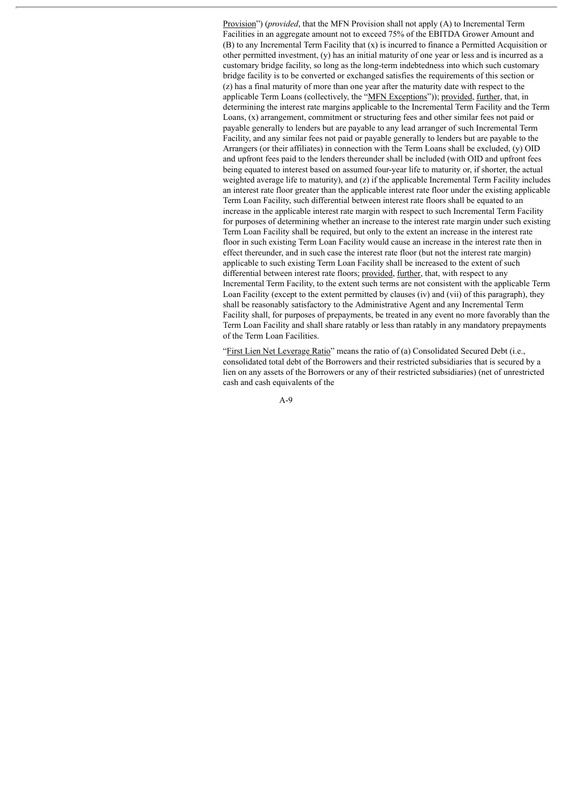Provision") (*provided*, that the MFN Provision shall not apply (A) to Incremental Term Facilities in an aggregate amount not to exceed 75% of the EBITDA Grower Amount and (B) to any Incremental Term Facility that (x) is incurred to finance a Permitted Acquisition or other permitted investment, (y) has an initial maturity of one year or less and is incurred as a customary bridge facility, so long as the long-term indebtedness into which such customary bridge facility is to be converted or exchanged satisfies the requirements of this section or (z) has a final maturity of more than one year after the maturity date with respect to the applicable Term Loans (collectively, the "MFN Exceptions")); provided, further, that, in determining the interest rate margins applicable to the Incremental Term Facility and the Term Loans, (x) arrangement, commitment or structuring fees and other similar fees not paid or payable generally to lenders but are payable to any lead arranger of such Incremental Term Facility, and any similar fees not paid or payable generally to lenders but are payable to the Arrangers (or their affiliates) in connection with the Term Loans shall be excluded, (y) OID and upfront fees paid to the lenders thereunder shall be included (with OID and upfront fees being equated to interest based on assumed four-year life to maturity or, if shorter, the actual weighted average life to maturity), and (z) if the applicable Incremental Term Facility includes an interest rate floor greater than the applicable interest rate floor under the existing applicable Term Loan Facility, such differential between interest rate floors shall be equated to an increase in the applicable interest rate margin with respect to such Incremental Term Facility for purposes of determining whether an increase to the interest rate margin under such existing Term Loan Facility shall be required, but only to the extent an increase in the interest rate floor in such existing Term Loan Facility would cause an increase in the interest rate then in effect thereunder, and in such case the interest rate floor (but not the interest rate margin) applicable to such existing Term Loan Facility shall be increased to the extent of such differential between interest rate floors; provided, further, that, with respect to any Incremental Term Facility, to the extent such terms are not consistent with the applicable Term Loan Facility (except to the extent permitted by clauses (iv) and (vii) of this paragraph), they shall be reasonably satisfactory to the Administrative Agent and any Incremental Term Facility shall, for purposes of prepayments, be treated in any event no more favorably than the Term Loan Facility and shall share ratably or less than ratably in any mandatory prepayments of the Term Loan Facilities.

"First Lien Net Leverage Ratio" means the ratio of (a) Consolidated Secured Debt (i.e., consolidated total debt of the Borrowers and their restricted subsidiaries that is secured by a lien on any assets of the Borrowers or any of their restricted subsidiaries) (net of unrestricted cash and cash equivalents of the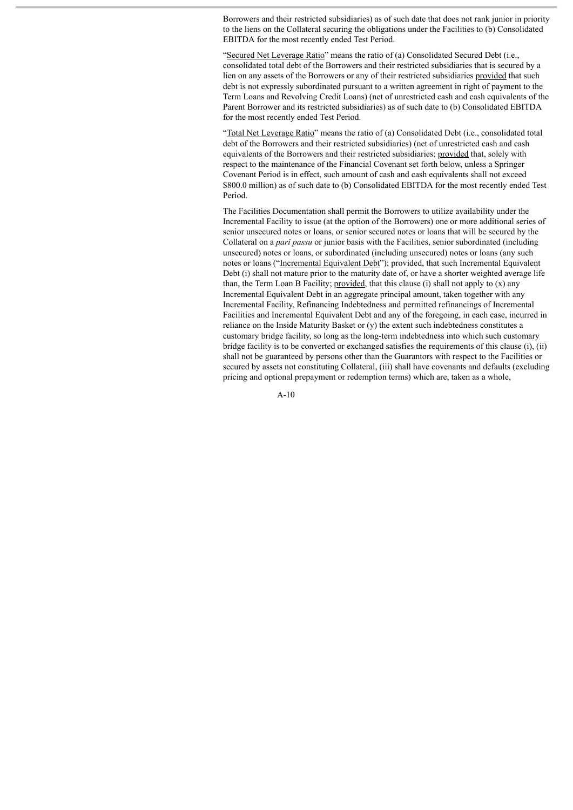Borrowers and their restricted subsidiaries) as of such date that does not rank junior in priority to the liens on the Collateral securing the obligations under the Facilities to (b) Consolidated EBITDA for the most recently ended Test Period.

"Secured Net Leverage Ratio" means the ratio of (a) Consolidated Secured Debt (i.e., consolidated total debt of the Borrowers and their restricted subsidiaries that is secured by a lien on any assets of the Borrowers or any of their restricted subsidiaries provided that such debt is not expressly subordinated pursuant to a written agreement in right of payment to the Term Loans and Revolving Credit Loans) (net of unrestricted cash and cash equivalents of the Parent Borrower and its restricted subsidiaries) as of such date to (b) Consolidated EBITDA for the most recently ended Test Period.

"Total Net Leverage Ratio" means the ratio of (a) Consolidated Debt (i.e., consolidated total debt of the Borrowers and their restricted subsidiaries) (net of unrestricted cash and cash equivalents of the Borrowers and their restricted subsidiaries; provided that, solely with respect to the maintenance of the Financial Covenant set forth below, unless a Springer Covenant Period is in effect, such amount of cash and cash equivalents shall not exceed \$800.0 million) as of such date to (b) Consolidated EBITDA for the most recently ended Test Period.

The Facilities Documentation shall permit the Borrowers to utilize availability under the Incremental Facility to issue (at the option of the Borrowers) one or more additional series of senior unsecured notes or loans, or senior secured notes or loans that will be secured by the Collateral on a *pari passu* or junior basis with the Facilities, senior subordinated (including unsecured) notes or loans, or subordinated (including unsecured) notes or loans (any such notes or loans ("Incremental Equivalent Debt"); provided, that such Incremental Equivalent Debt (i) shall not mature prior to the maturity date of, or have a shorter weighted average life than, the Term Loan B Facility; provided, that this clause (i) shall not apply to  $(x)$  any Incremental Equivalent Debt in an aggregate principal amount, taken together with any Incremental Facility, Refinancing Indebtedness and permitted refinancings of Incremental Facilities and Incremental Equivalent Debt and any of the foregoing, in each case, incurred in reliance on the Inside Maturity Basket or (y) the extent such indebtedness constitutes a customary bridge facility, so long as the long-term indebtedness into which such customary bridge facility is to be converted or exchanged satisfies the requirements of this clause (i), (ii) shall not be guaranteed by persons other than the Guarantors with respect to the Facilities or secured by assets not constituting Collateral, (iii) shall have covenants and defaults (excluding pricing and optional prepayment or redemption terms) which are, taken as a whole,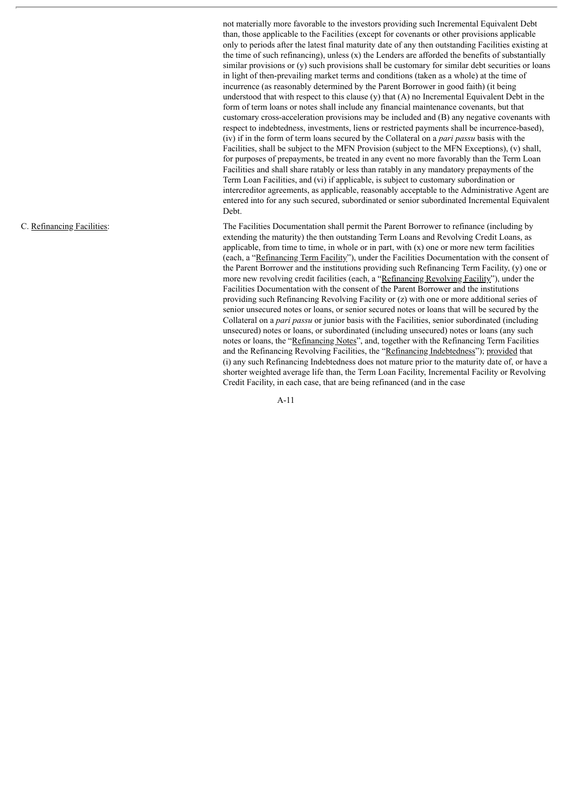not materially more favorable to the investors providing such Incremental Equivalent Debt than, those applicable to the Facilities (except for covenants or other provisions applicable only to periods after the latest final maturity date of any then outstanding Facilities existing at the time of such refinancing), unless (x) the Lenders are afforded the benefits of substantially similar provisions or  $(v)$  such provisions shall be customary for similar debt securities or loans in light of then-prevailing market terms and conditions (taken as a whole) at the time of incurrence (as reasonably determined by the Parent Borrower in good faith) (it being understood that with respect to this clause  $(y)$  that  $(A)$  no Incremental Equivalent Debt in the form of term loans or notes shall include any financial maintenance covenants, but that customary cross-acceleration provisions may be included and (B) any negative covenants with respect to indebtedness, investments, liens or restricted payments shall be incurrence-based), (iv) if in the form of term loans secured by the Collateral on a *pari passu* basis with the Facilities, shall be subject to the MFN Provision (subject to the MFN Exceptions), (v) shall, for purposes of prepayments, be treated in any event no more favorably than the Term Loan Facilities and shall share ratably or less than ratably in any mandatory prepayments of the Term Loan Facilities, and (vi) if applicable, is subject to customary subordination or intercreditor agreements, as applicable, reasonably acceptable to the Administrative Agent are entered into for any such secured, subordinated or senior subordinated Incremental Equivalent Debt.

C. Refinancing Facilities: The Facilities Documentation shall permit the Parent Borrower to refinance (including by extending the maturity) the then outstanding Term Loans and Revolving Credit Loans, as applicable, from time to time, in whole or in part, with  $(x)$  one or more new term facilities (each, a "Refinancing Term Facility"), under the Facilities Documentation with the consent of the Parent Borrower and the institutions providing such Refinancing Term Facility, (y) one or more new revolving credit facilities (each, a "Refinancing Revolving Facility"), under the Facilities Documentation with the consent of the Parent Borrower and the institutions providing such Refinancing Revolving Facility or (z) with one or more additional series of senior unsecured notes or loans, or senior secured notes or loans that will be secured by the Collateral on a *pari passu* or junior basis with the Facilities, senior subordinated (including unsecured) notes or loans, or subordinated (including unsecured) notes or loans (any such notes or loans, the "Refinancing Notes", and, together with the Refinancing Term Facilities and the Refinancing Revolving Facilities, the "Refinancing Indebtedness"); provided that (i) any such Refinancing Indebtedness does not mature prior to the maturity date of, or have a shorter weighted average life than, the Term Loan Facility, Incremental Facility or Revolving Credit Facility, in each case, that are being refinanced (and in the case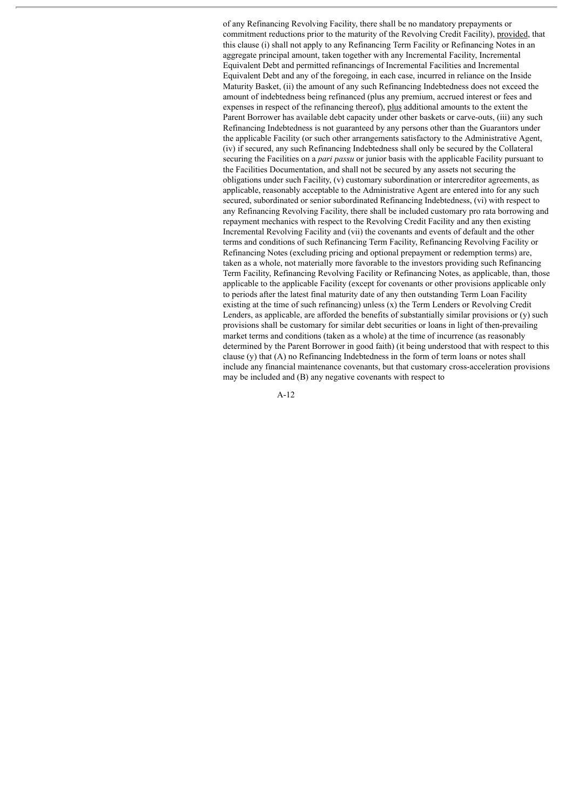of any Refinancing Revolving Facility, there shall be no mandatory prepayments or commitment reductions prior to the maturity of the Revolving Credit Facility), provided, that this clause (i) shall not apply to any Refinancing Term Facility or Refinancing Notes in an aggregate principal amount, taken together with any Incremental Facility, Incremental Equivalent Debt and permitted refinancings of Incremental Facilities and Incremental Equivalent Debt and any of the foregoing, in each case, incurred in reliance on the Inside Maturity Basket, (ii) the amount of any such Refinancing Indebtedness does not exceed the amount of indebtedness being refinanced (plus any premium, accrued interest or fees and expenses in respect of the refinancing thereof), plus additional amounts to the extent the Parent Borrower has available debt capacity under other baskets or carve-outs, (iii) any such Refinancing Indebtedness is not guaranteed by any persons other than the Guarantors under the applicable Facility (or such other arrangements satisfactory to the Administrative Agent, (iv) if secured, any such Refinancing Indebtedness shall only be secured by the Collateral securing the Facilities on a *pari passu* or junior basis with the applicable Facility pursuant to the Facilities Documentation, and shall not be secured by any assets not securing the obligations under such Facility, (v) customary subordination or intercreditor agreements, as applicable, reasonably acceptable to the Administrative Agent are entered into for any such secured, subordinated or senior subordinated Refinancing Indebtedness, (vi) with respect to any Refinancing Revolving Facility, there shall be included customary pro rata borrowing and repayment mechanics with respect to the Revolving Credit Facility and any then existing Incremental Revolving Facility and (vii) the covenants and events of default and the other terms and conditions of such Refinancing Term Facility, Refinancing Revolving Facility or Refinancing Notes (excluding pricing and optional prepayment or redemption terms) are, taken as a whole, not materially more favorable to the investors providing such Refinancing Term Facility, Refinancing Revolving Facility or Refinancing Notes, as applicable, than, those applicable to the applicable Facility (except for covenants or other provisions applicable only to periods after the latest final maturity date of any then outstanding Term Loan Facility existing at the time of such refinancing) unless (x) the Term Lenders or Revolving Credit Lenders, as applicable, are afforded the benefits of substantially similar provisions or (y) such provisions shall be customary for similar debt securities or loans in light of then-prevailing market terms and conditions (taken as a whole) at the time of incurrence (as reasonably determined by the Parent Borrower in good faith) (it being understood that with respect to this clause (y) that (A) no Refinancing Indebtedness in the form of term loans or notes shall include any financial maintenance covenants, but that customary cross-acceleration provisions may be included and (B) any negative covenants with respect to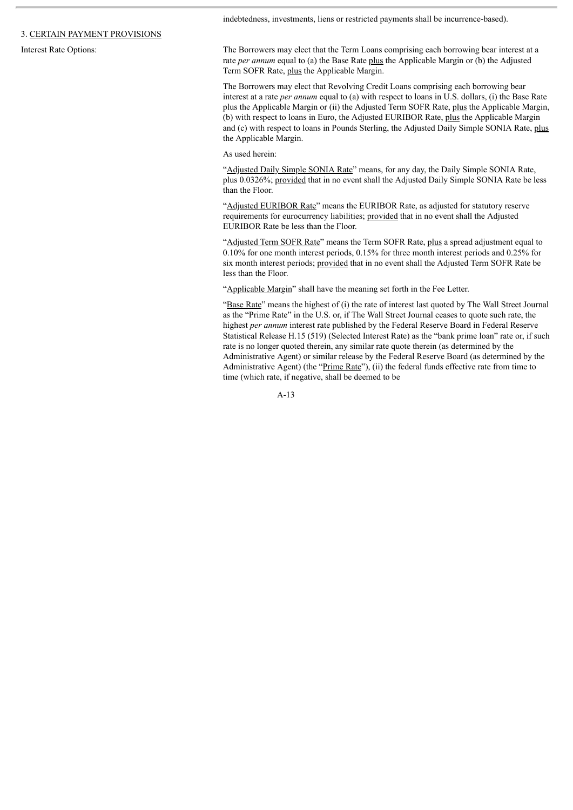#### 3. CERTAIN PAYMENT PROVISIONS

indebtedness, investments, liens or restricted payments shall be incurrence-based).

Interest Rate Options: The Borrowers may elect that the Term Loans comprising each borrowing bear interest at a rate *per annum* equal to (a) the Base Rate plus the Applicable Margin or (b) the Adjusted Term SOFR Rate, plus the Applicable Margin.

> The Borrowers may elect that Revolving Credit Loans comprising each borrowing bear interest at a rate *per annum* equal to (a) with respect to loans in U.S. dollars, (i) the Base Rate plus the Applicable Margin or (ii) the Adjusted Term SOFR Rate, plus the Applicable Margin, (b) with respect to loans in Euro, the Adjusted EURIBOR Rate, plus the Applicable Margin and (c) with respect to loans in Pounds Sterling, the Adjusted Daily Simple SONIA Rate, plus the Applicable Margin.

As used herein:

"Adjusted Daily Simple SONIA Rate" means, for any day, the Daily Simple SONIA Rate, plus 0.0326%; provided that in no event shall the Adjusted Daily Simple SONIA Rate be less than the Floor.

"Adjusted EURIBOR Rate" means the EURIBOR Rate, as adjusted for statutory reserve requirements for eurocurrency liabilities; provided that in no event shall the Adjusted EURIBOR Rate be less than the Floor.

"Adjusted Term SOFR Rate" means the Term SOFR Rate, plus a spread adjustment equal to 0.10% for one month interest periods, 0.15% for three month interest periods and 0.25% for six month interest periods; provided that in no event shall the Adjusted Term SOFR Rate be less than the Floor.

"Applicable Margin" shall have the meaning set forth in the Fee Letter.

"Base Rate" means the highest of (i) the rate of interest last quoted by The Wall Street Journal as the "Prime Rate" in the U.S. or, if The Wall Street Journal ceases to quote such rate, the highest *per annum* interest rate published by the Federal Reserve Board in Federal Reserve Statistical Release H.15 (519) (Selected Interest Rate) as the "bank prime loan" rate or, if such rate is no longer quoted therein, any similar rate quote therein (as determined by the Administrative Agent) or similar release by the Federal Reserve Board (as determined by the Administrative Agent) (the "Prime Rate"), (ii) the federal funds effective rate from time to time (which rate, if negative, shall be deemed to be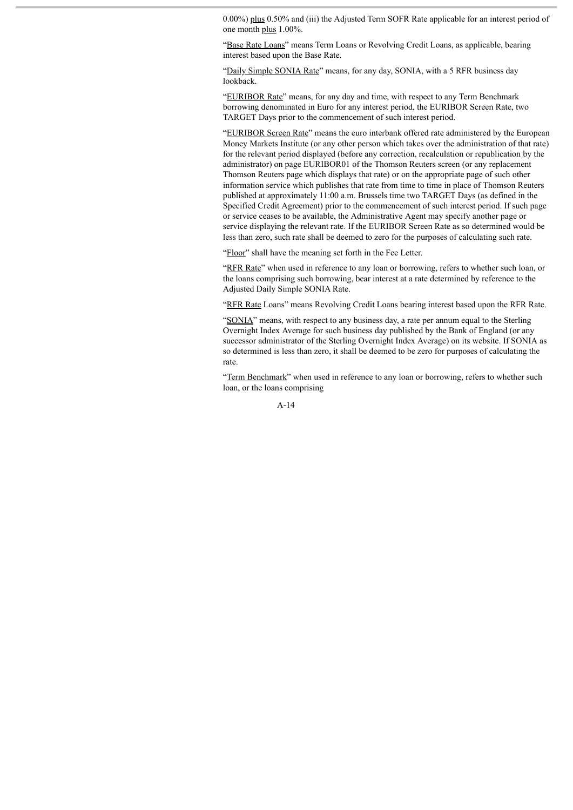0.00%) plus 0.50% and (iii) the Adjusted Term SOFR Rate applicable for an interest period of one month plus 1.00%.

"Base Rate Loans" means Term Loans or Revolving Credit Loans, as applicable, bearing interest based upon the Base Rate.

"Daily Simple SONIA Rate" means, for any day, SONIA, with a 5 RFR business day lookback.

"EURIBOR Rate" means, for any day and time, with respect to any Term Benchmark borrowing denominated in Euro for any interest period, the EURIBOR Screen Rate, two TARGET Days prior to the commencement of such interest period.

"EURIBOR Screen Rate" means the euro interbank offered rate administered by the European Money Markets Institute (or any other person which takes over the administration of that rate) for the relevant period displayed (before any correction, recalculation or republication by the administrator) on page EURIBOR01 of the Thomson Reuters screen (or any replacement Thomson Reuters page which displays that rate) or on the appropriate page of such other information service which publishes that rate from time to time in place of Thomson Reuters published at approximately 11:00 a.m. Brussels time two TARGET Days (as defined in the Specified Credit Agreement) prior to the commencement of such interest period. If such page or service ceases to be available, the Administrative Agent may specify another page or service displaying the relevant rate. If the EURIBOR Screen Rate as so determined would be less than zero, such rate shall be deemed to zero for the purposes of calculating such rate.

"Floor" shall have the meaning set forth in the Fee Letter.

"RFR Rate" when used in reference to any loan or borrowing, refers to whether such loan, or the loans comprising such borrowing, bear interest at a rate determined by reference to the Adjusted Daily Simple SONIA Rate.

"RFR Rate Loans" means Revolving Credit Loans bearing interest based upon the RFR Rate.

"SONIA" means, with respect to any business day, a rate per annum equal to the Sterling Overnight Index Average for such business day published by the Bank of England (or any successor administrator of the Sterling Overnight Index Average) on its website. If SONIA as so determined is less than zero, it shall be deemed to be zero for purposes of calculating the rate.

"Term Benchmark" when used in reference to any loan or borrowing, refers to whether such loan, or the loans comprising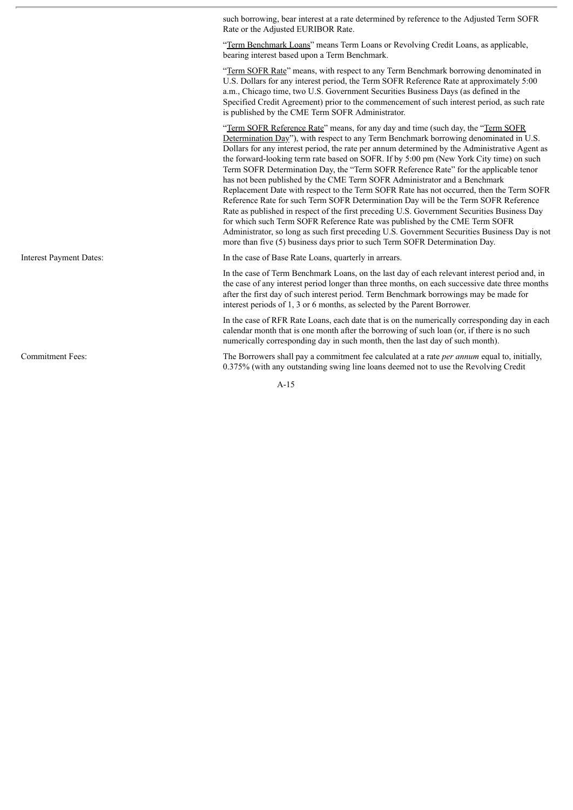such borrowing, bear interest at a rate determined by reference to the Adjusted Term SOFR Rate or the Adjusted EURIBOR Rate.

"Term Benchmark Loans" means Term Loans or Revolving Credit Loans, as applicable, bearing interest based upon a Term Benchmark.

"Term SOFR Rate" means, with respect to any Term Benchmark borrowing denominated in U.S. Dollars for any interest period, the Term SOFR Reference Rate at approximately 5:00 a.m., Chicago time, two U.S. Government Securities Business Days (as defined in the Specified Credit Agreement) prior to the commencement of such interest period, as such rate is published by the CME Term SOFR Administrator.

"Term SOFR Reference Rate" means, for any day and time (such day, the "Term SOFR Determination Day"), with respect to any Term Benchmark borrowing denominated in U.S. Dollars for any interest period, the rate per annum determined by the Administrative Agent as the forward-looking term rate based on SOFR. If by 5:00 pm (New York City time) on such Term SOFR Determination Day, the "Term SOFR Reference Rate" for the applicable tenor has not been published by the CME Term SOFR Administrator and a Benchmark Replacement Date with respect to the Term SOFR Rate has not occurred, then the Term SOFR Reference Rate for such Term SOFR Determination Day will be the Term SOFR Reference Rate as published in respect of the first preceding U.S. Government Securities Business Day for which such Term SOFR Reference Rate was published by the CME Term SOFR Administrator, so long as such first preceding U.S. Government Securities Business Day is not more than five (5) business days prior to such Term SOFR Determination Day.

Interest Payment Dates: In the case of Base Rate Loans, quarterly in arrears.

In the case of Term Benchmark Loans, on the last day of each relevant interest period and, in the case of any interest period longer than three months, on each successive date three months after the first day of such interest period. Term Benchmark borrowings may be made for interest periods of 1, 3 or 6 months, as selected by the Parent Borrower.

In the case of RFR Rate Loans, each date that is on the numerically corresponding day in each calendar month that is one month after the borrowing of such loan (or, if there is no such numerically corresponding day in such month, then the last day of such month).

Commitment Fees: The Borrowers shall pay a commitment fee calculated at a rate *per annum* equal to, initially, 0.375% (with any outstanding swing line loans deemed not to use the Revolving Credit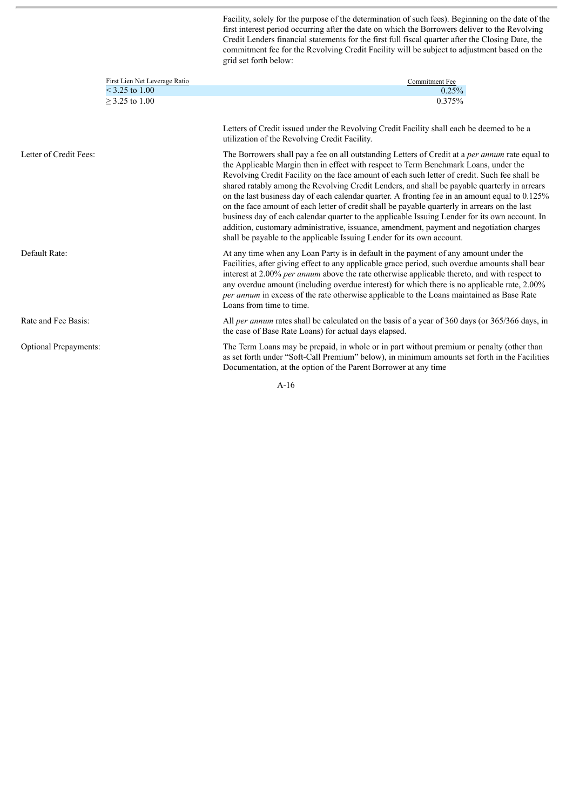Facility, solely for the purpose of the determination of such fees). Beginning on the date of the first interest period occurring after the date on which the Borrowers deliver to the Revolving Credit Lenders financial statements for the first full fiscal quarter after the Closing Date, the commitment fee for the Revolving Credit Facility will be subject to adjustment based on the grid set forth below:

|                              | First Lien Net Leverage Ratio | Commitment Fee                                                                                                                                                                                                                                                                                                                                                                                                                                                                                                                                                                                                                                                                                                                                                                                                                                                      |
|------------------------------|-------------------------------|---------------------------------------------------------------------------------------------------------------------------------------------------------------------------------------------------------------------------------------------------------------------------------------------------------------------------------------------------------------------------------------------------------------------------------------------------------------------------------------------------------------------------------------------------------------------------------------------------------------------------------------------------------------------------------------------------------------------------------------------------------------------------------------------------------------------------------------------------------------------|
|                              | $\overline{<}$ 3.25 to 1.00   | 0.25%                                                                                                                                                                                                                                                                                                                                                                                                                                                                                                                                                                                                                                                                                                                                                                                                                                                               |
|                              | $>$ 3.25 to 1.00              | 0.375%                                                                                                                                                                                                                                                                                                                                                                                                                                                                                                                                                                                                                                                                                                                                                                                                                                                              |
|                              |                               | Letters of Credit issued under the Revolving Credit Facility shall each be deemed to be a<br>utilization of the Revolving Credit Facility.                                                                                                                                                                                                                                                                                                                                                                                                                                                                                                                                                                                                                                                                                                                          |
| Letter of Credit Fees:       |                               | The Borrowers shall pay a fee on all outstanding Letters of Credit at a per annum rate equal to<br>the Applicable Margin then in effect with respect to Term Benchmark Loans, under the<br>Revolving Credit Facility on the face amount of each such letter of credit. Such fee shall be<br>shared ratably among the Revolving Credit Lenders, and shall be payable quarterly in arrears<br>on the last business day of each calendar quarter. A fronting fee in an amount equal to 0.125%<br>on the face amount of each letter of credit shall be payable quarterly in arrears on the last<br>business day of each calendar quarter to the applicable Issuing Lender for its own account. In<br>addition, customary administrative, issuance, amendment, payment and negotiation charges<br>shall be payable to the applicable Issuing Lender for its own account. |
| Default Rate:                |                               | At any time when any Loan Party is in default in the payment of any amount under the<br>Facilities, after giving effect to any applicable grace period, such overdue amounts shall bear<br>interest at 2.00% per annum above the rate otherwise applicable thereto, and with respect to<br>any overdue amount (including overdue interest) for which there is no applicable rate, 2.00%<br>per annum in excess of the rate otherwise applicable to the Loans maintained as Base Rate<br>Loans from time to time.                                                                                                                                                                                                                                                                                                                                                    |
| Rate and Fee Basis:          |                               | All <i>per annum</i> rates shall be calculated on the basis of a year of 360 days (or 365/366 days, in<br>the case of Base Rate Loans) for actual days elapsed.                                                                                                                                                                                                                                                                                                                                                                                                                                                                                                                                                                                                                                                                                                     |
| <b>Optional Prepayments:</b> |                               | The Term Loans may be prepaid, in whole or in part without premium or penalty (other than<br>as set forth under "Soft-Call Premium" below), in minimum amounts set forth in the Facilities<br>Documentation, at the option of the Parent Borrower at any time                                                                                                                                                                                                                                                                                                                                                                                                                                                                                                                                                                                                       |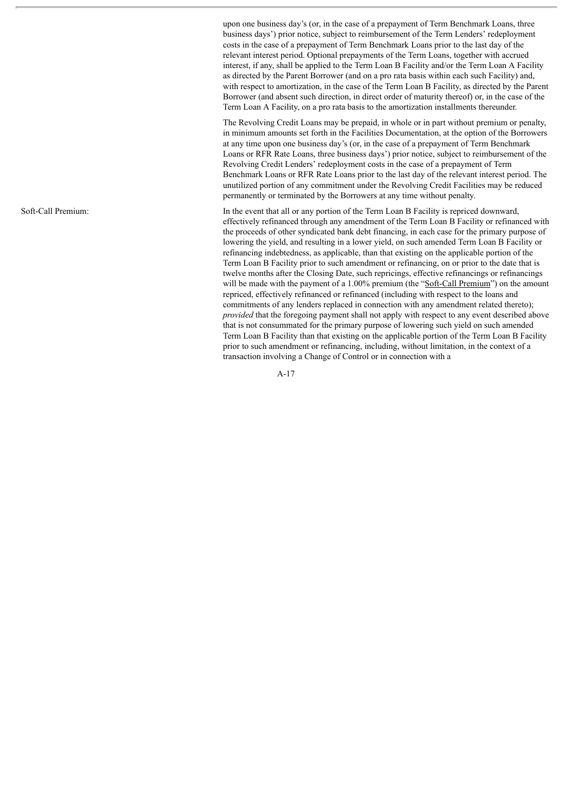upon one business day's (or, in the case of a prepayment of Term Benchmark Loans, three business days') prior notice, subject to reimbursement of the Term Lenders' redeployment costs in the case of a prepayment of Term Benchmark Loans prior to the last day of the relevant interest period. Optional prepayments of the Term Loans, together with accrued interest, if any, shall be applied to the Term Loan B Facility and/or the Term Loan A Facility as directed by the Parent Borrower (and on a pro rata basis within each such Facility) and, with respect to amortization, in the case of the Term Loan B Facility, as directed by the Parent Borrower (and absent such direction, in direct order of maturity thereof) or, in the case of the Term Loan A Facility, on a pro rata basis to the amortization installments thereunder.

The Revolving Credit Loans may be prepaid, in whole or in part without premium or penalty, in minimum amounts set forth in the Facilities Documentation, at the option of the Borrowers at any time upon one business day's (or, in the case of a prepayment of Term Benchmark Loans or RFR Rate Loans, three business days') prior notice, subject to reimbursement of the Revolving Credit Lenders' redeployment costs in the case of a prepayment of Term Benchmark Loans or RFR Rate Loans prior to the last day of the relevant interest period. The unutilized portion of any commitment under the Revolving Credit Facilities may be reduced permanently or terminated by the Borrowers at any time without penalty.

Soft-Call Premium: In the event that all or any portion of the Term Loan B Facility is repriced downward, effectively refinanced through any amendment of the Term Loan B Facility or refinanced with the proceeds of other syndicated bank debt financing, in each case for the primary purpose of lowering the yield, and resulting in a lower yield, on such amended Term Loan B Facility or refinancing indebtedness, as applicable, than that existing on the applicable portion of the Term Loan B Facility prior to such amendment or refinancing, on or prior to the date that is twelve months after the Closing Date, such repricings, effective refinancings or refinancings will be made with the payment of a 1.00% premium (the "Soft-Call Premium") on the amount repriced, effectively refinanced or refinanced (including with respect to the loans and commitments of any lenders replaced in connection with any amendment related thereto); *provided* that the foregoing payment shall not apply with respect to any event described above that is not consummated for the primary purpose of lowering such yield on such amended Term Loan B Facility than that existing on the applicable portion of the Term Loan B Facility prior to such amendment or refinancing, including, without limitation, in the context of a transaction involving a Change of Control or in connection with a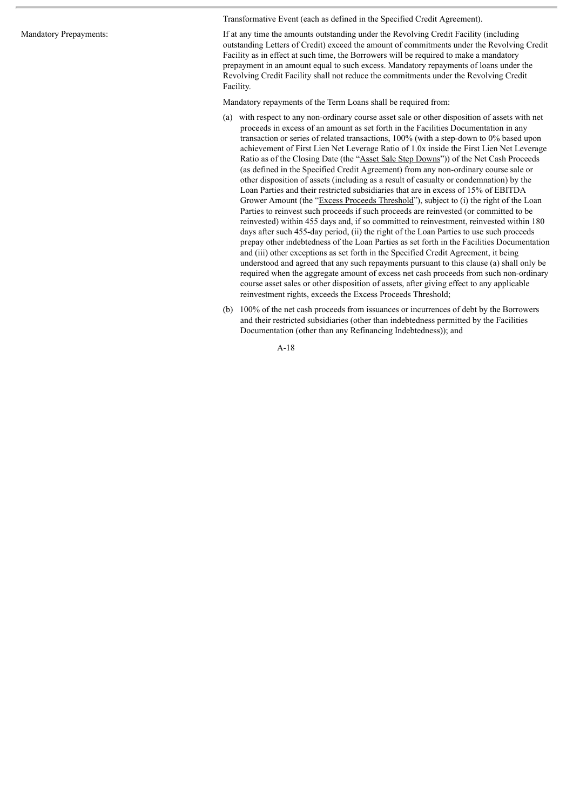Transformative Event (each as defined in the Specified Credit Agreement).

Mandatory Prepayments: If at any time the amounts outstanding under the Revolving Credit Facility (including outstanding Letters of Credit) exceed the amount of commitments under the Revolving Credit Facility as in effect at such time, the Borrowers will be required to make a mandatory prepayment in an amount equal to such excess. Mandatory repayments of loans under the Revolving Credit Facility shall not reduce the commitments under the Revolving Credit Facility.

Mandatory repayments of the Term Loans shall be required from:

- (a) with respect to any non-ordinary course asset sale or other disposition of assets with net proceeds in excess of an amount as set forth in the Facilities Documentation in any transaction or series of related transactions, 100% (with a step-down to 0% based upon achievement of First Lien Net Leverage Ratio of 1.0x inside the First Lien Net Leverage Ratio as of the Closing Date (the "Asset Sale Step Downs")) of the Net Cash Proceeds (as defined in the Specified Credit Agreement) from any non-ordinary course sale or other disposition of assets (including as a result of casualty or condemnation) by the Loan Parties and their restricted subsidiaries that are in excess of 15% of EBITDA Grower Amount (the "Excess Proceeds Threshold"), subject to (i) the right of the Loan Parties to reinvest such proceeds if such proceeds are reinvested (or committed to be reinvested) within 455 days and, if so committed to reinvestment, reinvested within 180 days after such 455-day period, (ii) the right of the Loan Parties to use such proceeds prepay other indebtedness of the Loan Parties as set forth in the Facilities Documentation and (iii) other exceptions as set forth in the Specified Credit Agreement, it being understood and agreed that any such repayments pursuant to this clause (a) shall only be required when the aggregate amount of excess net cash proceeds from such non-ordinary course asset sales or other disposition of assets, after giving effect to any applicable reinvestment rights, exceeds the Excess Proceeds Threshold;
- (b) 100% of the net cash proceeds from issuances or incurrences of debt by the Borrowers and their restricted subsidiaries (other than indebtedness permitted by the Facilities Documentation (other than any Refinancing Indebtedness)); and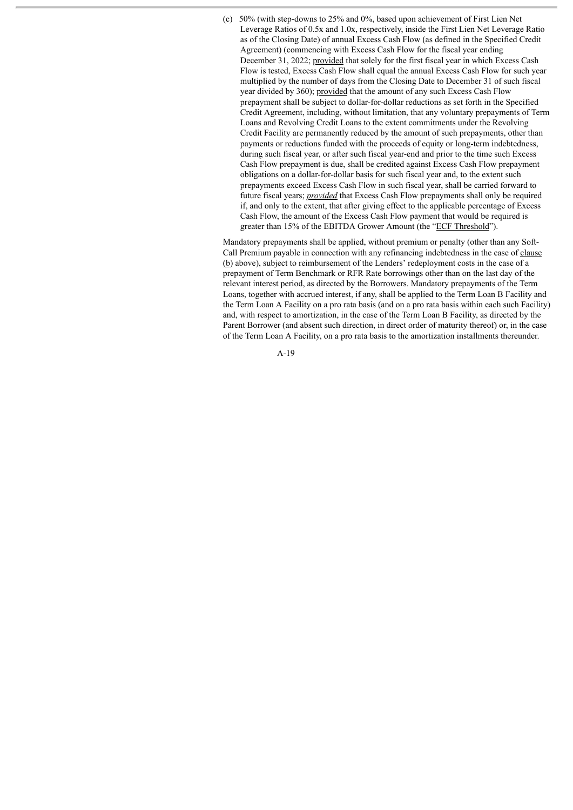(c) 50% (with step-downs to 25% and 0%, based upon achievement of First Lien Net Leverage Ratios of 0.5x and 1.0x, respectively, inside the First Lien Net Leverage Ratio as of the Closing Date) of annual Excess Cash Flow (as defined in the Specified Credit Agreement) (commencing with Excess Cash Flow for the fiscal year ending December 31, 2022; provided that solely for the first fiscal year in which Excess Cash Flow is tested, Excess Cash Flow shall equal the annual Excess Cash Flow for such year multiplied by the number of days from the Closing Date to December 31 of such fiscal year divided by 360); provided that the amount of any such Excess Cash Flow prepayment shall be subject to dollar-for-dollar reductions as set forth in the Specified Credit Agreement, including, without limitation, that any voluntary prepayments of Term Loans and Revolving Credit Loans to the extent commitments under the Revolving Credit Facility are permanently reduced by the amount of such prepayments, other than payments or reductions funded with the proceeds of equity or long-term indebtedness, during such fiscal year, or after such fiscal year-end and prior to the time such Excess Cash Flow prepayment is due, shall be credited against Excess Cash Flow prepayment obligations on a dollar-for-dollar basis for such fiscal year and, to the extent such prepayments exceed Excess Cash Flow in such fiscal year, shall be carried forward to future fiscal years; *provided* that Excess Cash Flow prepayments shall only be required if, and only to the extent, that after giving effect to the applicable percentage of Excess Cash Flow, the amount of the Excess Cash Flow payment that would be required is greater than 15% of the EBITDA Grower Amount (the "ECF Threshold").

Mandatory prepayments shall be applied, without premium or penalty (other than any Soft-Call Premium payable in connection with any refinancing indebtedness in the case of clause (b) above), subject to reimbursement of the Lenders' redeployment costs in the case of a prepayment of Term Benchmark or RFR Rate borrowings other than on the last day of the relevant interest period, as directed by the Borrowers. Mandatory prepayments of the Term Loans, together with accrued interest, if any, shall be applied to the Term Loan B Facility and the Term Loan A Facility on a pro rata basis (and on a pro rata basis within each such Facility) and, with respect to amortization, in the case of the Term Loan B Facility, as directed by the Parent Borrower (and absent such direction, in direct order of maturity thereof) or, in the case of the Term Loan A Facility, on a pro rata basis to the amortization installments thereunder.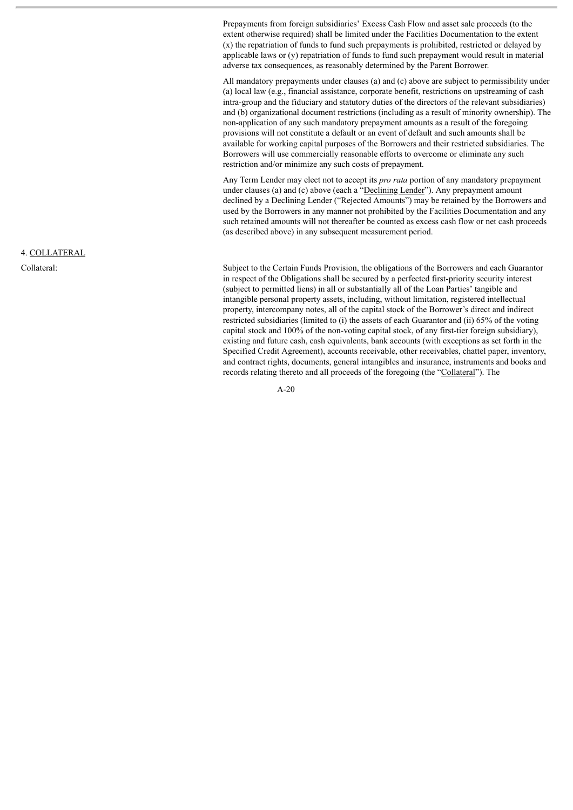Prepayments from foreign subsidiaries' Excess Cash Flow and asset sale proceeds (to the extent otherwise required) shall be limited under the Facilities Documentation to the extent (x) the repatriation of funds to fund such prepayments is prohibited, restricted or delayed by applicable laws or (y) repatriation of funds to fund such prepayment would result in material adverse tax consequences, as reasonably determined by the Parent Borrower.

All mandatory prepayments under clauses (a) and (c) above are subject to permissibility under (a) local law (e.g., financial assistance, corporate benefit, restrictions on upstreaming of cash intra-group and the fiduciary and statutory duties of the directors of the relevant subsidiaries) and (b) organizational document restrictions (including as a result of minority ownership). The non-application of any such mandatory prepayment amounts as a result of the foregoing provisions will not constitute a default or an event of default and such amounts shall be available for working capital purposes of the Borrowers and their restricted subsidiaries. The Borrowers will use commercially reasonable efforts to overcome or eliminate any such restriction and/or minimize any such costs of prepayment.

Any Term Lender may elect not to accept its *pro rata* portion of any mandatory prepayment under clauses (a) and (c) above (each a "Declining Lender"). Any prepayment amount declined by a Declining Lender ("Rejected Amounts") may be retained by the Borrowers and used by the Borrowers in any manner not prohibited by the Facilities Documentation and any such retained amounts will not thereafter be counted as excess cash flow or net cash proceeds (as described above) in any subsequent measurement period.

Collateral: Subject to the Certain Funds Provision, the obligations of the Borrowers and each Guarantor in respect of the Obligations shall be secured by a perfected first-priority security interest (subject to permitted liens) in all or substantially all of the Loan Parties' tangible and intangible personal property assets, including, without limitation, registered intellectual property, intercompany notes, all of the capital stock of the Borrower's direct and indirect restricted subsidiaries (limited to (i) the assets of each Guarantor and (ii) 65% of the voting capital stock and 100% of the non-voting capital stock, of any first-tier foreign subsidiary), existing and future cash, cash equivalents, bank accounts (with exceptions as set forth in the Specified Credit Agreement), accounts receivable, other receivables, chattel paper, inventory, and contract rights, documents, general intangibles and insurance, instruments and books and records relating thereto and all proceeds of the foregoing (the "Collateral"). The

A-20

4. COLLATERAL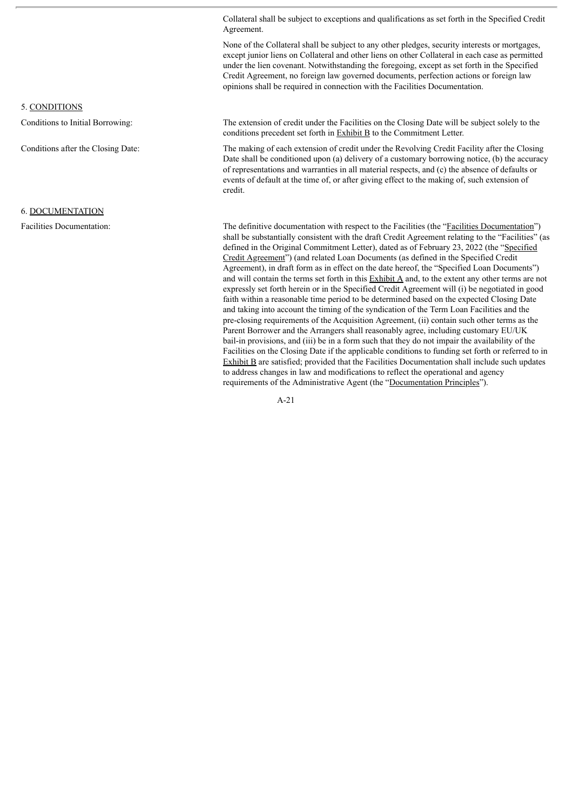Collateral shall be subject to exceptions and qualifications as set forth in the Specified Credit Agreement.

None of the Collateral shall be subject to any other pledges, security interests or mortgages, except junior liens on Collateral and other liens on other Collateral in each case as permitted under the lien covenant. Notwithstanding the foregoing, except as set forth in the Specified Credit Agreement, no foreign law governed documents, perfection actions or foreign law opinions shall be required in connection with the Facilities Documentation.

Conditions to Initial Borrowing: The extension of credit under the Facilities on the Closing Date will be subject solely to the conditions precedent set forth in Exhibit B to the Commitment Letter.

Conditions after the Closing Date: The making of each extension of credit under the Revolving Credit Facility after the Closing Date shall be conditioned upon (a) delivery of a customary borrowing notice, (b) the accuracy of representations and warranties in all material respects, and (c) the absence of defaults or events of default at the time of, or after giving effect to the making of, such extension of credit.

Facilities Documentation: The definitive documentation with respect to the Facilities (the "Facilities Documentation") shall be substantially consistent with the draft Credit Agreement relating to the "Facilities" (as defined in the Original Commitment Letter), dated as of February 23, 2022 (the "Specified Credit Agreement") (and related Loan Documents (as defined in the Specified Credit Agreement), in draft form as in effect on the date hereof, the "Specified Loan Documents") and will contain the terms set forth in this **Exhibit A** and, to the extent any other terms are not expressly set forth herein or in the Specified Credit Agreement will (i) be negotiated in good faith within a reasonable time period to be determined based on the expected Closing Date and taking into account the timing of the syndication of the Term Loan Facilities and the pre-closing requirements of the Acquisition Agreement, (ii) contain such other terms as the Parent Borrower and the Arrangers shall reasonably agree, including customary EU/UK bail-in provisions, and (iii) be in a form such that they do not impair the availability of the Facilities on the Closing Date if the applicable conditions to funding set forth or referred to in Exhibit B are satisfied; provided that the Facilities Documentation shall include such updates to address changes in law and modifications to reflect the operational and agency requirements of the Administrative Agent (the "Documentation Principles").

A-21

#### 5. CONDITIONS

#### 6. DOCUMENTATION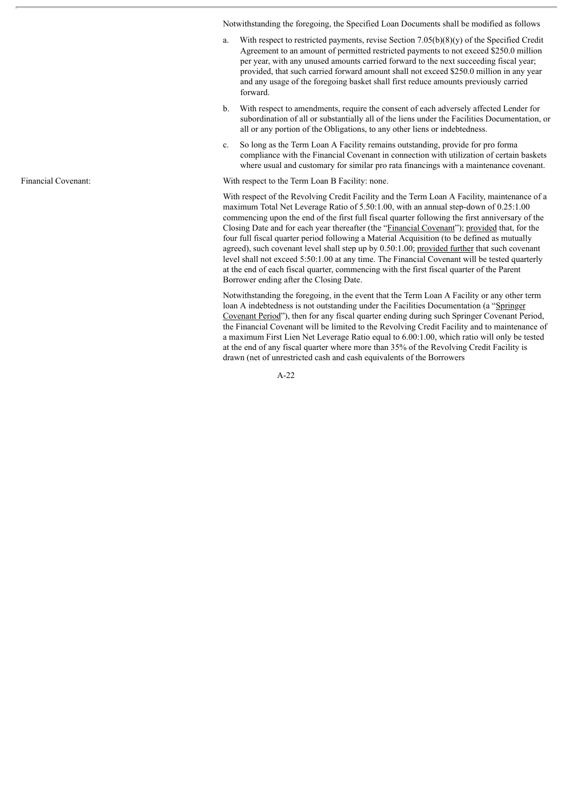Notwithstanding the foregoing, the Specified Loan Documents shall be modified as follows

- a. With respect to restricted payments, revise Section 7.05(b)(8)(y) of the Specified Credit Agreement to an amount of permitted restricted payments to not exceed \$250.0 million per year, with any unused amounts carried forward to the next succeeding fiscal year; provided, that such carried forward amount shall not exceed \$250.0 million in any year and any usage of the foregoing basket shall first reduce amounts previously carried forward.
- b. With respect to amendments, require the consent of each adversely affected Lender for subordination of all or substantially all of the liens under the Facilities Documentation, or all or any portion of the Obligations, to any other liens or indebtedness.
- c. So long as the Term Loan A Facility remains outstanding, provide for pro forma compliance with the Financial Covenant in connection with utilization of certain baskets where usual and customary for similar pro rata financings with a maintenance covenant.

Financial Covenant: The Solution of the With respect to the Term Loan B Facility: none.

With respect of the Revolving Credit Facility and the Term Loan A Facility, maintenance of a maximum Total Net Leverage Ratio of 5.50:1.00, with an annual step-down of 0.25:1.00 commencing upon the end of the first full fiscal quarter following the first anniversary of the Closing Date and for each year thereafter (the "Financial Covenant"); provided that, for the four full fiscal quarter period following a Material Acquisition (to be defined as mutually agreed), such covenant level shall step up by 0.50:1.00; provided further that such covenant level shall not exceed 5:50:1.00 at any time. The Financial Covenant will be tested quarterly at the end of each fiscal quarter, commencing with the first fiscal quarter of the Parent Borrower ending after the Closing Date.

Notwithstanding the foregoing, in the event that the Term Loan A Facility or any other term loan A indebtedness is not outstanding under the Facilities Documentation (a "Springer Covenant Period"), then for any fiscal quarter ending during such Springer Covenant Period, the Financial Covenant will be limited to the Revolving Credit Facility and to maintenance of a maximum First Lien Net Leverage Ratio equal to 6.00:1.00, which ratio will only be tested at the end of any fiscal quarter where more than 35% of the Revolving Credit Facility is drawn (net of unrestricted cash and cash equivalents of the Borrowers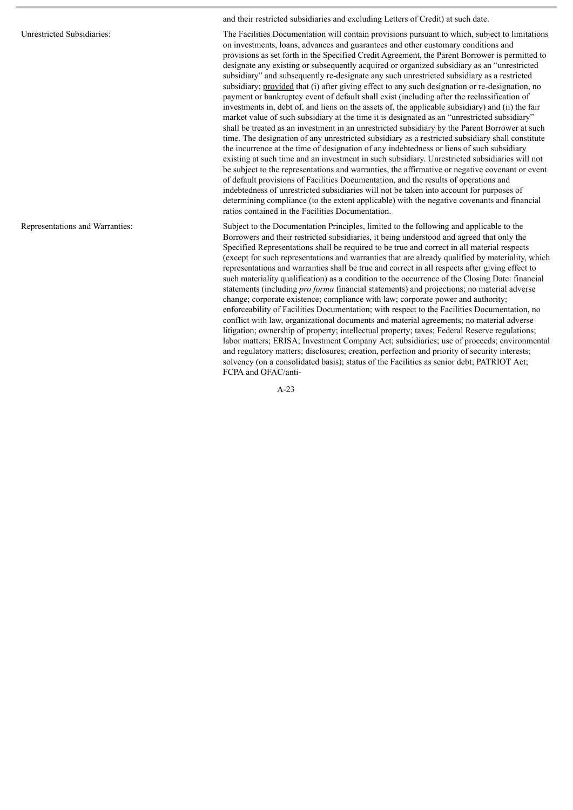and their restricted subsidiaries and excluding Letters of Credit) at such date.

Unrestricted Subsidiaries: The Facilities Documentation will contain provisions pursuant to which, subject to limitations on investments, loans, advances and guarantees and other customary conditions and provisions as set forth in the Specified Credit Agreement, the Parent Borrower is permitted to designate any existing or subsequently acquired or organized subsidiary as an "unrestricted subsidiary" and subsequently re-designate any such unrestricted subsidiary as a restricted subsidiary; provided that (i) after giving effect to any such designation or re-designation, no payment or bankruptcy event of default shall exist (including after the reclassification of investments in, debt of, and liens on the assets of, the applicable subsidiary) and (ii) the fair market value of such subsidiary at the time it is designated as an "unrestricted subsidiary" shall be treated as an investment in an unrestricted subsidiary by the Parent Borrower at such time. The designation of any unrestricted subsidiary as a restricted subsidiary shall constitute the incurrence at the time of designation of any indebtedness or liens of such subsidiary existing at such time and an investment in such subsidiary. Unrestricted subsidiaries will not be subject to the representations and warranties, the affirmative or negative covenant or event of default provisions of Facilities Documentation, and the results of operations and indebtedness of unrestricted subsidiaries will not be taken into account for purposes of determining compliance (to the extent applicable) with the negative covenants and financial ratios contained in the Facilities Documentation.

Representations and Warranties: Subject to the Documentation Principles, limited to the following and applicable to the Borrowers and their restricted subsidiaries, it being understood and agreed that only the Specified Representations shall be required to be true and correct in all material respects (except for such representations and warranties that are already qualified by materiality, which representations and warranties shall be true and correct in all respects after giving effect to such materiality qualification) as a condition to the occurrence of the Closing Date: financial statements (including *pro forma* financial statements) and projections; no material adverse change; corporate existence; compliance with law; corporate power and authority; enforceability of Facilities Documentation; with respect to the Facilities Documentation, no conflict with law, organizational documents and material agreements; no material adverse litigation; ownership of property; intellectual property; taxes; Federal Reserve regulations; labor matters; ERISA; Investment Company Act; subsidiaries; use of proceeds; environmental and regulatory matters; disclosures; creation, perfection and priority of security interests; solvency (on a consolidated basis); status of the Facilities as senior debt; PATRIOT Act; FCPA and OFAC/anti-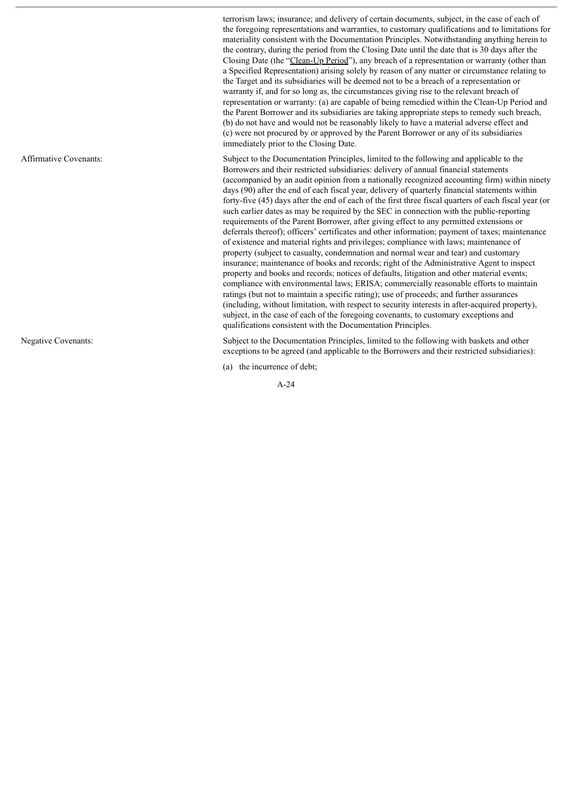terrorism laws; insurance; and delivery of certain documents, subject, in the case of each of the foregoing representations and warranties, to customary qualifications and to limitations for materiality consistent with the Documentation Principles. Notwithstanding anything herein to the contrary, during the period from the Closing Date until the date that is 30 days after the Closing Date (the "Clean-Up Period"), any breach of a representation or warranty (other than a Specified Representation) arising solely by reason of any matter or circumstance relating to the Target and its subsidiaries will be deemed not to be a breach of a representation or warranty if, and for so long as, the circumstances giving rise to the relevant breach of representation or warranty: (a) are capable of being remedied within the Clean-Up Period and the Parent Borrower and its subsidiaries are taking appropriate steps to remedy such breach, (b) do not have and would not be reasonably likely to have a material adverse effect and (c) were not procured by or approved by the Parent Borrower or any of its subsidiaries immediately prior to the Closing Date.

Affirmative Covenants: Subject to the Documentation Principles, limited to the following and applicable to the Borrowers and their restricted subsidiaries: delivery of annual financial statements (accompanied by an audit opinion from a nationally recognized accounting firm) within ninety days (90) after the end of each fiscal year, delivery of quarterly financial statements within forty-five (45) days after the end of each of the first three fiscal quarters of each fiscal year (or such earlier dates as may be required by the SEC in connection with the public-reporting requirements of the Parent Borrower, after giving effect to any permitted extensions or deferrals thereof); officers' certificates and other information; payment of taxes; maintenance of existence and material rights and privileges; compliance with laws; maintenance of property (subject to casualty, condemnation and normal wear and tear) and customary insurance; maintenance of books and records; right of the Administrative Agent to inspect property and books and records; notices of defaults, litigation and other material events; compliance with environmental laws; ERISA; commercially reasonable efforts to maintain ratings (but not to maintain a specific rating); use of proceeds; and further assurances (including, without limitation, with respect to security interests in after-acquired property), subject, in the case of each of the foregoing covenants, to customary exceptions and qualifications consistent with the Documentation Principles.

Negative Covenants: Subject to the Documentation Principles, limited to the following with baskets and other exceptions to be agreed (and applicable to the Borrowers and their restricted subsidiaries):

(a) the incurrence of debt;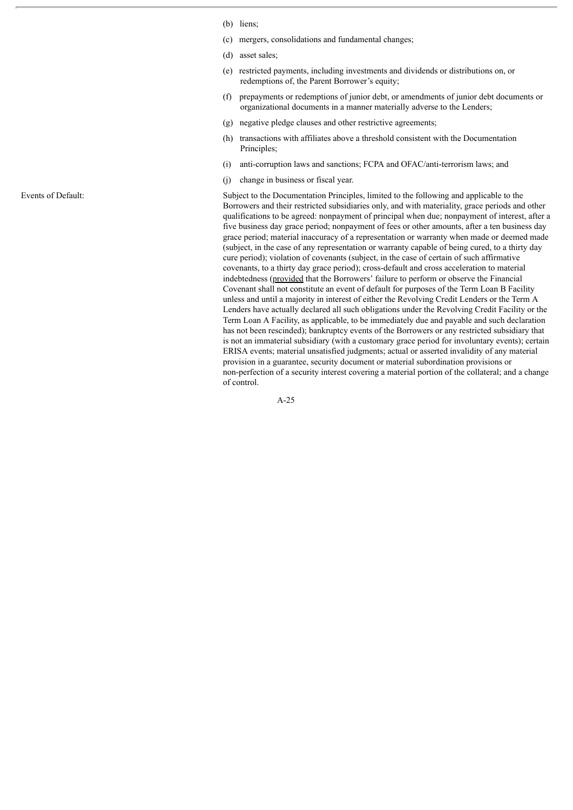- (b) liens;
- (c) mergers, consolidations and fundamental changes;
- (d) asset sales;
- (e) restricted payments, including investments and dividends or distributions on, or redemptions of, the Parent Borrower's equity;
- (f) prepayments or redemptions of junior debt, or amendments of junior debt documents or organizational documents in a manner materially adverse to the Lenders;
- (g) negative pledge clauses and other restrictive agreements;
- (h) transactions with affiliates above a threshold consistent with the Documentation Principles;
- (i) anti-corruption laws and sanctions; FCPA and OFAC/anti-terrorism laws; and
- (j) change in business or fiscal year.

Events of Default: Subject to the Documentation Principles, limited to the following and applicable to the Borrowers and their restricted subsidiaries only, and with materiality, grace periods and other qualifications to be agreed: nonpayment of principal when due; nonpayment of interest, after a five business day grace period; nonpayment of fees or other amounts, after a ten business day grace period; material inaccuracy of a representation or warranty when made or deemed made (subject, in the case of any representation or warranty capable of being cured, to a thirty day cure period); violation of covenants (subject, in the case of certain of such affirmative covenants, to a thirty day grace period); cross-default and cross acceleration to material indebtedness (provided that the Borrowers' failure to perform or observe the Financial Covenant shall not constitute an event of default for purposes of the Term Loan B Facility unless and until a majority in interest of either the Revolving Credit Lenders or the Term A Lenders have actually declared all such obligations under the Revolving Credit Facility or the Term Loan A Facility, as applicable, to be immediately due and payable and such declaration has not been rescinded); bankruptcy events of the Borrowers or any restricted subsidiary that is not an immaterial subsidiary (with a customary grace period for involuntary events); certain ERISA events; material unsatisfied judgments; actual or asserted invalidity of any material provision in a guarantee, security document or material subordination provisions or non-perfection of a security interest covering a material portion of the collateral; and a change of control.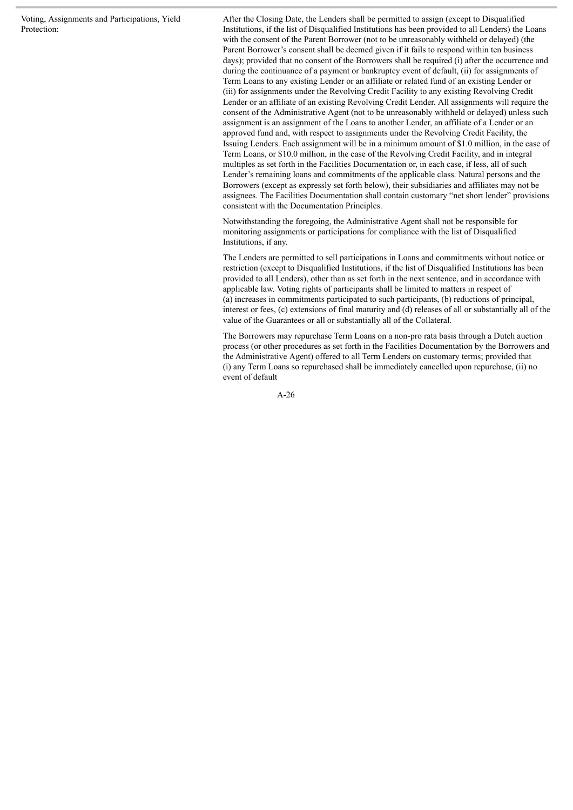Voting, Assignments and Participations, Yield Protection:

After the Closing Date, the Lenders shall be permitted to assign (except to Disqualified Institutions, if the list of Disqualified Institutions has been provided to all Lenders) the Loans with the consent of the Parent Borrower (not to be unreasonably withheld or delayed) (the Parent Borrower's consent shall be deemed given if it fails to respond within ten business days); provided that no consent of the Borrowers shall be required (i) after the occurrence and during the continuance of a payment or bankruptcy event of default, (ii) for assignments of Term Loans to any existing Lender or an affiliate or related fund of an existing Lender or (iii) for assignments under the Revolving Credit Facility to any existing Revolving Credit Lender or an affiliate of an existing Revolving Credit Lender. All assignments will require the consent of the Administrative Agent (not to be unreasonably withheld or delayed) unless such assignment is an assignment of the Loans to another Lender, an affiliate of a Lender or an approved fund and, with respect to assignments under the Revolving Credit Facility, the Issuing Lenders. Each assignment will be in a minimum amount of \$1.0 million, in the case of Term Loans, or \$10.0 million, in the case of the Revolving Credit Facility, and in integral multiples as set forth in the Facilities Documentation or, in each case, if less, all of such Lender's remaining loans and commitments of the applicable class. Natural persons and the Borrowers (except as expressly set forth below), their subsidiaries and affiliates may not be assignees. The Facilities Documentation shall contain customary "net short lender" provisions consistent with the Documentation Principles.

Notwithstanding the foregoing, the Administrative Agent shall not be responsible for monitoring assignments or participations for compliance with the list of Disqualified Institutions, if any.

The Lenders are permitted to sell participations in Loans and commitments without notice or restriction (except to Disqualified Institutions, if the list of Disqualified Institutions has been provided to all Lenders), other than as set forth in the next sentence, and in accordance with applicable law. Voting rights of participants shall be limited to matters in respect of (a) increases in commitments participated to such participants, (b) reductions of principal, interest or fees, (c) extensions of final maturity and (d) releases of all or substantially all of the value of the Guarantees or all or substantially all of the Collateral.

The Borrowers may repurchase Term Loans on a non-pro rata basis through a Dutch auction process (or other procedures as set forth in the Facilities Documentation by the Borrowers and the Administrative Agent) offered to all Term Lenders on customary terms; provided that (i) any Term Loans so repurchased shall be immediately cancelled upon repurchase, (ii) no event of default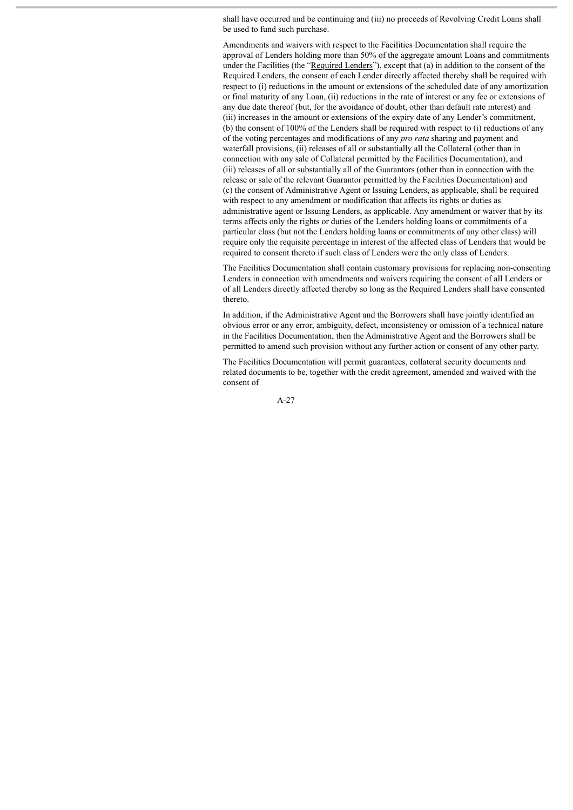shall have occurred and be continuing and (iii) no proceeds of Revolving Credit Loans shall be used to fund such purchase.

Amendments and waivers with respect to the Facilities Documentation shall require the approval of Lenders holding more than 50% of the aggregate amount Loans and commitments under the Facilities (the "Required Lenders"), except that (a) in addition to the consent of the Required Lenders, the consent of each Lender directly affected thereby shall be required with respect to (i) reductions in the amount or extensions of the scheduled date of any amortization or final maturity of any Loan, (ii) reductions in the rate of interest or any fee or extensions of any due date thereof (but, for the avoidance of doubt, other than default rate interest) and (iii) increases in the amount or extensions of the expiry date of any Lender's commitment, (b) the consent of 100% of the Lenders shall be required with respect to (i) reductions of any of the voting percentages and modifications of any *pro rata* sharing and payment and waterfall provisions, (ii) releases of all or substantially all the Collateral (other than in connection with any sale of Collateral permitted by the Facilities Documentation), and (iii) releases of all or substantially all of the Guarantors (other than in connection with the release or sale of the relevant Guarantor permitted by the Facilities Documentation) and (c) the consent of Administrative Agent or Issuing Lenders, as applicable, shall be required with respect to any amendment or modification that affects its rights or duties as administrative agent or Issuing Lenders, as applicable. Any amendment or waiver that by its terms affects only the rights or duties of the Lenders holding loans or commitments of a particular class (but not the Lenders holding loans or commitments of any other class) will require only the requisite percentage in interest of the affected class of Lenders that would be required to consent thereto if such class of Lenders were the only class of Lenders.

The Facilities Documentation shall contain customary provisions for replacing non-consenting Lenders in connection with amendments and waivers requiring the consent of all Lenders or of all Lenders directly affected thereby so long as the Required Lenders shall have consented thereto.

In addition, if the Administrative Agent and the Borrowers shall have jointly identified an obvious error or any error, ambiguity, defect, inconsistency or omission of a technical nature in the Facilities Documentation, then the Administrative Agent and the Borrowers shall be permitted to amend such provision without any further action or consent of any other party.

The Facilities Documentation will permit guarantees, collateral security documents and related documents to be, together with the credit agreement, amended and waived with the consent of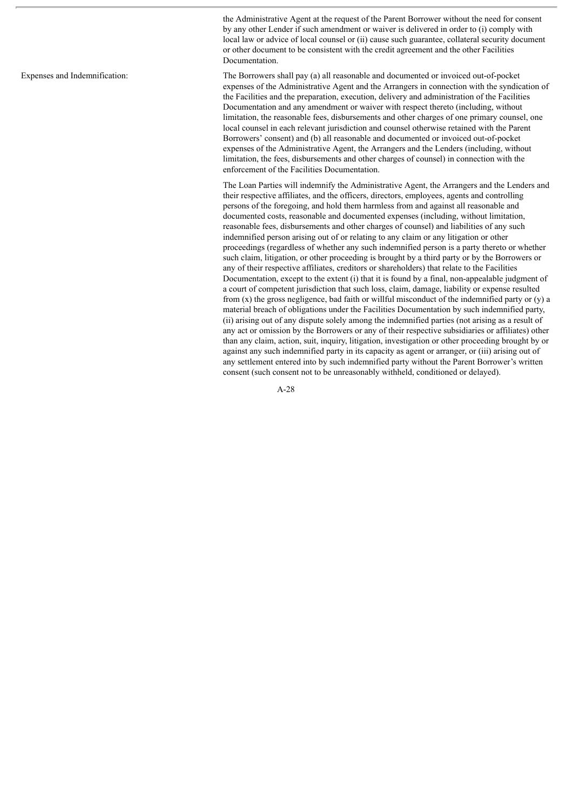the Administrative Agent at the request of the Parent Borrower without the need for consent by any other Lender if such amendment or waiver is delivered in order to (i) comply with local law or advice of local counsel or (ii) cause such guarantee, collateral security document or other document to be consistent with the credit agreement and the other Facilities Documentation.

Expenses and Indemnification: The Borrowers shall pay (a) all reasonable and documented or invoiced out-of-pocket expenses of the Administrative Agent and the Arrangers in connection with the syndication of the Facilities and the preparation, execution, delivery and administration of the Facilities Documentation and any amendment or waiver with respect thereto (including, without limitation, the reasonable fees, disbursements and other charges of one primary counsel, one local counsel in each relevant jurisdiction and counsel otherwise retained with the Parent Borrowers' consent) and (b) all reasonable and documented or invoiced out-of-pocket expenses of the Administrative Agent, the Arrangers and the Lenders (including, without limitation, the fees, disbursements and other charges of counsel) in connection with the enforcement of the Facilities Documentation.

> The Loan Parties will indemnify the Administrative Agent, the Arrangers and the Lenders and their respective affiliates, and the officers, directors, employees, agents and controlling persons of the foregoing, and hold them harmless from and against all reasonable and documented costs, reasonable and documented expenses (including, without limitation, reasonable fees, disbursements and other charges of counsel) and liabilities of any such indemnified person arising out of or relating to any claim or any litigation or other proceedings (regardless of whether any such indemnified person is a party thereto or whether such claim, litigation, or other proceeding is brought by a third party or by the Borrowers or any of their respective affiliates, creditors or shareholders) that relate to the Facilities Documentation, except to the extent (i) that it is found by a final, non-appealable judgment of a court of competent jurisdiction that such loss, claim, damage, liability or expense resulted from (x) the gross negligence, bad faith or willful misconduct of the indemnified party or (y) a material breach of obligations under the Facilities Documentation by such indemnified party, (ii) arising out of any dispute solely among the indemnified parties (not arising as a result of any act or omission by the Borrowers or any of their respective subsidiaries or affiliates) other than any claim, action, suit, inquiry, litigation, investigation or other proceeding brought by or against any such indemnified party in its capacity as agent or arranger, or (iii) arising out of any settlement entered into by such indemnified party without the Parent Borrower's written consent (such consent not to be unreasonably withheld, conditioned or delayed).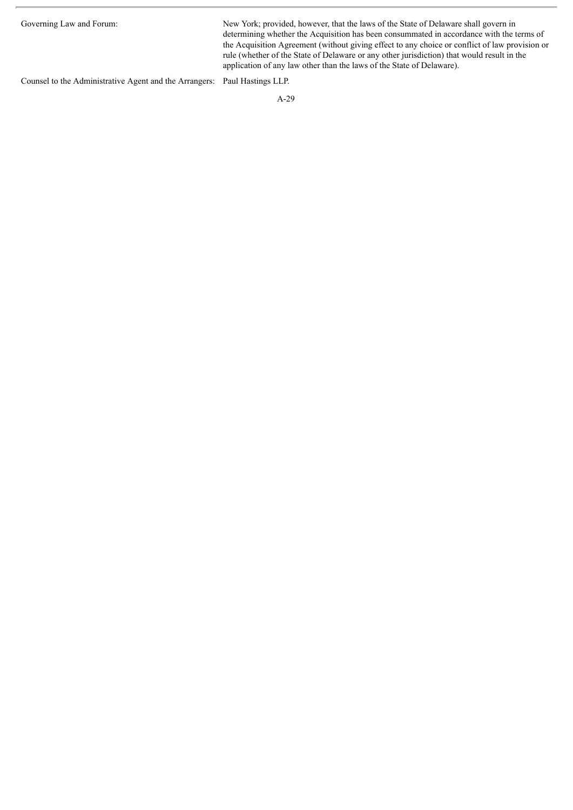Governing Law and Forum: New York; provided, however, that the laws of the State of Delaware shall govern in determining whether the Acquisition has been consummated in accordance with the terms of the Acquisition Agreement (without giving effect to any choice or conflict of law provision or rule (whether of the State of Delaware or any other jurisdiction) that would result in the application of any law other than the laws of the State of Delaware).

Counsel to the Administrative Agent and the Arrangers: Paul Hastings LLP.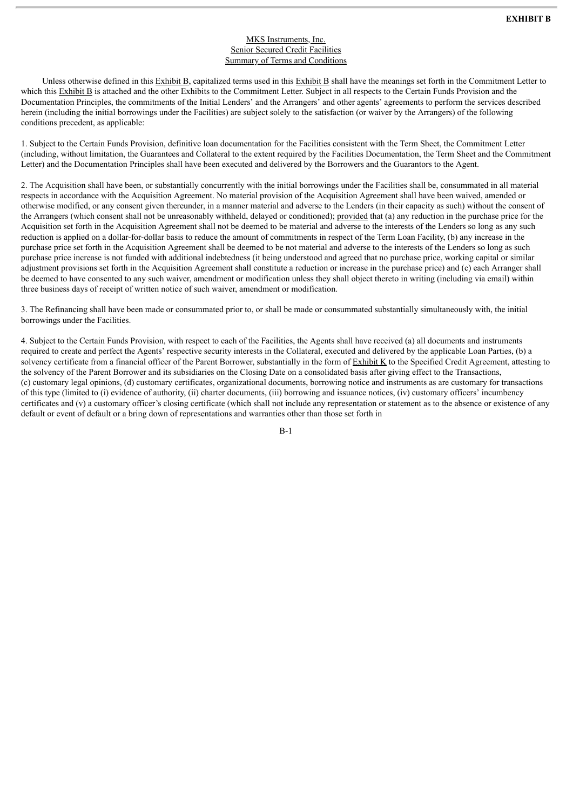#### MKS Instruments, Inc. Senior Secured Credit Facilities Summary of Terms and Conditions

Unless otherwise defined in this Exhibit B, capitalized terms used in this Exhibit B shall have the meanings set forth in the Commitment Letter to which this Exhibit B is attached and the other Exhibits to the Commitment Letter. Subject in all respects to the Certain Funds Provision and the Documentation Principles, the commitments of the Initial Lenders' and the Arrangers' and other agents' agreements to perform the services described herein (including the initial borrowings under the Facilities) are subject solely to the satisfaction (or waiver by the Arrangers) of the following conditions precedent, as applicable:

1. Subject to the Certain Funds Provision, definitive loan documentation for the Facilities consistent with the Term Sheet, the Commitment Letter (including, without limitation, the Guarantees and Collateral to the extent required by the Facilities Documentation, the Term Sheet and the Commitment Letter) and the Documentation Principles shall have been executed and delivered by the Borrowers and the Guarantors to the Agent.

2. The Acquisition shall have been, or substantially concurrently with the initial borrowings under the Facilities shall be, consummated in all material respects in accordance with the Acquisition Agreement. No material provision of the Acquisition Agreement shall have been waived, amended or otherwise modified, or any consent given thereunder, in a manner material and adverse to the Lenders (in their capacity as such) without the consent of the Arrangers (which consent shall not be unreasonably withheld, delayed or conditioned); provided that (a) any reduction in the purchase price for the Acquisition set forth in the Acquisition Agreement shall not be deemed to be material and adverse to the interests of the Lenders so long as any such reduction is applied on a dollar-for-dollar basis to reduce the amount of commitments in respect of the Term Loan Facility, (b) any increase in the purchase price set forth in the Acquisition Agreement shall be deemed to be not material and adverse to the interests of the Lenders so long as such purchase price increase is not funded with additional indebtedness (it being understood and agreed that no purchase price, working capital or similar adjustment provisions set forth in the Acquisition Agreement shall constitute a reduction or increase in the purchase price) and (c) each Arranger shall be deemed to have consented to any such waiver, amendment or modification unless they shall object thereto in writing (including via email) within three business days of receipt of written notice of such waiver, amendment or modification.

3. The Refinancing shall have been made or consummated prior to, or shall be made or consummated substantially simultaneously with, the initial borrowings under the Facilities.

4. Subject to the Certain Funds Provision, with respect to each of the Facilities, the Agents shall have received (a) all documents and instruments required to create and perfect the Agents' respective security interests in the Collateral, executed and delivered by the applicable Loan Parties, (b) a solvency certificate from a financial officer of the Parent Borrower, substantially in the form of Exhibit K to the Specified Credit Agreement, attesting to the solvency of the Parent Borrower and its subsidiaries on the Closing Date on a consolidated basis after giving effect to the Transactions, (c) customary legal opinions, (d) customary certificates, organizational documents, borrowing notice and instruments as are customary for transactions of this type (limited to (i) evidence of authority, (ii) charter documents, (iii) borrowing and issuance notices, (iv) customary officers' incumbency certificates and (v) a customary officer's closing certificate (which shall not include any representation or statement as to the absence or existence of any default or event of default or a bring down of representations and warranties other than those set forth in

B-1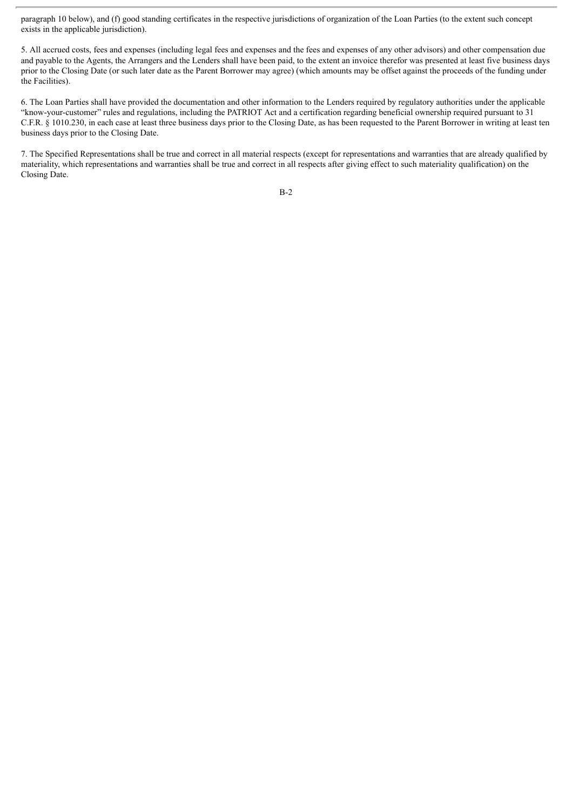paragraph 10 below), and (f) good standing certificates in the respective jurisdictions of organization of the Loan Parties (to the extent such concept exists in the applicable jurisdiction).

5. All accrued costs, fees and expenses (including legal fees and expenses and the fees and expenses of any other advisors) and other compensation due and payable to the Agents, the Arrangers and the Lenders shall have been paid, to the extent an invoice therefor was presented at least five business days prior to the Closing Date (or such later date as the Parent Borrower may agree) (which amounts may be offset against the proceeds of the funding under the Facilities).

6. The Loan Parties shall have provided the documentation and other information to the Lenders required by regulatory authorities under the applicable "know-your-customer" rules and regulations, including the PATRIOT Act and a certification regarding beneficial ownership required pursuant to 31 C.F.R. § 1010.230, in each case at least three business days prior to the Closing Date, as has been requested to the Parent Borrower in writing at least ten business days prior to the Closing Date.

7. The Specified Representations shall be true and correct in all material respects (except for representations and warranties that are already qualified by materiality, which representations and warranties shall be true and correct in all respects after giving effect to such materiality qualification) on the Closing Date.

B-2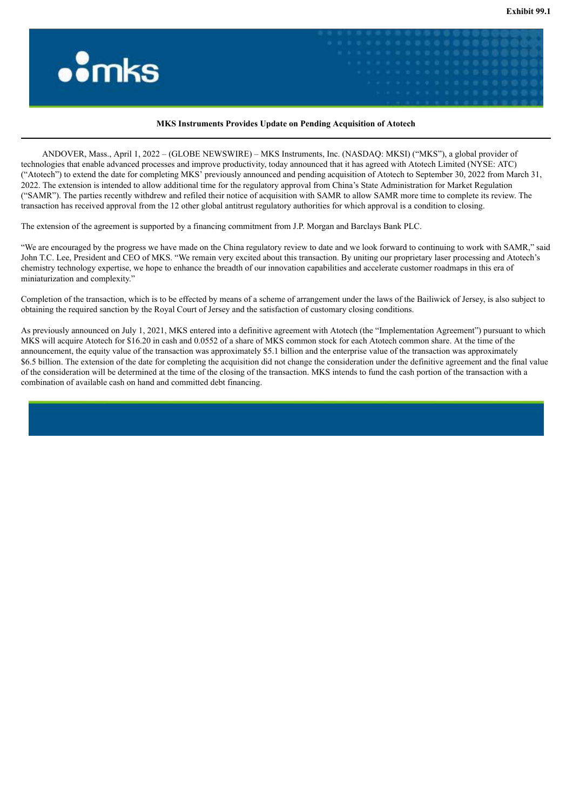# <span id="page-64-0"></span> $\cdot$ <sup>2</sup>mks

#### **MKS Instruments Provides Update on Pending Acquisition of Atotech**

ANDOVER, Mass., April 1, 2022 – (GLOBE NEWSWIRE) – MKS Instruments, Inc. (NASDAQ: MKSI) ("MKS"), a global provider of technologies that enable advanced processes and improve productivity, today announced that it has agreed with Atotech Limited (NYSE: ATC) ("Atotech") to extend the date for completing MKS' previously announced and pending acquisition of Atotech to September 30, 2022 from March 31, 2022. The extension is intended to allow additional time for the regulatory approval from China's State Administration for Market Regulation ("SAMR"). The parties recently withdrew and refiled their notice of acquisition with SAMR to allow SAMR more time to complete its review. The transaction has received approval from the 12 other global antitrust regulatory authorities for which approval is a condition to closing.

The extension of the agreement is supported by a financing commitment from J.P. Morgan and Barclays Bank PLC.

"We are encouraged by the progress we have made on the China regulatory review to date and we look forward to continuing to work with SAMR," said John T.C. Lee, President and CEO of MKS. "We remain very excited about this transaction. By uniting our proprietary laser processing and Atotech's chemistry technology expertise, we hope to enhance the breadth of our innovation capabilities and accelerate customer roadmaps in this era of miniaturization and complexity."

Completion of the transaction, which is to be effected by means of a scheme of arrangement under the laws of the Bailiwick of Jersey, is also subject to obtaining the required sanction by the Royal Court of Jersey and the satisfaction of customary closing conditions.

As previously announced on July 1, 2021, MKS entered into a definitive agreement with Atotech (the "Implementation Agreement") pursuant to which MKS will acquire Atotech for \$16.20 in cash and 0.0552 of a share of MKS common stock for each Atotech common share. At the time of the announcement, the equity value of the transaction was approximately \$5.1 billion and the enterprise value of the transaction was approximately \$6.5 billion. The extension of the date for completing the acquisition did not change the consideration under the definitive agreement and the final value of the consideration will be determined at the time of the closing of the transaction. MKS intends to fund the cash portion of the transaction with a combination of available cash on hand and committed debt financing.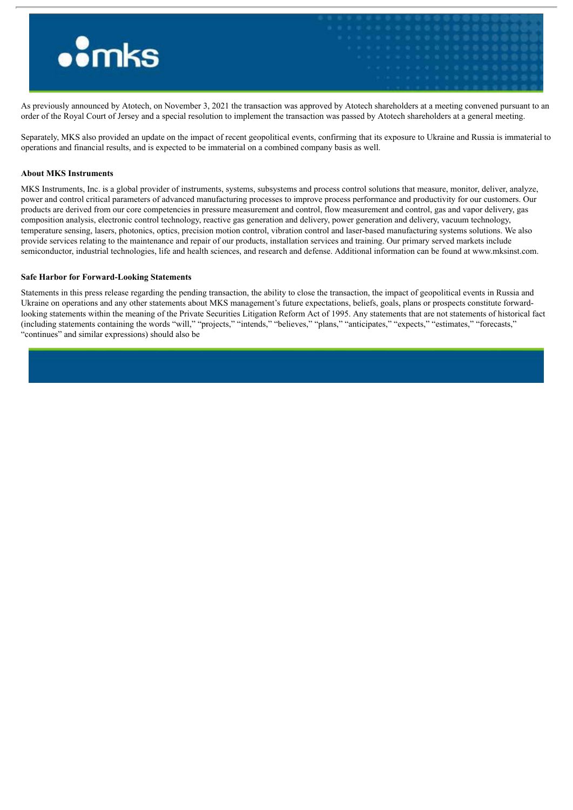

As previously announced by Atotech, on November 3, 2021 the transaction was approved by Atotech shareholders at a meeting convened pursuant to an order of the Royal Court of Jersey and a special resolution to implement the transaction was passed by Atotech shareholders at a general meeting.

Separately, MKS also provided an update on the impact of recent geopolitical events, confirming that its exposure to Ukraine and Russia is immaterial to operations and financial results, and is expected to be immaterial on a combined company basis as well.

#### **About MKS Instruments**

MKS Instruments, Inc. is a global provider of instruments, systems, subsystems and process control solutions that measure, monitor, deliver, analyze, power and control critical parameters of advanced manufacturing processes to improve process performance and productivity for our customers. Our products are derived from our core competencies in pressure measurement and control, flow measurement and control, gas and vapor delivery, gas composition analysis, electronic control technology, reactive gas generation and delivery, power generation and delivery, vacuum technology, temperature sensing, lasers, photonics, optics, precision motion control, vibration control and laser-based manufacturing systems solutions. We also provide services relating to the maintenance and repair of our products, installation services and training. Our primary served markets include semiconductor, industrial technologies, life and health sciences, and research and defense. Additional information can be found at www.mksinst.com.

#### **Safe Harbor for Forward-Looking Statements**

Statements in this press release regarding the pending transaction, the ability to close the transaction, the impact of geopolitical events in Russia and Ukraine on operations and any other statements about MKS management's future expectations, beliefs, goals, plans or prospects constitute forwardlooking statements within the meaning of the Private Securities Litigation Reform Act of 1995. Any statements that are not statements of historical fact (including statements containing the words "will," "projects," "intends," "believes," "plans," "anticipates," "expects," "estimates," "forecasts," "continues" and similar expressions) should also be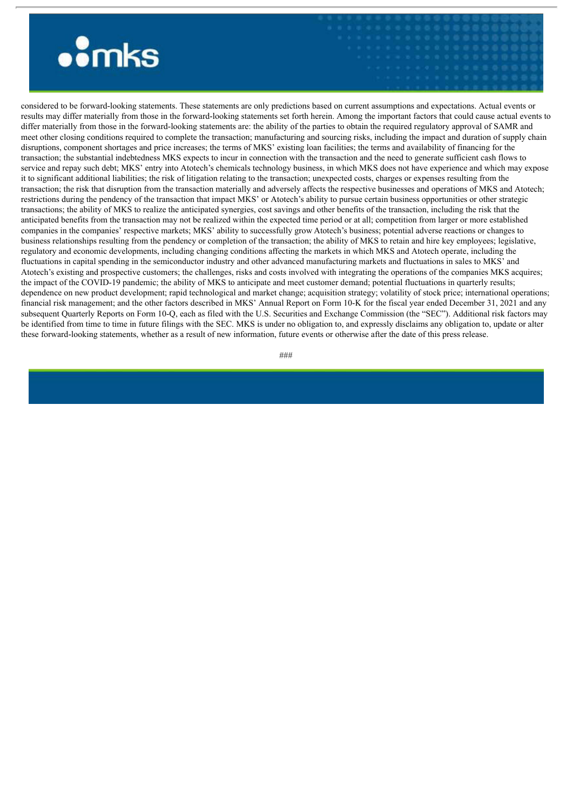# $\cdot$ <sup>2</sup>mks

considered to be forward-looking statements. These statements are only predictions based on current assumptions and expectations. Actual events or results may differ materially from those in the forward-looking statements set forth herein. Among the important factors that could cause actual events to differ materially from those in the forward-looking statements are: the ability of the parties to obtain the required regulatory approval of SAMR and meet other closing conditions required to complete the transaction; manufacturing and sourcing risks, including the impact and duration of supply chain disruptions, component shortages and price increases; the terms of MKS' existing loan facilities; the terms and availability of financing for the transaction; the substantial indebtedness MKS expects to incur in connection with the transaction and the need to generate sufficient cash flows to service and repay such debt; MKS' entry into Atotech's chemicals technology business, in which MKS does not have experience and which may expose it to significant additional liabilities; the risk of litigation relating to the transaction; unexpected costs, charges or expenses resulting from the transaction; the risk that disruption from the transaction materially and adversely affects the respective businesses and operations of MKS and Atotech; restrictions during the pendency of the transaction that impact MKS' or Atotech's ability to pursue certain business opportunities or other strategic transactions; the ability of MKS to realize the anticipated synergies, cost savings and other benefits of the transaction, including the risk that the anticipated benefits from the transaction may not be realized within the expected time period or at all; competition from larger or more established companies in the companies' respective markets; MKS' ability to successfully grow Atotech's business; potential adverse reactions or changes to business relationships resulting from the pendency or completion of the transaction; the ability of MKS to retain and hire key employees; legislative, regulatory and economic developments, including changing conditions affecting the markets in which MKS and Atotech operate, including the fluctuations in capital spending in the semiconductor industry and other advanced manufacturing markets and fluctuations in sales to MKS' and Atotech's existing and prospective customers; the challenges, risks and costs involved with integrating the operations of the companies MKS acquires; the impact of the COVID-19 pandemic; the ability of MKS to anticipate and meet customer demand; potential fluctuations in quarterly results; dependence on new product development; rapid technological and market change; acquisition strategy; volatility of stock price; international operations; financial risk management; and the other factors described in MKS' Annual Report on Form 10-K for the fiscal year ended December 31, 2021 and any subsequent Quarterly Reports on Form 10-Q, each as filed with the U.S. Securities and Exchange Commission (the "SEC"). Additional risk factors may be identified from time to time in future filings with the SEC. MKS is under no obligation to, and expressly disclaims any obligation to, update or alter these forward-looking statements, whether as a result of new information, future events or otherwise after the date of this press release.

###